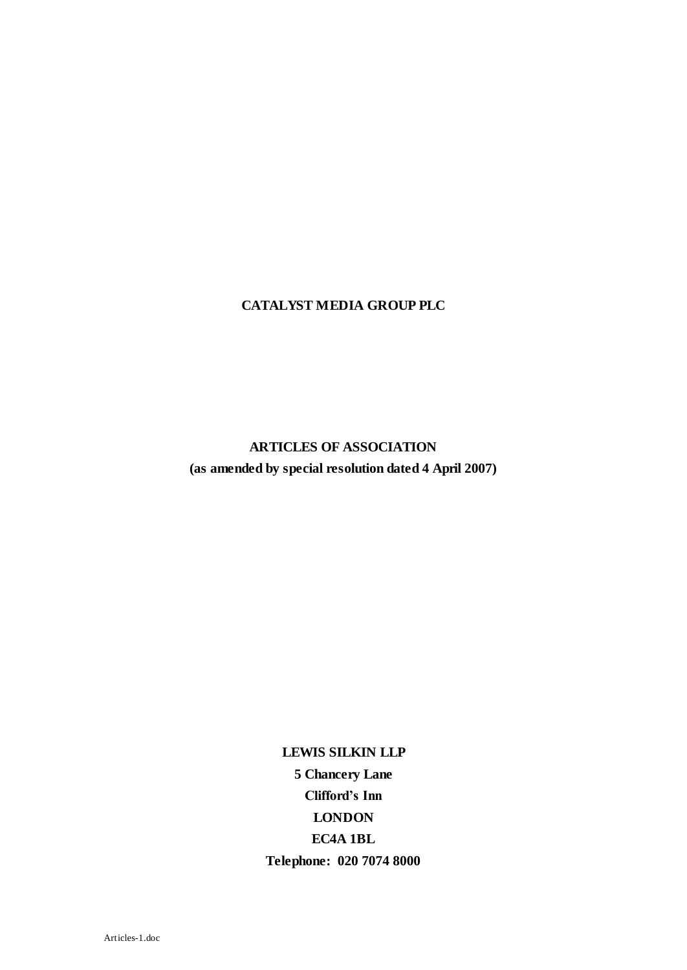### **CATALYST MEDIA GROUP PLC**

**ARTICLES OF ASSOCIATION (as amended by special resolution dated 4 April 2007)**

> **LEWIS SILKIN LLP 5 Chancery Lane Clifford's Inn LONDON EC4A 1BL Telephone: 020 7074 8000**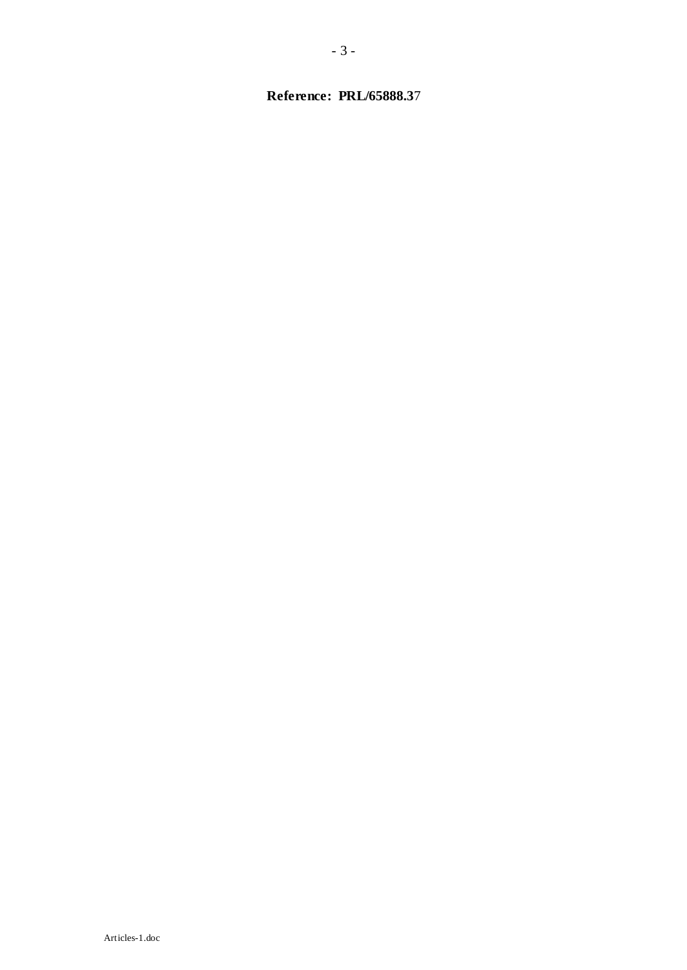# **Reference: PRL/65888.3**7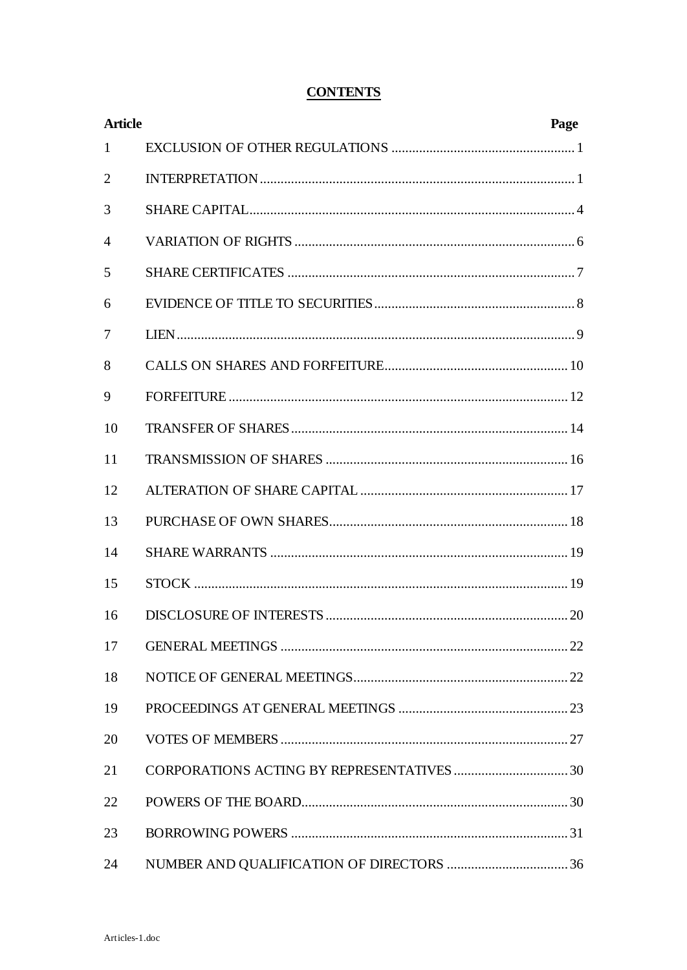# **CONTENTS**

| <b>Article</b> |  | Page |
|----------------|--|------|
| $\mathbf{1}$   |  |      |
| $\overline{2}$ |  |      |
| 3              |  |      |
| $\overline{A}$ |  |      |
| 5              |  |      |
| 6              |  |      |
| 7              |  |      |
| 8              |  |      |
| 9              |  |      |
| 10             |  |      |
| 11             |  |      |
| 12             |  |      |
| 13             |  |      |
| 14             |  |      |
| 15             |  |      |
| 16             |  |      |
| 17             |  |      |
| 18             |  |      |
| 19             |  |      |
| 20             |  |      |
| 21             |  |      |
| 22             |  |      |
| 23             |  |      |
| 24             |  |      |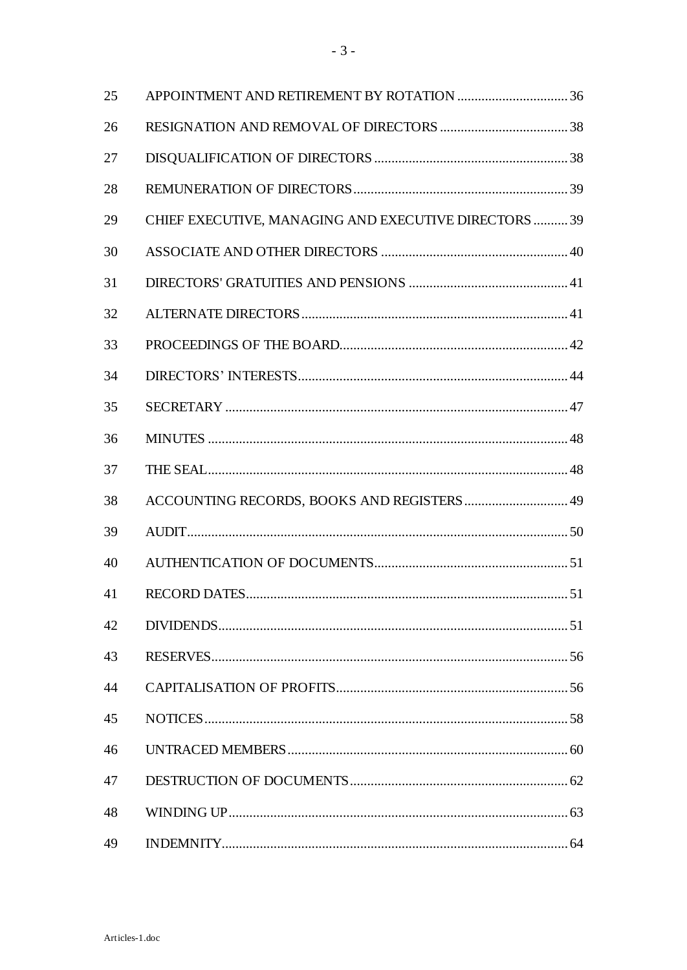| 25 |                                                       |  |
|----|-------------------------------------------------------|--|
| 26 |                                                       |  |
| 27 |                                                       |  |
| 28 |                                                       |  |
| 29 | CHIEF EXECUTIVE, MANAGING AND EXECUTIVE DIRECTORS  39 |  |
| 30 |                                                       |  |
| 31 |                                                       |  |
| 32 |                                                       |  |
| 33 |                                                       |  |
| 34 |                                                       |  |
| 35 |                                                       |  |
| 36 |                                                       |  |
| 37 |                                                       |  |
| 38 | ACCOUNTING RECORDS, BOOKS AND REGISTERS 49            |  |
| 39 |                                                       |  |
| 40 |                                                       |  |
| 41 |                                                       |  |
| 42 |                                                       |  |
| 43 |                                                       |  |
| 44 |                                                       |  |
| 45 |                                                       |  |
| 46 |                                                       |  |
| 47 |                                                       |  |
| 48 |                                                       |  |
| 49 |                                                       |  |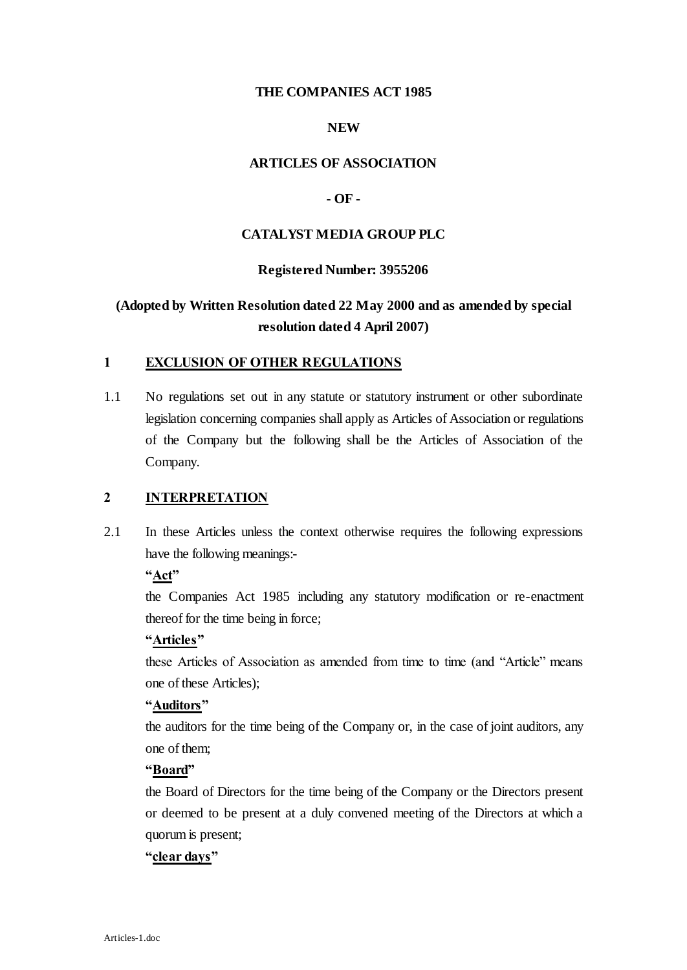### **THE COMPANIES ACT 1985**

## **NEW**

### **ARTICLES OF ASSOCIATION**

## **- OF -**

#### **CATALYST MEDIA GROUP PLC**

#### **Registered Number: 3955206**

# **(Adopted by Written Resolution dated 22 May 2000 and as amended by special resolution dated 4 April 2007)**

## **1 EXCLUSION OF OTHER REGULATIONS**

1.1 No regulations set out in any statute or statutory instrument or other subordinate legislation concerning companies shall apply as Articles of Association or regulations of the Company but the following shall be the Articles of Association of the Company.

#### **2 INTERPRETATION**

2.1 In these Articles unless the context otherwise requires the following expressions have the following meanings:-

## **"Act"**

the Companies Act 1985 including any statutory modification or re-enactment thereof for the time being in force;

#### **"Articles"**

these Articles of Association as amended from time to time (and "Article" means one of these Articles);

#### **"Auditors"**

the auditors for the time being of the Company or, in the case of joint auditors, any one of them;

## **"Board"**

the Board of Directors for the time being of the Company or the Directors present or deemed to be present at a duly convened meeting of the Directors at which a quorum is present;

### **"clear days"**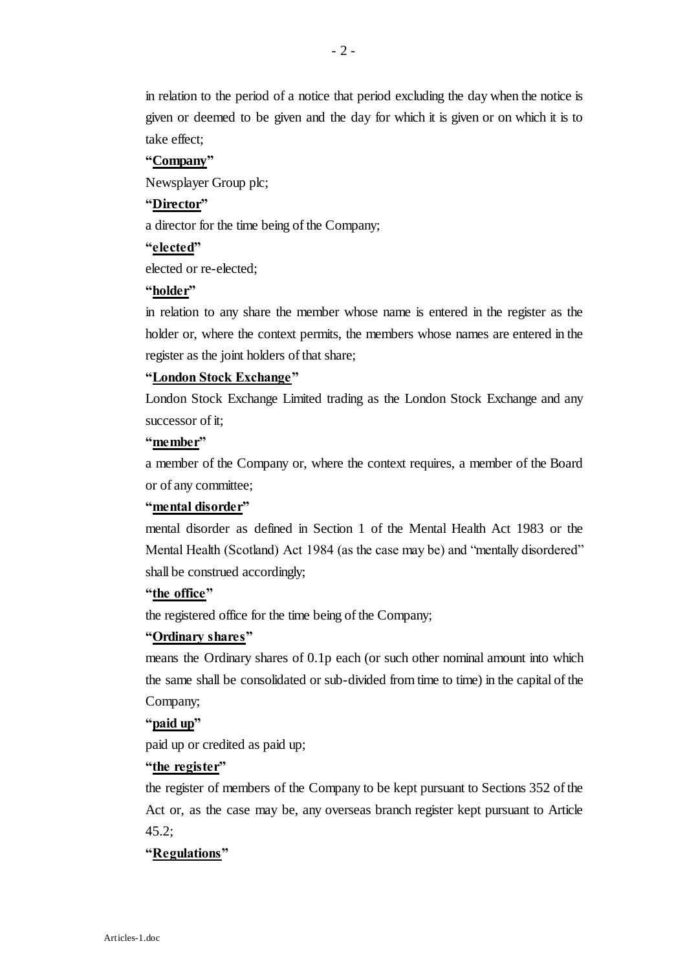in relation to the period of a notice that period excluding the day when the notice is given or deemed to be given and the day for which it is given or on which it is to take effect;

#### **"Company"**

Newsplayer Group plc;

#### **"Director"**

a director for the time being of the Company;

### **"elected"**

elected or re-elected;

#### **"holder"**

in relation to any share the member whose name is entered in the register as the holder or, where the context permits, the members whose names are entered in the register as the joint holders of that share;

#### **"London Stock Exchange"**

London Stock Exchange Limited trading as the London Stock Exchange and any successor of it;

#### **"member"**

a member of the Company or, where the context requires, a member of the Board or of any committee;

#### **"mental disorder"**

mental disorder as defined in Section 1 of the Mental Health Act 1983 or the Mental Health (Scotland) Act 1984 (as the case may be) and "mentally disordered" shall be construed accordingly;

#### **"the office"**

the registered office for the time being of the Company;

#### **"Ordinary shares"**

means the Ordinary shares of 0.1p each (or such other nominal amount into which the same shall be consolidated or sub-divided from time to time) in the capital of the Company;

#### **"paid up"**

paid up or credited as paid up;

#### **"the register"**

the register of members of the Company to be kept pursuant to Sections 352 of the Act or, as the case may be, any overseas branch register kept pursuant to Article 45.2;

#### **"Regulations"**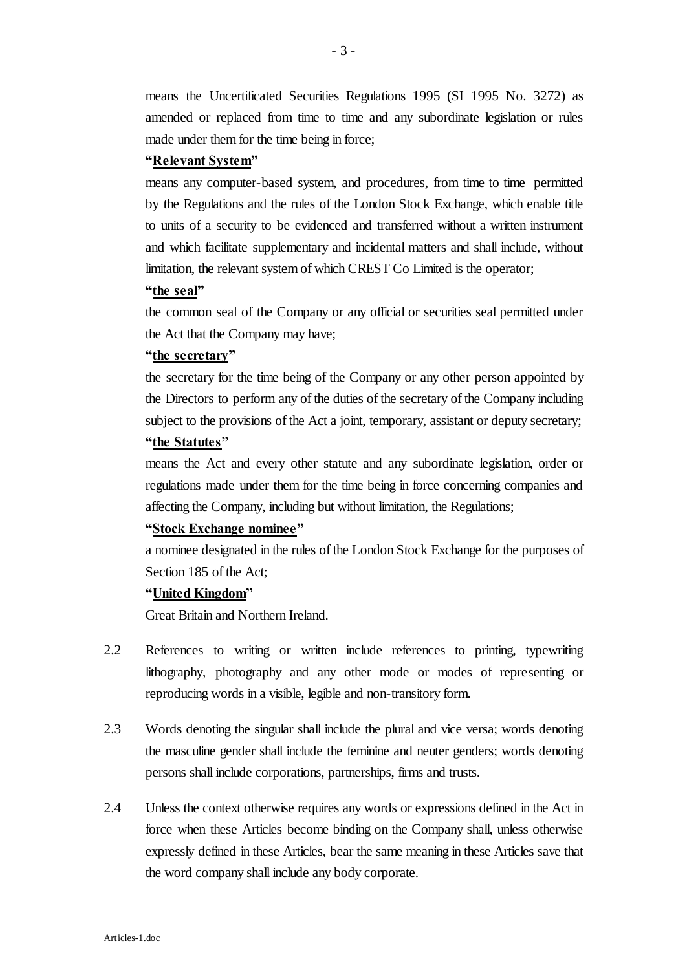means the Uncertificated Securities Regulations 1995 (SI 1995 No. 3272) as amended or replaced from time to time and any subordinate legislation or rules made under them for the time being in force;

#### **"Relevant System"**

means any computer-based system, and procedures, from time to time permitted by the Regulations and the rules of the London Stock Exchange, which enable title to units of a security to be evidenced and transferred without a written instrument and which facilitate supplementary and incidental matters and shall include, without limitation, the relevant system of which CREST Co Limited is the operator;

#### **"the seal"**

the common seal of the Company or any official or securities seal permitted under the Act that the Company may have;

#### **"the secretary"**

the secretary for the time being of the Company or any other person appointed by the Directors to perform any of the duties of the secretary of the Company including subject to the provisions of the Act a joint, temporary, assistant or deputy secretary;

## **"the Statutes"**

means the Act and every other statute and any subordinate legislation, order or regulations made under them for the time being in force concerning companies and affecting the Company, including but without limitation, the Regulations;

#### **"Stock Exchange nominee"**

a nominee designated in the rules of the London Stock Exchange for the purposes of Section 185 of the Act;

#### **"United Kingdom"**

Great Britain and Northern Ireland.

- 2.2 References to writing or written include references to printing, typewriting lithography, photography and any other mode or modes of representing or reproducing words in a visible, legible and non-transitory form.
- 2.3 Words denoting the singular shall include the plural and vice versa; words denoting the masculine gender shall include the feminine and neuter genders; words denoting persons shall include corporations, partnerships, firms and trusts.
- 2.4 Unless the context otherwise requires any words or expressions defined in the Act in force when these Articles become binding on the Company shall, unless otherwise expressly defined in these Articles, bear the same meaning in these Articles save that the word company shall include any body corporate.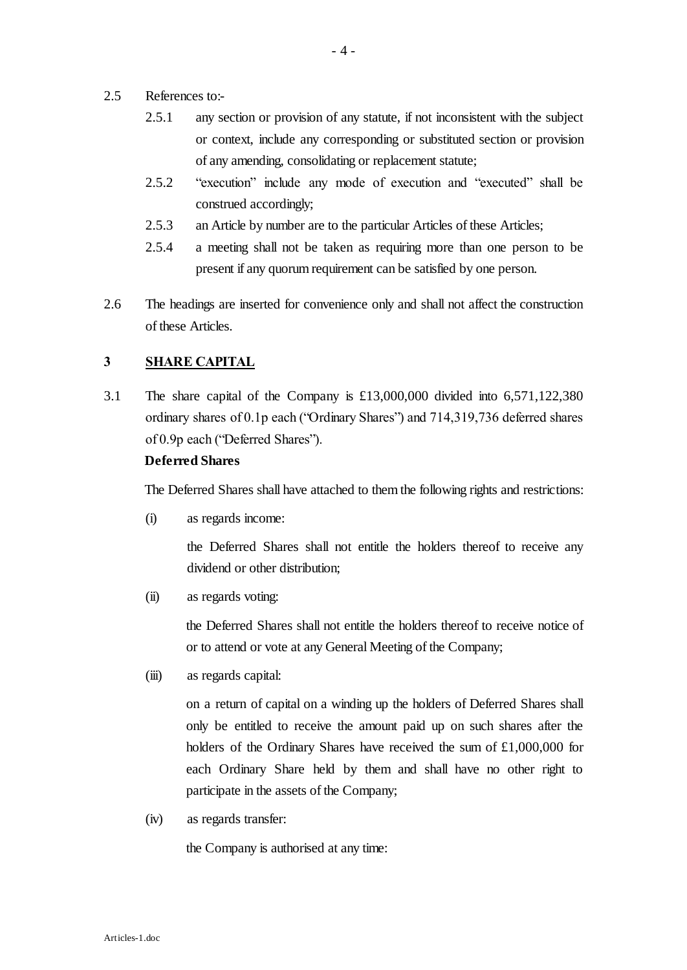- 2.5 References to:-
	- 2.5.1 any section or provision of any statute, if not inconsistent with the subject or context, include any corresponding or substituted section or provision of any amending, consolidating or replacement statute;
	- 2.5.2 "execution" include any mode of execution and "executed" shall be construed accordingly;
	- 2.5.3 an Article by number are to the particular Articles of these Articles;
	- 2.5.4 a meeting shall not be taken as requiring more than one person to be present if any quorum requirement can be satisfied by one person.
- 2.6 The headings are inserted for convenience only and shall not affect the construction of these Articles.

## **3 SHARE CAPITAL**

3.1 The share capital of the Company is £13,000,000 divided into 6,571,122,380 ordinary shares of 0.1p each ("Ordinary Shares") and 714,319,736 deferred shares of 0.9p each ("Deferred Shares").

#### **Deferred Shares**

The Deferred Shares shall have attached to them the following rights and restrictions:

(i) as regards income:

the Deferred Shares shall not entitle the holders thereof to receive any dividend or other distribution;

(ii) as regards voting:

the Deferred Shares shall not entitle the holders thereof to receive notice of or to attend or vote at any General Meeting of the Company;

(iii) as regards capital:

on a return of capital on a winding up the holders of Deferred Shares shall only be entitled to receive the amount paid up on such shares after the holders of the Ordinary Shares have received the sum of £1,000,000 for each Ordinary Share held by them and shall have no other right to participate in the assets of the Company;

(iv) as regards transfer:

the Company is authorised at any time: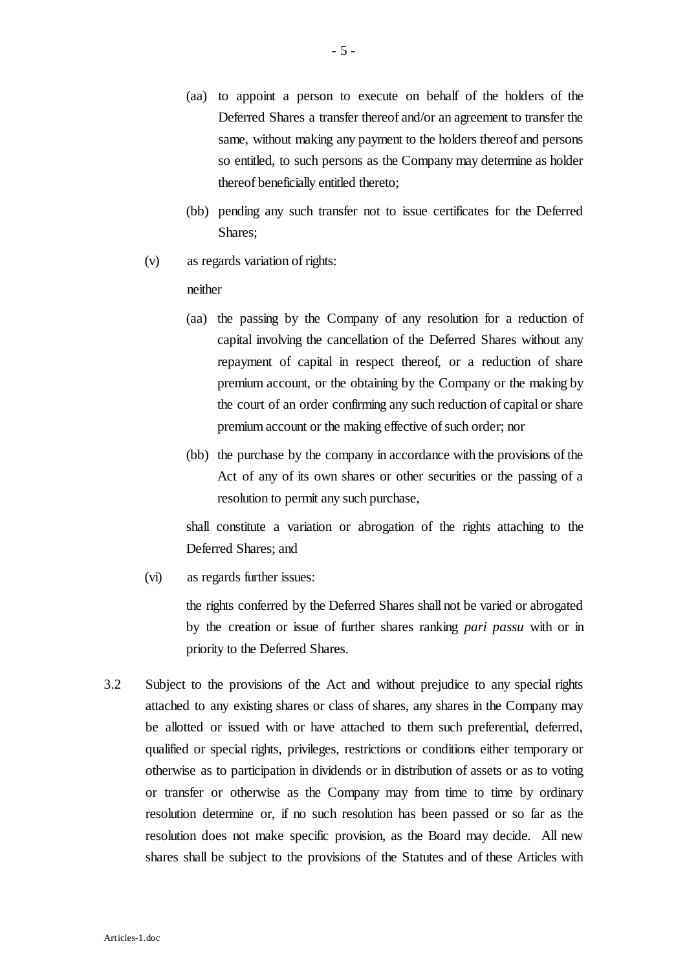- (aa) to appoint a person to execute on behalf of the holders of the Deferred Shares a transfer thereof and/or an agreement to transfer the same, without making any payment to the holders thereof and persons so entitled, to such persons as the Company may determine as holder thereof beneficially entitled thereto;
- (bb) pending any such transfer not to issue certificates for the Deferred Shares;
- (v) as regards variation of rights:

#### neither

- (aa) the passing by the Company of any resolution for a reduction of capital involving the cancellation of the Deferred Shares without any repayment of capital in respect thereof, or a reduction of share premium account, or the obtaining by the Company or the making by the court of an order confirming any such reduction of capital or share premium account or the making effective of such order; nor
- (bb) the purchase by the company in accordance with the provisions of the Act of any of its own shares or other securities or the passing of a resolution to permit any such purchase,

shall constitute a variation or abrogation of the rights attaching to the Deferred Shares; and

(vi) as regards further issues:

the rights conferred by the Deferred Shares shall not be varied or abrogated by the creation or issue of further shares ranking *pari passu* with or in priority to the Deferred Shares.

3.2 Subject to the provisions of the Act and without prejudice to any special rights attached to any existing shares or class of shares, any shares in the Company may be allotted or issued with or have attached to them such preferential, deferred, qualified or special rights, privileges, restrictions or conditions either temporary or otherwise as to participation in dividends or in distribution of assets or as to voting or transfer or otherwise as the Company may from time to time by ordinary resolution determine or, if no such resolution has been passed or so far as the resolution does not make specific provision, as the Board may decide. All new shares shall be subject to the provisions of the Statutes and of these Articles with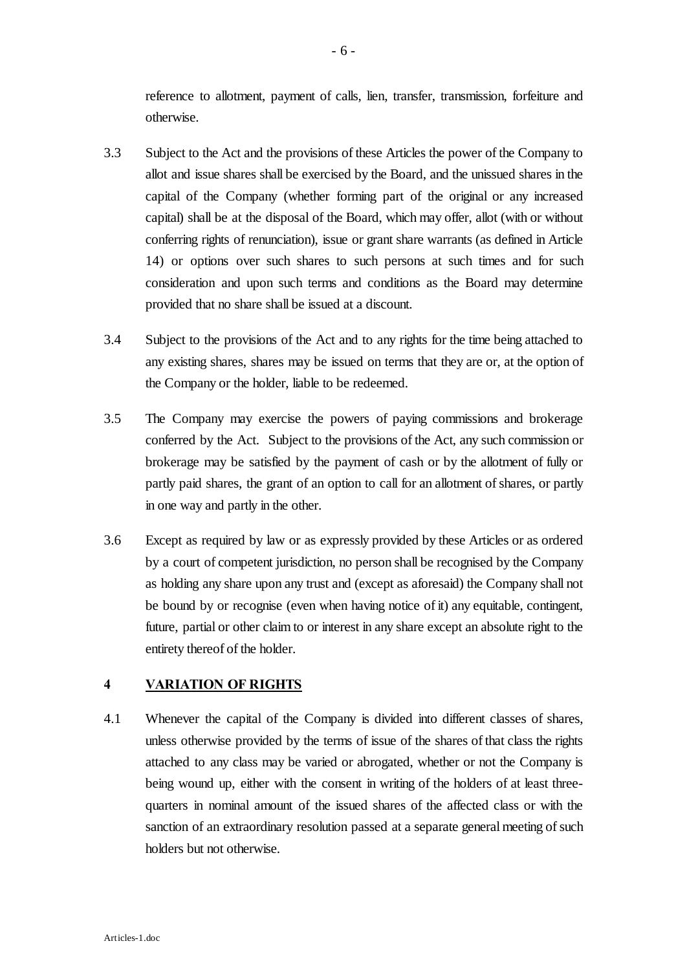reference to allotment, payment of calls, lien, transfer, transmission, forfeiture and otherwise.

- 3.3 Subject to the Act and the provisions of these Articles the power of the Company to allot and issue shares shall be exercised by the Board, and the unissued shares in the capital of the Company (whether forming part of the original or any increased capital) shall be at the disposal of the Board, which may offer, allot (with or without conferring rights of renunciation), issue or grant share warrants (as defined in Article 14) or options over such shares to such persons at such times and for such consideration and upon such terms and conditions as the Board may determine provided that no share shall be issued at a discount.
- 3.4 Subject to the provisions of the Act and to any rights for the time being attached to any existing shares, shares may be issued on terms that they are or, at the option of the Company or the holder, liable to be redeemed.
- 3.5 The Company may exercise the powers of paying commissions and brokerage conferred by the Act. Subject to the provisions of the Act, any such commission or brokerage may be satisfied by the payment of cash or by the allotment of fully or partly paid shares, the grant of an option to call for an allotment of shares, or partly in one way and partly in the other.
- 3.6 Except as required by law or as expressly provided by these Articles or as ordered by a court of competent jurisdiction, no person shall be recognised by the Company as holding any share upon any trust and (except as aforesaid) the Company shall not be bound by or recognise (even when having notice of it) any equitable, contingent, future, partial or other claim to or interest in any share except an absolute right to the entirety thereof of the holder.

## **4 VARIATION OF RIGHTS**

4.1 Whenever the capital of the Company is divided into different classes of shares, unless otherwise provided by the terms of issue of the shares of that class the rights attached to any class may be varied or abrogated, whether or not the Company is being wound up, either with the consent in writing of the holders of at least threequarters in nominal amount of the issued shares of the affected class or with the sanction of an extraordinary resolution passed at a separate general meeting of such holders but not otherwise.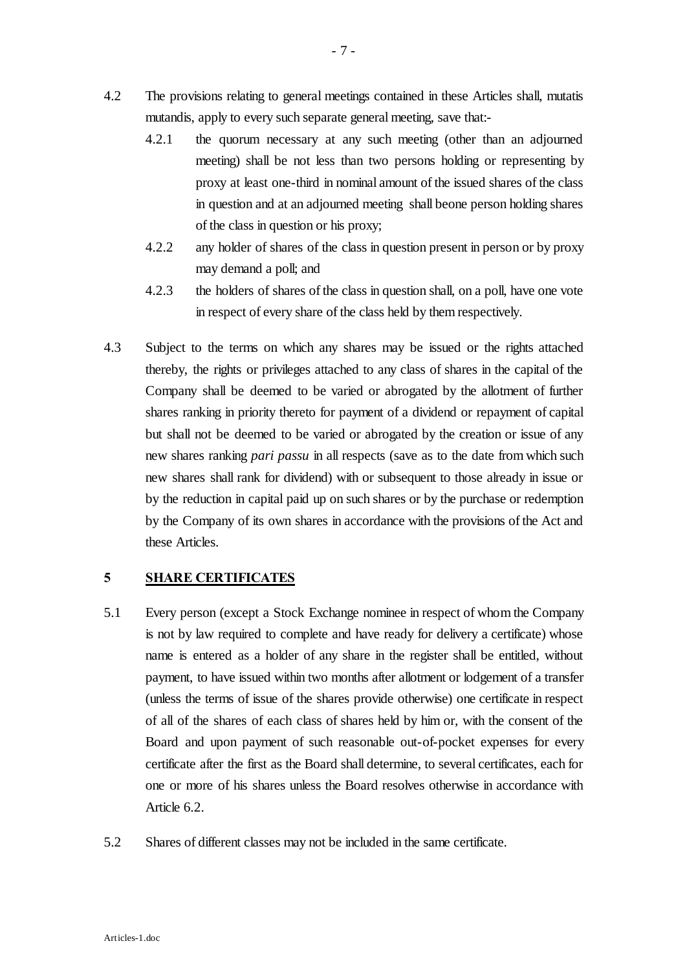- 4.2 The provisions relating to general meetings contained in these Articles shall, mutatis mutandis, apply to every such separate general meeting, save that:-
	- 4.2.1 the quorum necessary at any such meeting (other than an adjourned meeting) shall be not less than two persons holding or representing by proxy at least one-third in nominal amount of the issued shares of the class in question and at an adjourned meeting shall beone person holding shares of the class in question or his proxy;
	- 4.2.2 any holder of shares of the class in question present in person or by proxy may demand a poll; and
	- 4.2.3 the holders of shares of the class in question shall, on a poll, have one vote in respect of every share of the class held by them respectively.
- 4.3 Subject to the terms on which any shares may be issued or the rights attached thereby, the rights or privileges attached to any class of shares in the capital of the Company shall be deemed to be varied or abrogated by the allotment of further shares ranking in priority thereto for payment of a dividend or repayment of capital but shall not be deemed to be varied or abrogated by the creation or issue of any new shares ranking *pari passu* in all respects (save as to the date from which such new shares shall rank for dividend) with or subsequent to those already in issue or by the reduction in capital paid up on such shares or by the purchase or redemption by the Company of its own shares in accordance with the provisions of the Act and these Articles.

## **5 SHARE CERTIFICATES**

- 5.1 Every person (except a Stock Exchange nominee in respect of whom the Company is not by law required to complete and have ready for delivery a certificate) whose name is entered as a holder of any share in the register shall be entitled, without payment, to have issued within two months after allotment or lodgement of a transfer (unless the terms of issue of the shares provide otherwise) one certificate in respect of all of the shares of each class of shares held by him or, with the consent of the Board and upon payment of such reasonable out-of-pocket expenses for every certificate after the first as the Board shall determine, to several certificates, each for one or more of his shares unless the Board resolves otherwise in accordance with Article 6.2.
- 5.2 Shares of different classes may not be included in the same certificate.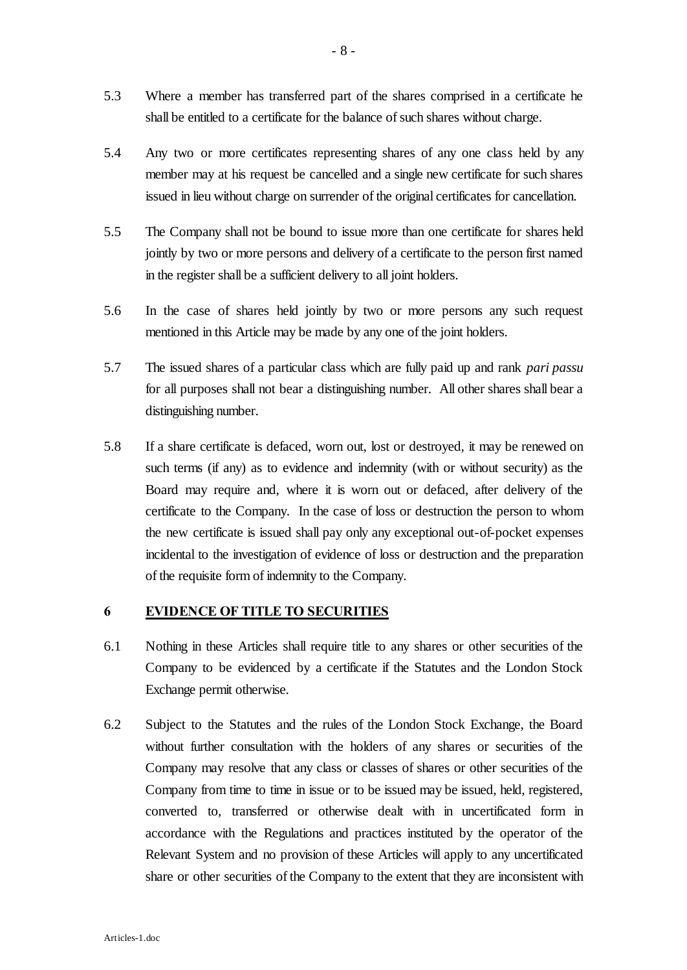- 5.3 Where a member has transferred part of the shares comprised in a certificate he shall be entitled to a certificate for the balance of such shares without charge.
- 5.4 Any two or more certificates representing shares of any one class held by any member may at his request be cancelled and a single new certificate for such shares issued in lieu without charge on surrender of the original certificates for cancellation.
- 5.5 The Company shall not be bound to issue more than one certificate for shares held jointly by two or more persons and delivery of a certificate to the person first named in the register shall be a sufficient delivery to all joint holders.
- 5.6 In the case of shares held jointly by two or more persons any such request mentioned in this Article may be made by any one of the joint holders.
- 5.7 The issued shares of a particular class which are fully paid up and rank *pari passu* for all purposes shall not bear a distinguishing number. All other shares shall bear a distinguishing number.
- 5.8 If a share certificate is defaced, worn out, lost or destroyed, it may be renewed on such terms (if any) as to evidence and indemnity (with or without security) as the Board may require and, where it is worn out or defaced, after delivery of the certificate to the Company. In the case of loss or destruction the person to whom the new certificate is issued shall pay only any exceptional out-of-pocket expenses incidental to the investigation of evidence of loss or destruction and the preparation of the requisite form of indemnity to the Company.

#### **6 EVIDENCE OF TITLE TO SECURITIES**

- 6.1 Nothing in these Articles shall require title to any shares or other securities of the Company to be evidenced by a certificate if the Statutes and the London Stock Exchange permit otherwise.
- 6.2 Subject to the Statutes and the rules of the London Stock Exchange, the Board without further consultation with the holders of any shares or securities of the Company may resolve that any class or classes of shares or other securities of the Company from time to time in issue or to be issued may be issued, held, registered, converted to, transferred or otherwise dealt with in uncertificated form in accordance with the Regulations and practices instituted by the operator of the Relevant System and no provision of these Articles will apply to any uncertificated share or other securities of the Company to the extent that they are inconsistent with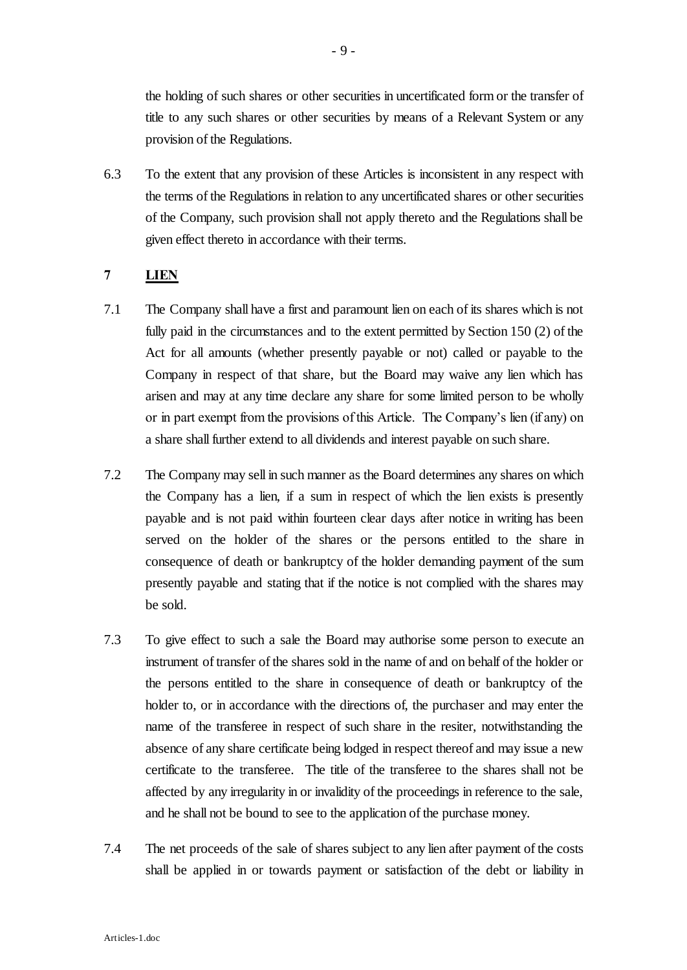the holding of such shares or other securities in uncertificated form or the transfer of title to any such shares or other securities by means of a Relevant System or any provision of the Regulations.

6.3 To the extent that any provision of these Articles is inconsistent in any respect with the terms of the Regulations in relation to any uncertificated shares or other securities of the Company, such provision shall not apply thereto and the Regulations shall be given effect thereto in accordance with their terms.

## **7 LIEN**

- 7.1 The Company shall have a first and paramount lien on each of its shares which is not fully paid in the circumstances and to the extent permitted by Section 150 (2) of the Act for all amounts (whether presently payable or not) called or payable to the Company in respect of that share, but the Board may waive any lien which has arisen and may at any time declare any share for some limited person to be wholly or in part exempt from the provisions of this Article. The Company's lien (if any) on a share shall further extend to all dividends and interest payable on such share.
- 7.2 The Company may sell in such manner as the Board determines any shares on which the Company has a lien, if a sum in respect of which the lien exists is presently payable and is not paid within fourteen clear days after notice in writing has been served on the holder of the shares or the persons entitled to the share in consequence of death or bankruptcy of the holder demanding payment of the sum presently payable and stating that if the notice is not complied with the shares may be sold.
- 7.3 To give effect to such a sale the Board may authorise some person to execute an instrument of transfer of the shares sold in the name of and on behalf of the holder or the persons entitled to the share in consequence of death or bankruptcy of the holder to, or in accordance with the directions of, the purchaser and may enter the name of the transferee in respect of such share in the resiter, notwithstanding the absence of any share certificate being lodged in respect thereof and may issue a new certificate to the transferee. The title of the transferee to the shares shall not be affected by any irregularity in or invalidity of the proceedings in reference to the sale, and he shall not be bound to see to the application of the purchase money.
- 7.4 The net proceeds of the sale of shares subject to any lien after payment of the costs shall be applied in or towards payment or satisfaction of the debt or liability in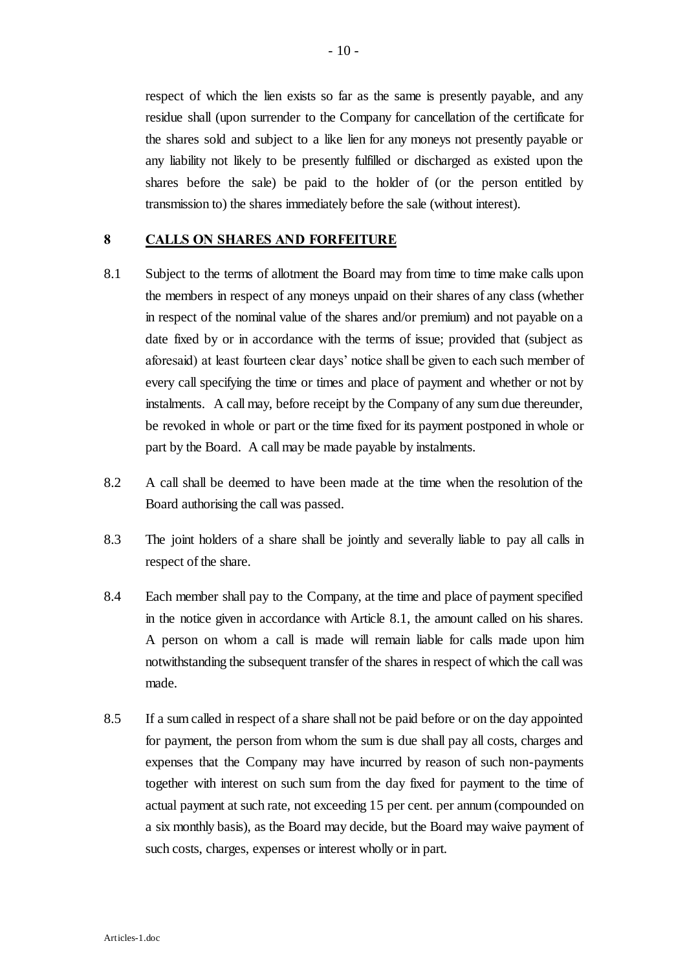respect of which the lien exists so far as the same is presently payable, and any residue shall (upon surrender to the Company for cancellation of the certificate for the shares sold and subject to a like lien for any moneys not presently payable or any liability not likely to be presently fulfilled or discharged as existed upon the shares before the sale) be paid to the holder of (or the person entitled by transmission to) the shares immediately before the sale (without interest).

#### **8 CALLS ON SHARES AND FORFEITURE**

- 8.1 Subject to the terms of allotment the Board may from time to time make calls upon the members in respect of any moneys unpaid on their shares of any class (whether in respect of the nominal value of the shares and/or premium) and not payable on a date fixed by or in accordance with the terms of issue; provided that (subject as aforesaid) at least fourteen clear days' notice shall be given to each such member of every call specifying the time or times and place of payment and whether or not by instalments. A call may, before receipt by the Company of any sum due thereunder, be revoked in whole or part or the time fixed for its payment postponed in whole or part by the Board. A call may be made payable by instalments.
- 8.2 A call shall be deemed to have been made at the time when the resolution of the Board authorising the call was passed.
- 8.3 The joint holders of a share shall be jointly and severally liable to pay all calls in respect of the share.
- 8.4 Each member shall pay to the Company, at the time and place of payment specified in the notice given in accordance with Article 8.1, the amount called on his shares. A person on whom a call is made will remain liable for calls made upon him notwithstanding the subsequent transfer of the shares in respect of which the call was made.
- 8.5 If a sum called in respect of a share shall not be paid before or on the day appointed for payment, the person from whom the sum is due shall pay all costs, charges and expenses that the Company may have incurred by reason of such non-payments together with interest on such sum from the day fixed for payment to the time of actual payment at such rate, not exceeding 15 per cent. per annum (compounded on a six monthly basis), as the Board may decide, but the Board may waive payment of such costs, charges, expenses or interest wholly or in part.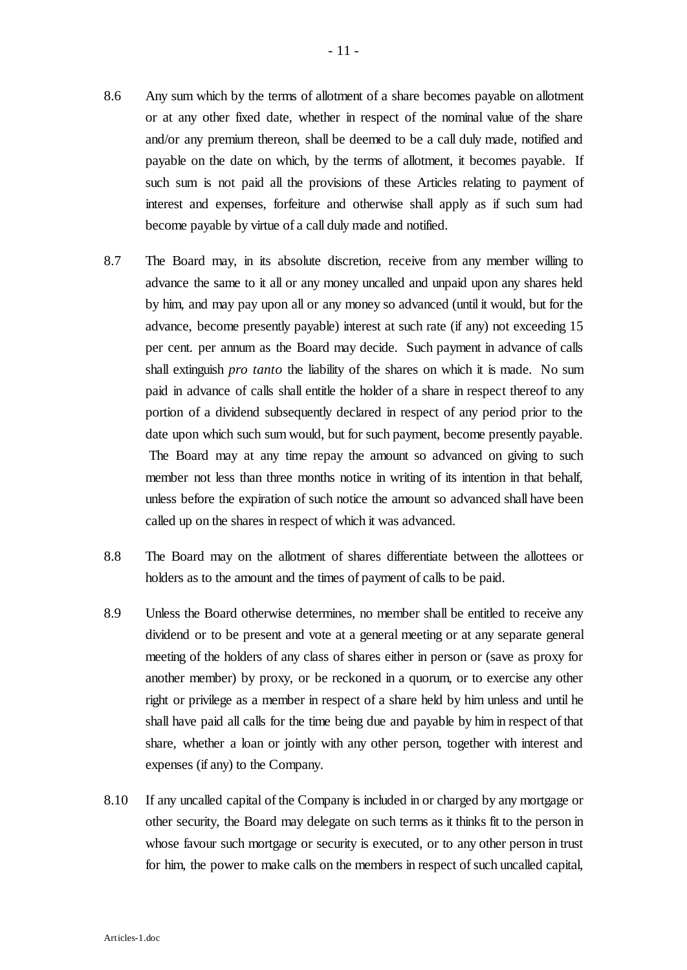- 8.6 Any sum which by the terms of allotment of a share becomes payable on allotment or at any other fixed date, whether in respect of the nominal value of the share and/or any premium thereon, shall be deemed to be a call duly made, notified and payable on the date on which, by the terms of allotment, it becomes payable. If such sum is not paid all the provisions of these Articles relating to payment of interest and expenses, forfeiture and otherwise shall apply as if such sum had become payable by virtue of a call duly made and notified.
- 8.7 The Board may, in its absolute discretion, receive from any member willing to advance the same to it all or any money uncalled and unpaid upon any shares held by him, and may pay upon all or any money so advanced (until it would, but for the advance, become presently payable) interest at such rate (if any) not exceeding 15 per cent. per annum as the Board may decide. Such payment in advance of calls shall extinguish *pro tanto* the liability of the shares on which it is made. No sum paid in advance of calls shall entitle the holder of a share in respect thereof to any portion of a dividend subsequently declared in respect of any period prior to the date upon which such sum would, but for such payment, become presently payable. The Board may at any time repay the amount so advanced on giving to such member not less than three months notice in writing of its intention in that behalf, unless before the expiration of such notice the amount so advanced shall have been called up on the shares in respect of which it was advanced.
- 8.8 The Board may on the allotment of shares differentiate between the allottees or holders as to the amount and the times of payment of calls to be paid.
- 8.9 Unless the Board otherwise determines, no member shall be entitled to receive any dividend or to be present and vote at a general meeting or at any separate general meeting of the holders of any class of shares either in person or (save as proxy for another member) by proxy, or be reckoned in a quorum, or to exercise any other right or privilege as a member in respect of a share held by him unless and until he shall have paid all calls for the time being due and payable by him in respect of that share, whether a loan or jointly with any other person, together with interest and expenses (if any) to the Company.
- 8.10 If any uncalled capital of the Company is included in or charged by any mortgage or other security, the Board may delegate on such terms as it thinks fit to the person in whose favour such mortgage or security is executed, or to any other person in trust for him, the power to make calls on the members in respect of such uncalled capital,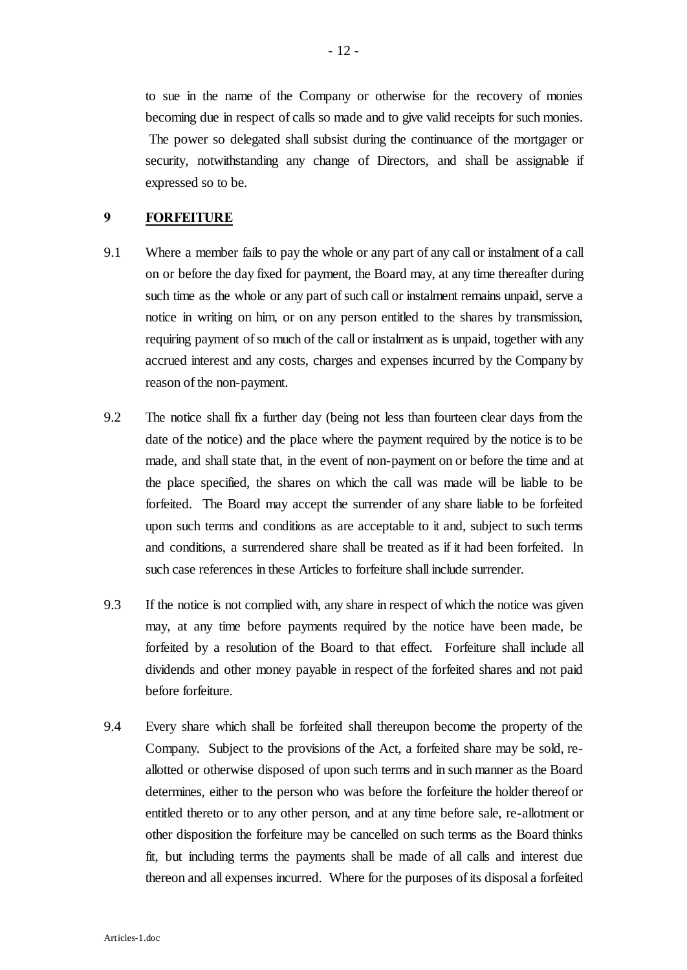to sue in the name of the Company or otherwise for the recovery of monies becoming due in respect of calls so made and to give valid receipts for such monies. The power so delegated shall subsist during the continuance of the mortgager or security, notwithstanding any change of Directors, and shall be assignable if expressed so to be.

#### **9 FORFEITURE**

- 9.1 Where a member fails to pay the whole or any part of any call or instalment of a call on or before the day fixed for payment, the Board may, at any time thereafter during such time as the whole or any part of such call or instalment remains unpaid, serve a notice in writing on him, or on any person entitled to the shares by transmission, requiring payment of so much of the call or instalment as is unpaid, together with any accrued interest and any costs, charges and expenses incurred by the Company by reason of the non-payment.
- 9.2 The notice shall fix a further day (being not less than fourteen clear days from the date of the notice) and the place where the payment required by the notice is to be made, and shall state that, in the event of non-payment on or before the time and at the place specified, the shares on which the call was made will be liable to be forfeited. The Board may accept the surrender of any share liable to be forfeited upon such terms and conditions as are acceptable to it and, subject to such terms and conditions, a surrendered share shall be treated as if it had been forfeited. In such case references in these Articles to forfeiture shall include surrender.
- 9.3 If the notice is not complied with, any share in respect of which the notice was given may, at any time before payments required by the notice have been made, be forfeited by a resolution of the Board to that effect. Forfeiture shall include all dividends and other money payable in respect of the forfeited shares and not paid before forfeiture.
- 9.4 Every share which shall be forfeited shall thereupon become the property of the Company. Subject to the provisions of the Act, a forfeited share may be sold, reallotted or otherwise disposed of upon such terms and in such manner as the Board determines, either to the person who was before the forfeiture the holder thereof or entitled thereto or to any other person, and at any time before sale, re-allotment or other disposition the forfeiture may be cancelled on such terms as the Board thinks fit, but including terms the payments shall be made of all calls and interest due thereon and all expenses incurred. Where for the purposes of its disposal a forfeited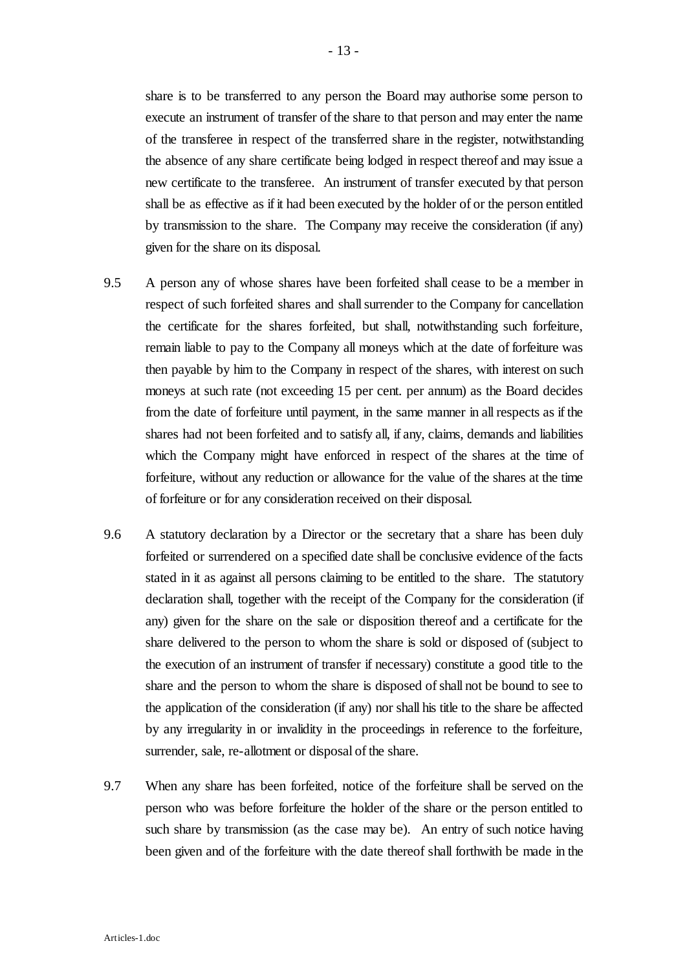share is to be transferred to any person the Board may authorise some person to execute an instrument of transfer of the share to that person and may enter the name of the transferee in respect of the transferred share in the register, notwithstanding the absence of any share certificate being lodged in respect thereof and may issue a new certificate to the transferee. An instrument of transfer executed by that person shall be as effective as if it had been executed by the holder of or the person entitled by transmission to the share. The Company may receive the consideration (if any) given for the share on its disposal.

- 9.5 A person any of whose shares have been forfeited shall cease to be a member in respect of such forfeited shares and shall surrender to the Company for cancellation the certificate for the shares forfeited, but shall, notwithstanding such forfeiture, remain liable to pay to the Company all moneys which at the date of forfeiture was then payable by him to the Company in respect of the shares, with interest on such moneys at such rate (not exceeding 15 per cent. per annum) as the Board decides from the date of forfeiture until payment, in the same manner in all respects as if the shares had not been forfeited and to satisfy all, if any, claims, demands and liabilities which the Company might have enforced in respect of the shares at the time of forfeiture, without any reduction or allowance for the value of the shares at the time of forfeiture or for any consideration received on their disposal.
- 9.6 A statutory declaration by a Director or the secretary that a share has been duly forfeited or surrendered on a specified date shall be conclusive evidence of the facts stated in it as against all persons claiming to be entitled to the share. The statutory declaration shall, together with the receipt of the Company for the consideration (if any) given for the share on the sale or disposition thereof and a certificate for the share delivered to the person to whom the share is sold or disposed of (subject to the execution of an instrument of transfer if necessary) constitute a good title to the share and the person to whom the share is disposed of shall not be bound to see to the application of the consideration (if any) nor shall his title to the share be affected by any irregularity in or invalidity in the proceedings in reference to the forfeiture, surrender, sale, re-allotment or disposal of the share.
- 9.7 When any share has been forfeited, notice of the forfeiture shall be served on the person who was before forfeiture the holder of the share or the person entitled to such share by transmission (as the case may be). An entry of such notice having been given and of the forfeiture with the date thereof shall forthwith be made in the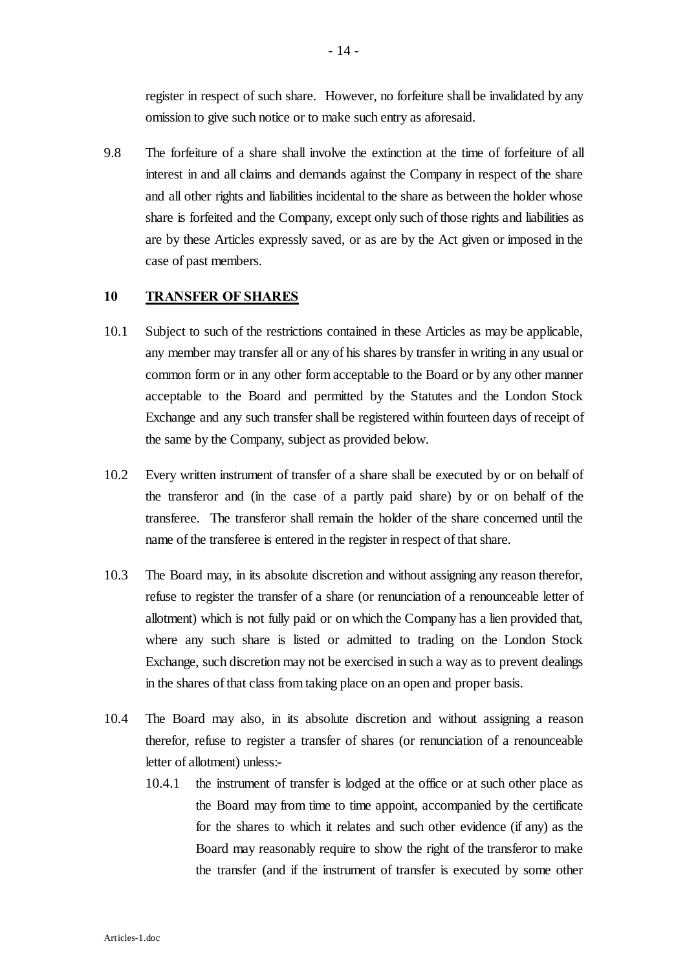register in respect of such share. However, no forfeiture shall be invalidated by any omission to give such notice or to make such entry as aforesaid.

9.8 The forfeiture of a share shall involve the extinction at the time of forfeiture of all interest in and all claims and demands against the Company in respect of the share and all other rights and liabilities incidental to the share as between the holder whose share is forfeited and the Company, except only such of those rights and liabilities as are by these Articles expressly saved, or as are by the Act given or imposed in the case of past members.

## **10 TRANSFER OF SHARES**

- 10.1 Subject to such of the restrictions contained in these Articles as may be applicable, any member may transfer all or any of his shares by transfer in writing in any usual or common form or in any other form acceptable to the Board or by any other manner acceptable to the Board and permitted by the Statutes and the London Stock Exchange and any such transfer shall be registered within fourteen days of receipt of the same by the Company, subject as provided below.
- 10.2 Every written instrument of transfer of a share shall be executed by or on behalf of the transferor and (in the case of a partly paid share) by or on behalf of the transferee. The transferor shall remain the holder of the share concerned until the name of the transferee is entered in the register in respect of that share.
- 10.3 The Board may, in its absolute discretion and without assigning any reason therefor, refuse to register the transfer of a share (or renunciation of a renounceable letter of allotment) which is not fully paid or on which the Company has a lien provided that, where any such share is listed or admitted to trading on the London Stock Exchange, such discretion may not be exercised in such a way as to prevent dealings in the shares of that class from taking place on an open and proper basis.
- 10.4 The Board may also, in its absolute discretion and without assigning a reason therefor, refuse to register a transfer of shares (or renunciation of a renounceable letter of allotment) unless:-
	- 10.4.1 the instrument of transfer is lodged at the office or at such other place as the Board may from time to time appoint, accompanied by the certificate for the shares to which it relates and such other evidence (if any) as the Board may reasonably require to show the right of the transferor to make the transfer (and if the instrument of transfer is executed by some other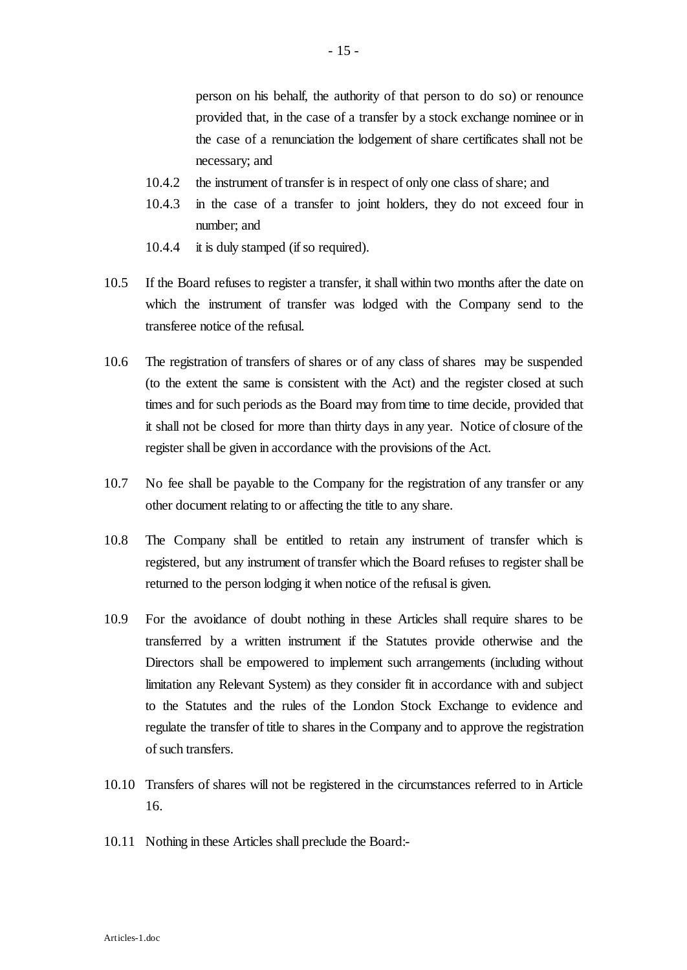person on his behalf, the authority of that person to do so) or renounce provided that, in the case of a transfer by a stock exchange nominee or in the case of a renunciation the lodgement of share certificates shall not be necessary; and

- 10.4.2 the instrument of transfer is in respect of only one class of share; and
- 10.4.3 in the case of a transfer to joint holders, they do not exceed four in number; and
- 10.4.4 it is duly stamped (if so required).
- 10.5 If the Board refuses to register a transfer, it shall within two months after the date on which the instrument of transfer was lodged with the Company send to the transferee notice of the refusal.
- 10.6 The registration of transfers of shares or of any class of shares may be suspended (to the extent the same is consistent with the Act) and the register closed at such times and for such periods as the Board may from time to time decide, provided that it shall not be closed for more than thirty days in any year. Notice of closure of the register shall be given in accordance with the provisions of the Act.
- 10.7 No fee shall be payable to the Company for the registration of any transfer or any other document relating to or affecting the title to any share.
- 10.8 The Company shall be entitled to retain any instrument of transfer which is registered, but any instrument of transfer which the Board refuses to register shall be returned to the person lodging it when notice of the refusal is given.
- 10.9 For the avoidance of doubt nothing in these Articles shall require shares to be transferred by a written instrument if the Statutes provide otherwise and the Directors shall be empowered to implement such arrangements (including without limitation any Relevant System) as they consider fit in accordance with and subject to the Statutes and the rules of the London Stock Exchange to evidence and regulate the transfer of title to shares in the Company and to approve the registration of such transfers.
- 10.10 Transfers of shares will not be registered in the circumstances referred to in Article 16.
- 10.11 Nothing in these Articles shall preclude the Board:-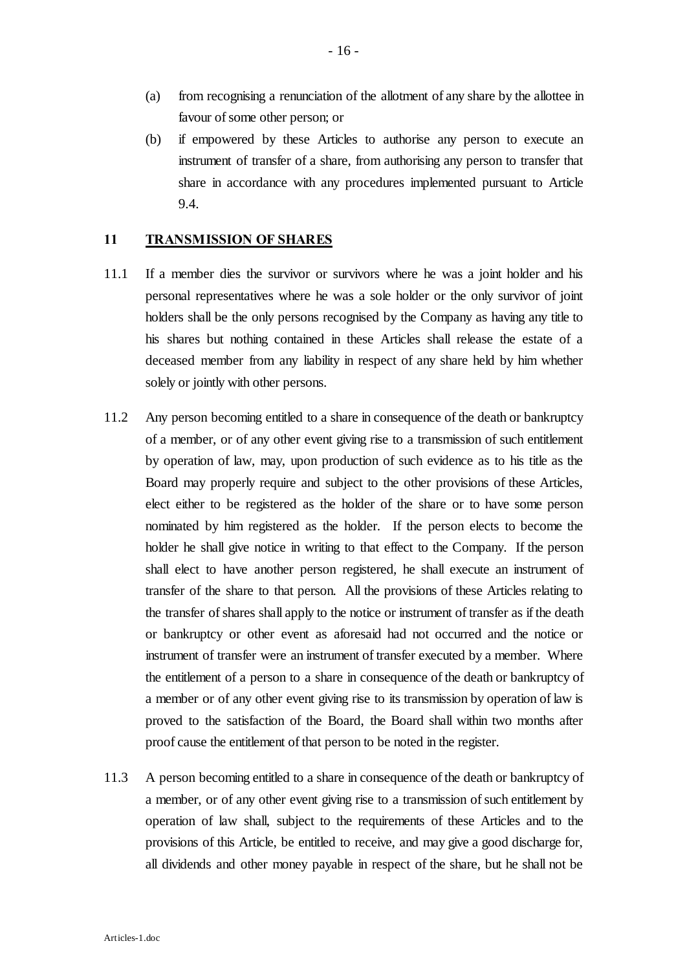- (a) from recognising a renunciation of the allotment of any share by the allottee in favour of some other person; or
- (b) if empowered by these Articles to authorise any person to execute an instrument of transfer of a share, from authorising any person to transfer that share in accordance with any procedures implemented pursuant to Article 9.4.

#### **11 TRANSMISSION OF SHARES**

- 11.1 If a member dies the survivor or survivors where he was a joint holder and his personal representatives where he was a sole holder or the only survivor of joint holders shall be the only persons recognised by the Company as having any title to his shares but nothing contained in these Articles shall release the estate of a deceased member from any liability in respect of any share held by him whether solely or jointly with other persons.
- 11.2 Any person becoming entitled to a share in consequence of the death or bankruptcy of a member, or of any other event giving rise to a transmission of such entitlement by operation of law, may, upon production of such evidence as to his title as the Board may properly require and subject to the other provisions of these Articles, elect either to be registered as the holder of the share or to have some person nominated by him registered as the holder. If the person elects to become the holder he shall give notice in writing to that effect to the Company. If the person shall elect to have another person registered, he shall execute an instrument of transfer of the share to that person. All the provisions of these Articles relating to the transfer of shares shall apply to the notice or instrument of transfer as if the death or bankruptcy or other event as aforesaid had not occurred and the notice or instrument of transfer were an instrument of transfer executed by a member. Where the entitlement of a person to a share in consequence of the death or bankruptcy of a member or of any other event giving rise to its transmission by operation of law is proved to the satisfaction of the Board, the Board shall within two months after proof cause the entitlement of that person to be noted in the register.
- 11.3 A person becoming entitled to a share in consequence of the death or bankruptcy of a member, or of any other event giving rise to a transmission of such entitlement by operation of law shall, subject to the requirements of these Articles and to the provisions of this Article, be entitled to receive, and may give a good discharge for, all dividends and other money payable in respect of the share, but he shall not be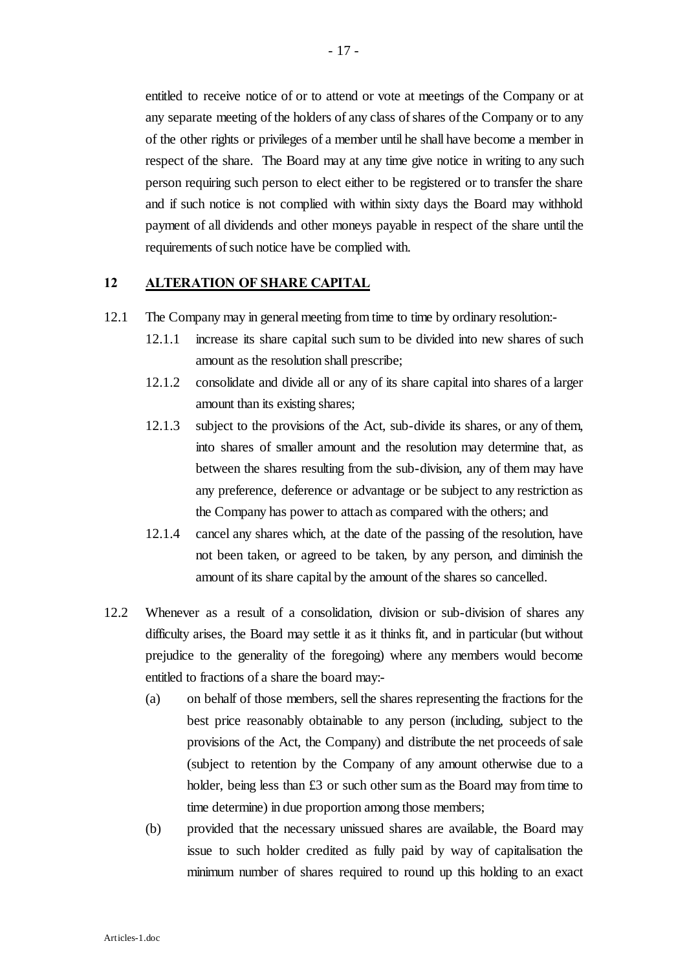entitled to receive notice of or to attend or vote at meetings of the Company or at any separate meeting of the holders of any class of shares of the Company or to any of the other rights or privileges of a member until he shall have become a member in respect of the share. The Board may at any time give notice in writing to any such person requiring such person to elect either to be registered or to transfer the share and if such notice is not complied with within sixty days the Board may withhold payment of all dividends and other moneys payable in respect of the share until the requirements of such notice have be complied with.

### **12 ALTERATION OF SHARE CAPITAL**

- 12.1 The Company may in general meeting from time to time by ordinary resolution:-
	- 12.1.1 increase its share capital such sum to be divided into new shares of such amount as the resolution shall prescribe;
	- 12.1.2 consolidate and divide all or any of its share capital into shares of a larger amount than its existing shares;
	- 12.1.3 subject to the provisions of the Act, sub-divide its shares, or any of them, into shares of smaller amount and the resolution may determine that, as between the shares resulting from the sub-division, any of them may have any preference, deference or advantage or be subject to any restriction as the Company has power to attach as compared with the others; and
	- 12.1.4 cancel any shares which, at the date of the passing of the resolution, have not been taken, or agreed to be taken, by any person, and diminish the amount of its share capital by the amount of the shares so cancelled.
- 12.2 Whenever as a result of a consolidation, division or sub-division of shares any difficulty arises, the Board may settle it as it thinks fit, and in particular (but without prejudice to the generality of the foregoing) where any members would become entitled to fractions of a share the board may:-
	- (a) on behalf of those members, sell the shares representing the fractions for the best price reasonably obtainable to any person (including, subject to the provisions of the Act, the Company) and distribute the net proceeds of sale (subject to retention by the Company of any amount otherwise due to a holder, being less than £3 or such other sum as the Board may from time to time determine) in due proportion among those members;
	- (b) provided that the necessary unissued shares are available, the Board may issue to such holder credited as fully paid by way of capitalisation the minimum number of shares required to round up this holding to an exact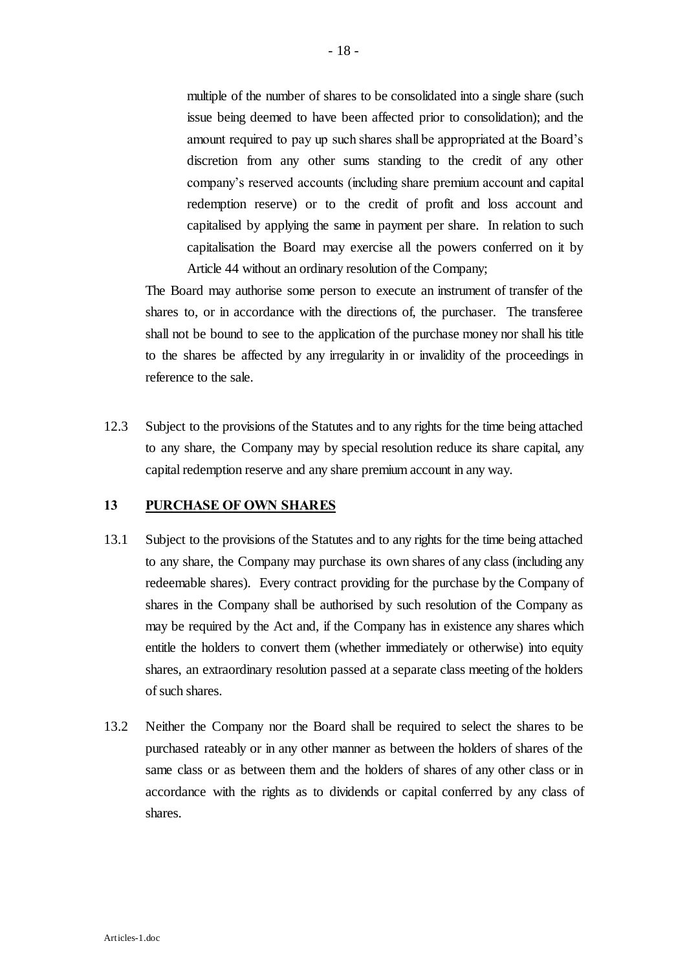multiple of the number of shares to be consolidated into a single share (such issue being deemed to have been affected prior to consolidation); and the amount required to pay up such shares shall be appropriated at the Board's discretion from any other sums standing to the credit of any other company's reserved accounts (including share premium account and capital redemption reserve) or to the credit of profit and loss account and capitalised by applying the same in payment per share. In relation to such capitalisation the Board may exercise all the powers conferred on it by Article 44 without an ordinary resolution of the Company;

The Board may authorise some person to execute an instrument of transfer of the shares to, or in accordance with the directions of, the purchaser. The transferee shall not be bound to see to the application of the purchase money nor shall his title to the shares be affected by any irregularity in or invalidity of the proceedings in reference to the sale.

12.3 Subject to the provisions of the Statutes and to any rights for the time being attached to any share, the Company may by special resolution reduce its share capital, any capital redemption reserve and any share premium account in any way.

#### **13 PURCHASE OF OWN SHARES**

- 13.1 Subject to the provisions of the Statutes and to any rights for the time being attached to any share, the Company may purchase its own shares of any class (including any redeemable shares). Every contract providing for the purchase by the Company of shares in the Company shall be authorised by such resolution of the Company as may be required by the Act and, if the Company has in existence any shares which entitle the holders to convert them (whether immediately or otherwise) into equity shares, an extraordinary resolution passed at a separate class meeting of the holders of such shares.
- 13.2 Neither the Company nor the Board shall be required to select the shares to be purchased rateably or in any other manner as between the holders of shares of the same class or as between them and the holders of shares of any other class or in accordance with the rights as to dividends or capital conferred by any class of shares.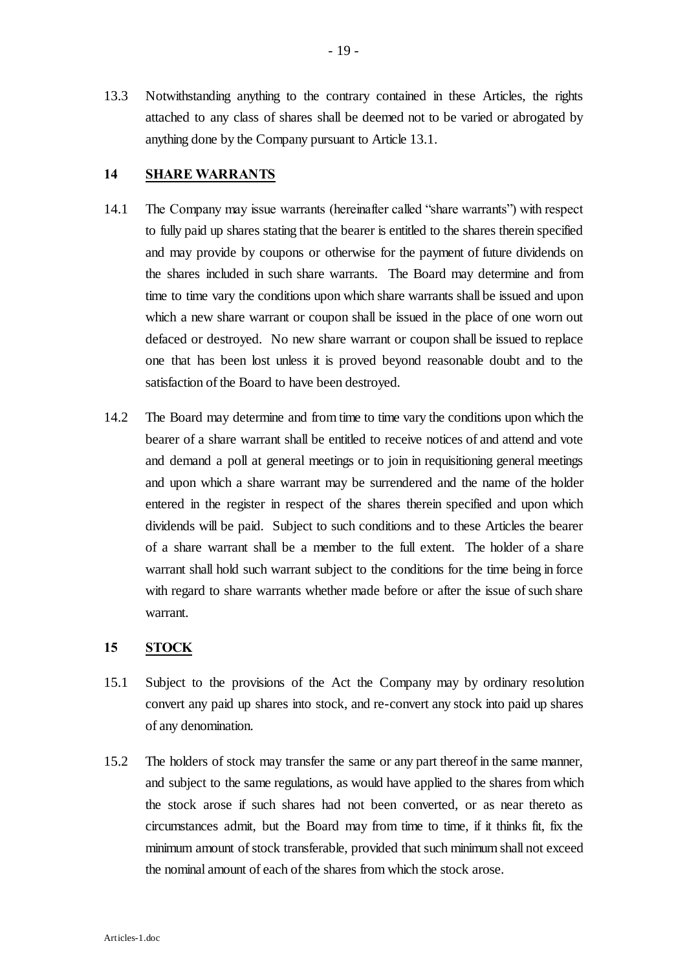13.3 Notwithstanding anything to the contrary contained in these Articles, the rights attached to any class of shares shall be deemed not to be varied or abrogated by anything done by the Company pursuant to Article 13.1.

## **14 SHARE WARRANTS**

- 14.1 The Company may issue warrants (hereinafter called "share warrants") with respect to fully paid up shares stating that the bearer is entitled to the shares therein specified and may provide by coupons or otherwise for the payment of future dividends on the shares included in such share warrants. The Board may determine and from time to time vary the conditions upon which share warrants shall be issued and upon which a new share warrant or coupon shall be issued in the place of one worn out defaced or destroyed. No new share warrant or coupon shall be issued to replace one that has been lost unless it is proved beyond reasonable doubt and to the satisfaction of the Board to have been destroyed.
- 14.2 The Board may determine and from time to time vary the conditions upon which the bearer of a share warrant shall be entitled to receive notices of and attend and vote and demand a poll at general meetings or to join in requisitioning general meetings and upon which a share warrant may be surrendered and the name of the holder entered in the register in respect of the shares therein specified and upon which dividends will be paid. Subject to such conditions and to these Articles the bearer of a share warrant shall be a member to the full extent. The holder of a share warrant shall hold such warrant subject to the conditions for the time being in force with regard to share warrants whether made before or after the issue of such share warrant.

#### **15 STOCK**

- 15.1 Subject to the provisions of the Act the Company may by ordinary resolution convert any paid up shares into stock, and re-convert any stock into paid up shares of any denomination.
- 15.2 The holders of stock may transfer the same or any part thereof in the same manner, and subject to the same regulations, as would have applied to the shares from which the stock arose if such shares had not been converted, or as near thereto as circumstances admit, but the Board may from time to time, if it thinks fit, fix the minimum amount of stock transferable, provided that such minimum shall not exceed the nominal amount of each of the shares from which the stock arose.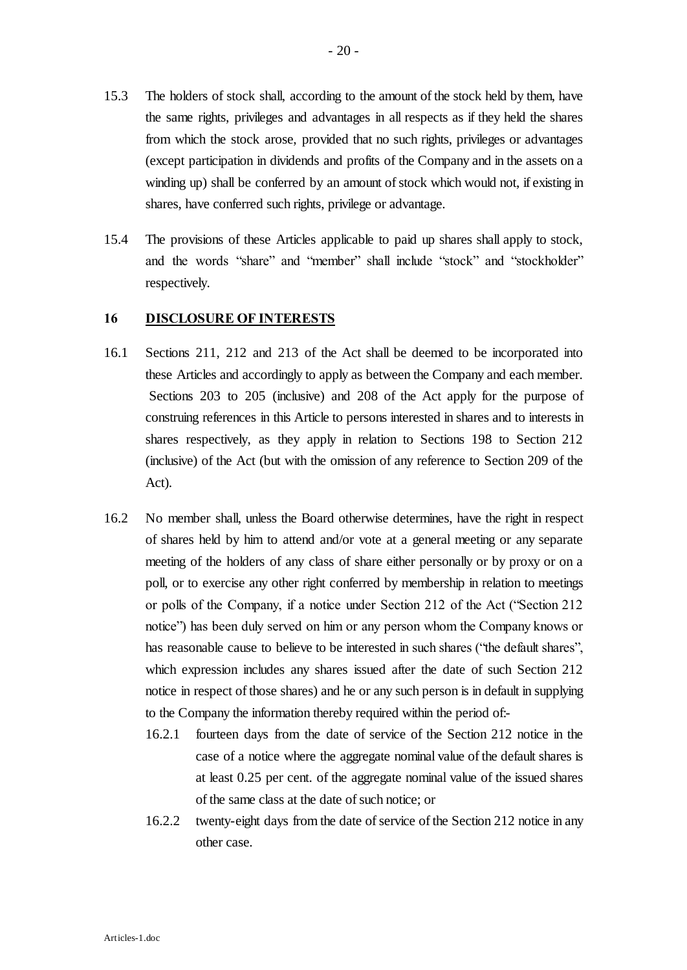- 15.3 The holders of stock shall, according to the amount of the stock held by them, have the same rights, privileges and advantages in all respects as if they held the shares from which the stock arose, provided that no such rights, privileges or advantages (except participation in dividends and profits of the Company and in the assets on a winding up) shall be conferred by an amount of stock which would not, if existing in shares, have conferred such rights, privilege or advantage.
- 15.4 The provisions of these Articles applicable to paid up shares shall apply to stock, and the words "share" and "member" shall include "stock" and "stockholder" respectively.

### **16 DISCLOSURE OF INTERESTS**

- 16.1 Sections 211, 212 and 213 of the Act shall be deemed to be incorporated into these Articles and accordingly to apply as between the Company and each member. Sections 203 to 205 (inclusive) and 208 of the Act apply for the purpose of construing references in this Article to persons interested in shares and to interests in shares respectively, as they apply in relation to Sections 198 to Section 212 (inclusive) of the Act (but with the omission of any reference to Section 209 of the Act).
- 16.2 No member shall, unless the Board otherwise determines, have the right in respect of shares held by him to attend and/or vote at a general meeting or any separate meeting of the holders of any class of share either personally or by proxy or on a poll, or to exercise any other right conferred by membership in relation to meetings or polls of the Company, if a notice under Section 212 of the Act ("Section 212 notice") has been duly served on him or any person whom the Company knows or has reasonable cause to believe to be interested in such shares ("the default shares", which expression includes any shares issued after the date of such Section 212 notice in respect of those shares) and he or any such person is in default in supplying to the Company the information thereby required within the period of:-
	- 16.2.1 fourteen days from the date of service of the Section 212 notice in the case of a notice where the aggregate nominal value of the default shares is at least 0.25 per cent. of the aggregate nominal value of the issued shares of the same class at the date of such notice; or
	- 16.2.2 twenty-eight days from the date of service of the Section 212 notice in any other case.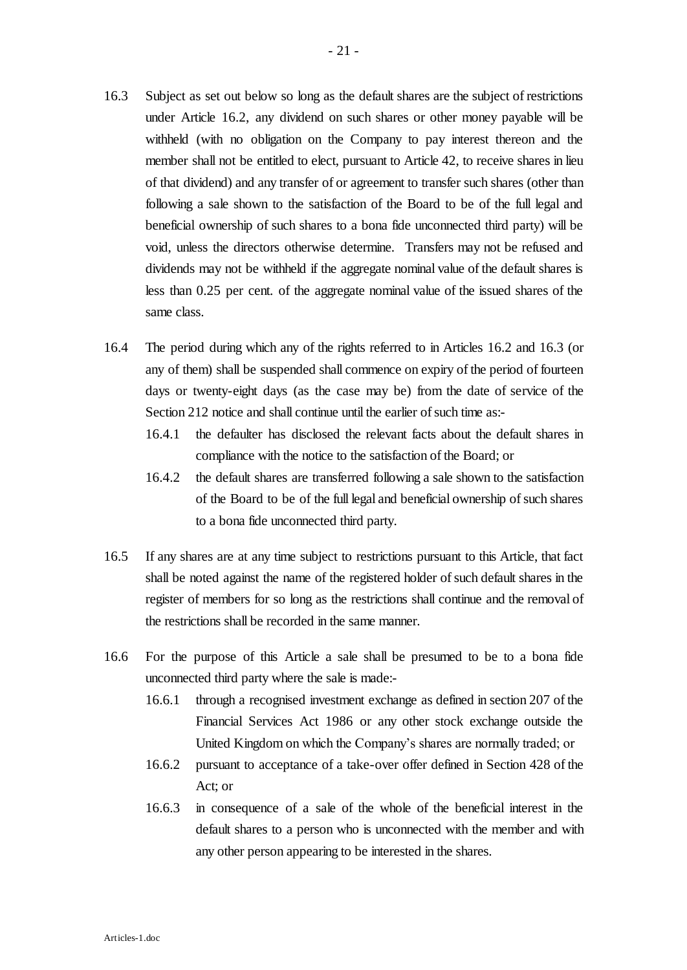- 16.3 Subject as set out below so long as the default shares are the subject of restrictions under Article 16.2, any dividend on such shares or other money payable will be withheld (with no obligation on the Company to pay interest thereon and the member shall not be entitled to elect, pursuant to Article 42, to receive shares in lieu of that dividend) and any transfer of or agreement to transfer such shares (other than following a sale shown to the satisfaction of the Board to be of the full legal and beneficial ownership of such shares to a bona fide unconnected third party) will be void, unless the directors otherwise determine. Transfers may not be refused and dividends may not be withheld if the aggregate nominal value of the default shares is less than 0.25 per cent. of the aggregate nominal value of the issued shares of the same class.
- 16.4 The period during which any of the rights referred to in Articles 16.2 and 16.3 (or any of them) shall be suspended shall commence on expiry of the period of fourteen days or twenty-eight days (as the case may be) from the date of service of the Section 212 notice and shall continue until the earlier of such time as:-
	- 16.4.1 the defaulter has disclosed the relevant facts about the default shares in compliance with the notice to the satisfaction of the Board; or
	- 16.4.2 the default shares are transferred following a sale shown to the satisfaction of the Board to be of the full legal and beneficial ownership of such shares to a bona fide unconnected third party.
- 16.5 If any shares are at any time subject to restrictions pursuant to this Article, that fact shall be noted against the name of the registered holder of such default shares in the register of members for so long as the restrictions shall continue and the removal of the restrictions shall be recorded in the same manner.
- 16.6 For the purpose of this Article a sale shall be presumed to be to a bona fide unconnected third party where the sale is made:-
	- 16.6.1 through a recognised investment exchange as defined in section 207 of the Financial Services Act 1986 or any other stock exchange outside the United Kingdom on which the Company's shares are normally traded; or
	- 16.6.2 pursuant to acceptance of a take-over offer defined in Section 428 of the Act; or
	- 16.6.3 in consequence of a sale of the whole of the beneficial interest in the default shares to a person who is unconnected with the member and with any other person appearing to be interested in the shares.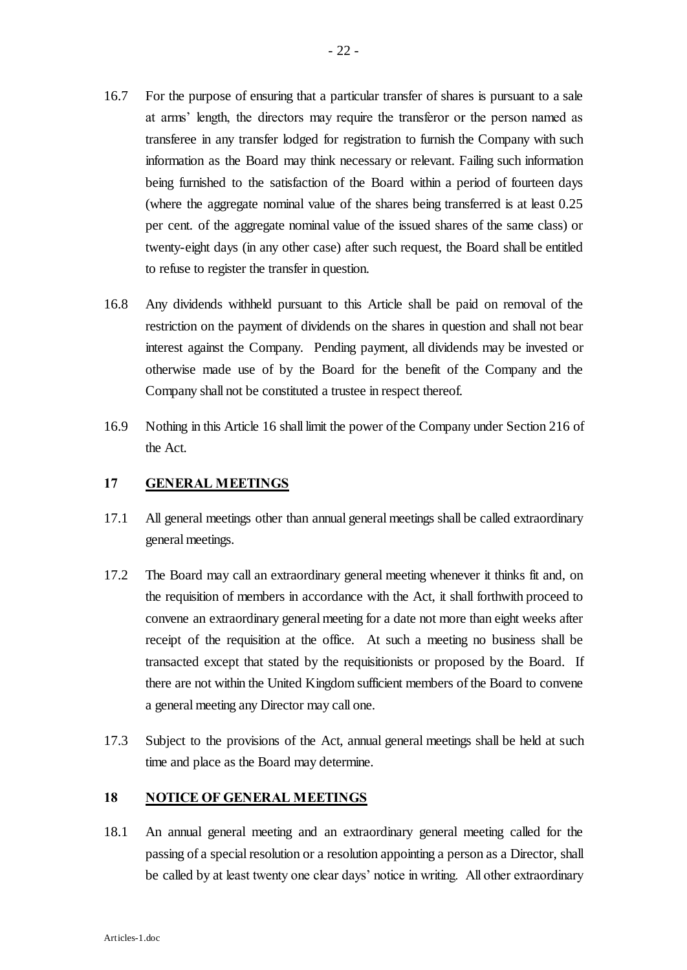- 16.7 For the purpose of ensuring that a particular transfer of shares is pursuant to a sale at arms' length, the directors may require the transferor or the person named as transferee in any transfer lodged for registration to furnish the Company with such information as the Board may think necessary or relevant. Failing such information being furnished to the satisfaction of the Board within a period of fourteen days (where the aggregate nominal value of the shares being transferred is at least 0.25 per cent. of the aggregate nominal value of the issued shares of the same class) or twenty-eight days (in any other case) after such request, the Board shall be entitled to refuse to register the transfer in question.
- 16.8 Any dividends withheld pursuant to this Article shall be paid on removal of the restriction on the payment of dividends on the shares in question and shall not bear interest against the Company. Pending payment, all dividends may be invested or otherwise made use of by the Board for the benefit of the Company and the Company shall not be constituted a trustee in respect thereof.
- 16.9 Nothing in this Article 16 shall limit the power of the Company under Section 216 of the Act.

## **17 GENERAL MEETINGS**

- 17.1 All general meetings other than annual general meetings shall be called extraordinary general meetings.
- 17.2 The Board may call an extraordinary general meeting whenever it thinks fit and, on the requisition of members in accordance with the Act, it shall forthwith proceed to convene an extraordinary general meeting for a date not more than eight weeks after receipt of the requisition at the office. At such a meeting no business shall be transacted except that stated by the requisitionists or proposed by the Board. If there are not within the United Kingdom sufficient members of the Board to convene a general meeting any Director may call one.
- 17.3 Subject to the provisions of the Act, annual general meetings shall be held at such time and place as the Board may determine.

## **18 NOTICE OF GENERAL MEETINGS**

18.1 An annual general meeting and an extraordinary general meeting called for the passing of a special resolution or a resolution appointing a person as a Director, shall be called by at least twenty one clear days' notice in writing. All other extraordinary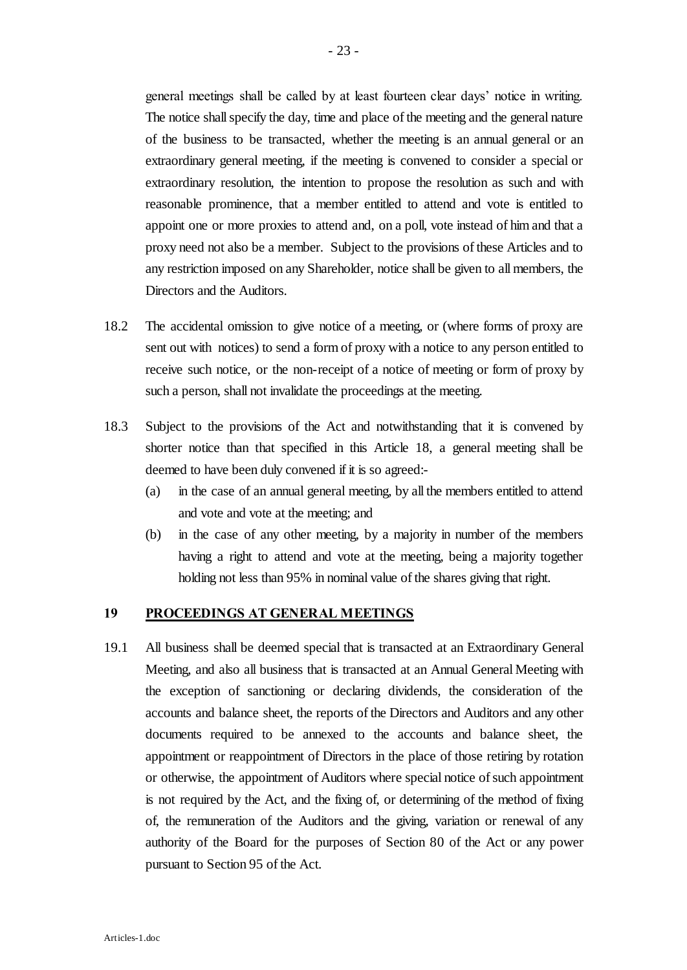general meetings shall be called by at least fourteen clear days' notice in writing. The notice shall specify the day, time and place of the meeting and the general nature of the business to be transacted, whether the meeting is an annual general or an extraordinary general meeting, if the meeting is convened to consider a special or extraordinary resolution, the intention to propose the resolution as such and with reasonable prominence, that a member entitled to attend and vote is entitled to appoint one or more proxies to attend and, on a poll, vote instead of him and that a proxy need not also be a member. Subject to the provisions of these Articles and to any restriction imposed on any Shareholder, notice shall be given to all members, the Directors and the Auditors.

- 18.2 The accidental omission to give notice of a meeting, or (where forms of proxy are sent out with notices) to send a form of proxy with a notice to any person entitled to receive such notice, or the non-receipt of a notice of meeting or form of proxy by such a person, shall not invalidate the proceedings at the meeting.
- 18.3 Subject to the provisions of the Act and notwithstanding that it is convened by shorter notice than that specified in this Article 18, a general meeting shall be deemed to have been duly convened if it is so agreed:-
	- (a) in the case of an annual general meeting, by all the members entitled to attend and vote and vote at the meeting; and
	- (b) in the case of any other meeting, by a majority in number of the members having a right to attend and vote at the meeting, being a majority together holding not less than 95% in nominal value of the shares giving that right.

#### **19 PROCEEDINGS AT GENERAL MEETINGS**

19.1 All business shall be deemed special that is transacted at an Extraordinary General Meeting, and also all business that is transacted at an Annual General Meeting with the exception of sanctioning or declaring dividends, the consideration of the accounts and balance sheet, the reports of the Directors and Auditors and any other documents required to be annexed to the accounts and balance sheet, the appointment or reappointment of Directors in the place of those retiring by rotation or otherwise, the appointment of Auditors where special notice of such appointment is not required by the Act, and the fixing of, or determining of the method of fixing of, the remuneration of the Auditors and the giving, variation or renewal of any authority of the Board for the purposes of Section 80 of the Act or any power pursuant to Section 95 of the Act.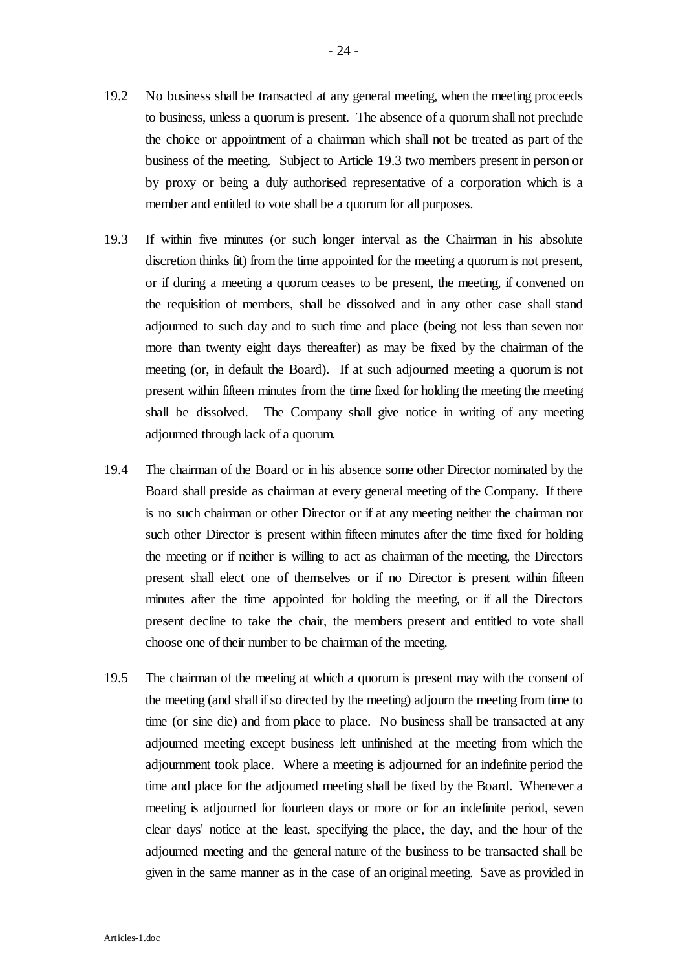- 19.2 No business shall be transacted at any general meeting, when the meeting proceeds to business, unless a quorum is present. The absence of a quorum shall not preclude the choice or appointment of a chairman which shall not be treated as part of the business of the meeting. Subject to Article 19.3 two members present in person or by proxy or being a duly authorised representative of a corporation which is a member and entitled to vote shall be a quorum for all purposes.
- 19.3 If within five minutes (or such longer interval as the Chairman in his absolute discretion thinks fit) from the time appointed for the meeting a quorum is not present, or if during a meeting a quorum ceases to be present, the meeting, if convened on the requisition of members, shall be dissolved and in any other case shall stand adjourned to such day and to such time and place (being not less than seven nor more than twenty eight days thereafter) as may be fixed by the chairman of the meeting (or, in default the Board). If at such adjourned meeting a quorum is not present within fifteen minutes from the time fixed for holding the meeting the meeting shall be dissolved. The Company shall give notice in writing of any meeting adjourned through lack of a quorum.
- 19.4 The chairman of the Board or in his absence some other Director nominated by the Board shall preside as chairman at every general meeting of the Company. If there is no such chairman or other Director or if at any meeting neither the chairman nor such other Director is present within fifteen minutes after the time fixed for holding the meeting or if neither is willing to act as chairman of the meeting, the Directors present shall elect one of themselves or if no Director is present within fifteen minutes after the time appointed for holding the meeting, or if all the Directors present decline to take the chair, the members present and entitled to vote shall choose one of their number to be chairman of the meeting.
- 19.5 The chairman of the meeting at which a quorum is present may with the consent of the meeting (and shall if so directed by the meeting) adjourn the meeting from time to time (or sine die) and from place to place. No business shall be transacted at any adjourned meeting except business left unfinished at the meeting from which the adjournment took place. Where a meeting is adjourned for an indefinite period the time and place for the adjourned meeting shall be fixed by the Board. Whenever a meeting is adjourned for fourteen days or more or for an indefinite period, seven clear days' notice at the least, specifying the place, the day, and the hour of the adjourned meeting and the general nature of the business to be transacted shall be given in the same manner as in the case of an original meeting. Save as provided in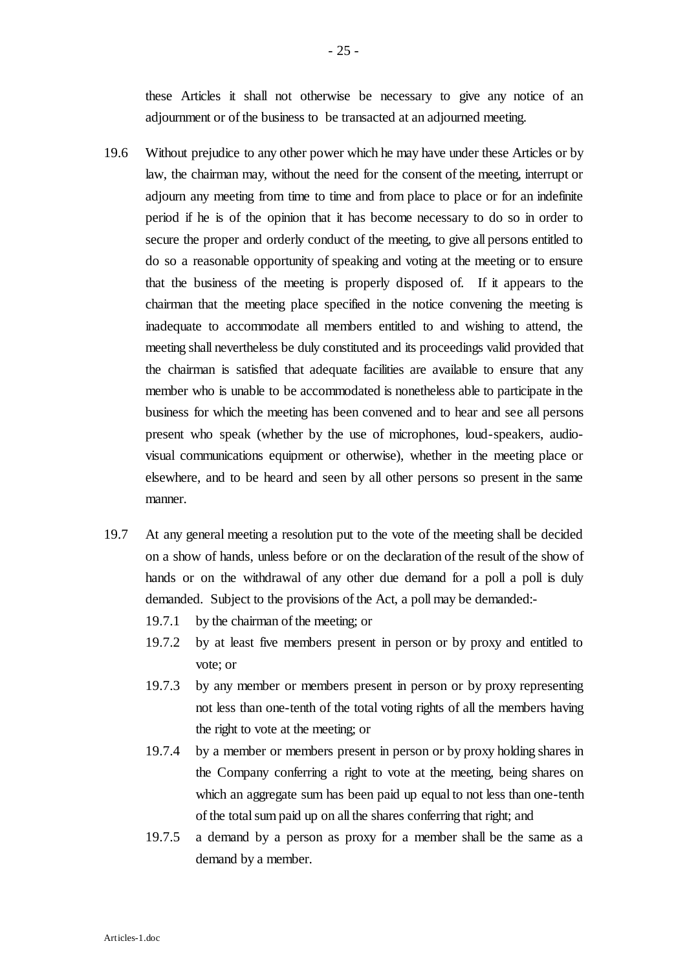these Articles it shall not otherwise be necessary to give any notice of an adjournment or of the business to be transacted at an adjourned meeting.

- 19.6 Without prejudice to any other power which he may have under these Articles or by law, the chairman may, without the need for the consent of the meeting, interrupt or adjourn any meeting from time to time and from place to place or for an indefinite period if he is of the opinion that it has become necessary to do so in order to secure the proper and orderly conduct of the meeting, to give all persons entitled to do so a reasonable opportunity of speaking and voting at the meeting or to ensure that the business of the meeting is properly disposed of. If it appears to the chairman that the meeting place specified in the notice convening the meeting is inadequate to accommodate all members entitled to and wishing to attend, the meeting shall nevertheless be duly constituted and its proceedings valid provided that the chairman is satisfied that adequate facilities are available to ensure that any member who is unable to be accommodated is nonetheless able to participate in the business for which the meeting has been convened and to hear and see all persons present who speak (whether by the use of microphones, loud-speakers, audiovisual communications equipment or otherwise), whether in the meeting place or elsewhere, and to be heard and seen by all other persons so present in the same manner.
- 19.7 At any general meeting a resolution put to the vote of the meeting shall be decided on a show of hands, unless before or on the declaration of the result of the show of hands or on the withdrawal of any other due demand for a poll a poll is duly demanded. Subject to the provisions of the Act, a poll may be demanded:-
	- 19.7.1 by the chairman of the meeting; or
	- 19.7.2 by at least five members present in person or by proxy and entitled to vote; or
	- 19.7.3 by any member or members present in person or by proxy representing not less than one-tenth of the total voting rights of all the members having the right to vote at the meeting; or
	- 19.7.4 by a member or members present in person or by proxy holding shares in the Company conferring a right to vote at the meeting, being shares on which an aggregate sum has been paid up equal to not less than one-tenth of the total sum paid up on all the shares conferring that right; and
	- 19.7.5 a demand by a person as proxy for a member shall be the same as a demand by a member.

- 25 -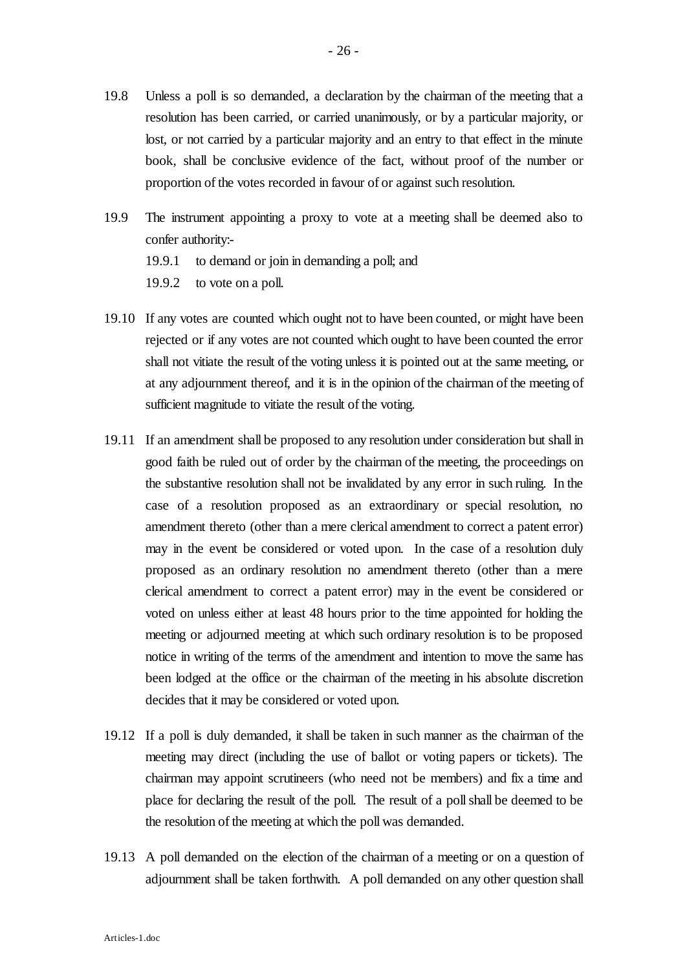- 19.8 Unless a poll is so demanded, a declaration by the chairman of the meeting that a resolution has been carried, or carried unanimously, or by a particular majority, or lost, or not carried by a particular majority and an entry to that effect in the minute book, shall be conclusive evidence of the fact, without proof of the number or proportion of the votes recorded in favour of or against such resolution.
- 19.9 The instrument appointing a proxy to vote at a meeting shall be deemed also to confer authority:-
	- 19.9.1 to demand or join in demanding a poll; and
	- 19.9.2 to vote on a poll.
- 19.10 If any votes are counted which ought not to have been counted, or might have been rejected or if any votes are not counted which ought to have been counted the error shall not vitiate the result of the voting unless it is pointed out at the same meeting, or at any adjournment thereof, and it is in the opinion of the chairman of the meeting of sufficient magnitude to vitiate the result of the voting.
- 19.11 If an amendment shall be proposed to any resolution under consideration but shall in good faith be ruled out of order by the chairman of the meeting, the proceedings on the substantive resolution shall not be invalidated by any error in such ruling. In the case of a resolution proposed as an extraordinary or special resolution, no amendment thereto (other than a mere clerical amendment to correct a patent error) may in the event be considered or voted upon. In the case of a resolution duly proposed as an ordinary resolution no amendment thereto (other than a mere clerical amendment to correct a patent error) may in the event be considered or voted on unless either at least 48 hours prior to the time appointed for holding the meeting or adjourned meeting at which such ordinary resolution is to be proposed notice in writing of the terms of the amendment and intention to move the same has been lodged at the office or the chairman of the meeting in his absolute discretion decides that it may be considered or voted upon.
- 19.12 If a poll is duly demanded, it shall be taken in such manner as the chairman of the meeting may direct (including the use of ballot or voting papers or tickets). The chairman may appoint scrutineers (who need not be members) and fix a time and place for declaring the result of the poll. The result of a poll shall be deemed to be the resolution of the meeting at which the poll was demanded.
- 19.13 A poll demanded on the election of the chairman of a meeting or on a question of adjournment shall be taken forthwith. A poll demanded on any other question shall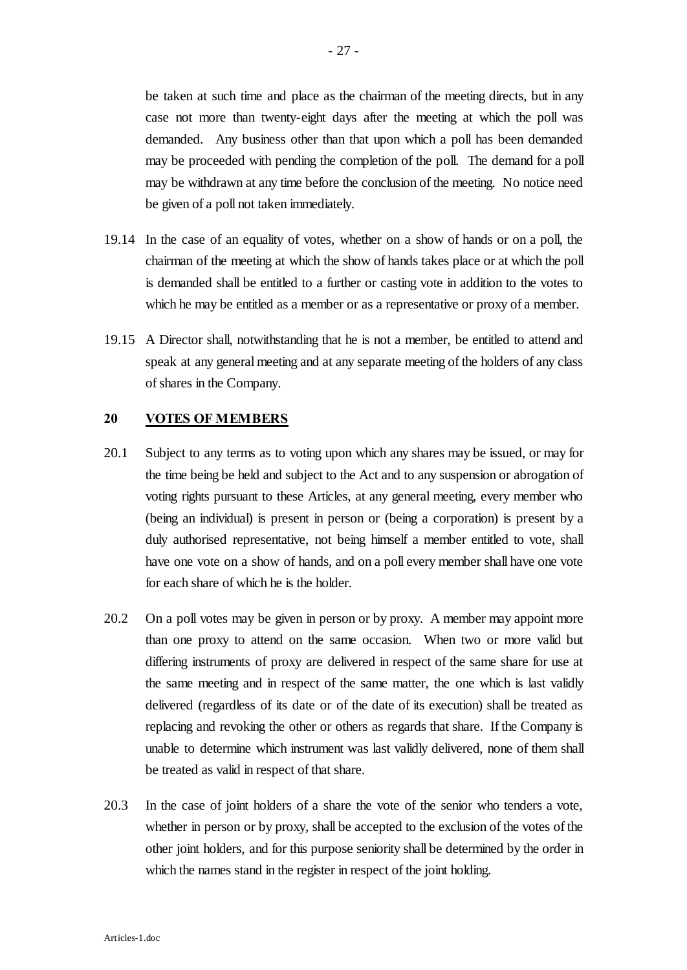be taken at such time and place as the chairman of the meeting directs, but in any case not more than twenty-eight days after the meeting at which the poll was demanded. Any business other than that upon which a poll has been demanded may be proceeded with pending the completion of the poll. The demand for a poll may be withdrawn at any time before the conclusion of the meeting. No notice need be given of a poll not taken immediately.

- 19.14 In the case of an equality of votes, whether on a show of hands or on a poll, the chairman of the meeting at which the show of hands takes place or at which the poll is demanded shall be entitled to a further or casting vote in addition to the votes to which he may be entitled as a member or as a representative or proxy of a member.
- 19.15 A Director shall, notwithstanding that he is not a member, be entitled to attend and speak at any general meeting and at any separate meeting of the holders of any class of shares in the Company.

#### **20 VOTES OF MEMBERS**

- 20.1 Subject to any terms as to voting upon which any shares may be issued, or may for the time being be held and subject to the Act and to any suspension or abrogation of voting rights pursuant to these Articles, at any general meeting, every member who (being an individual) is present in person or (being a corporation) is present by a duly authorised representative, not being himself a member entitled to vote, shall have one vote on a show of hands, and on a poll every member shall have one vote for each share of which he is the holder.
- 20.2 On a poll votes may be given in person or by proxy. A member may appoint more than one proxy to attend on the same occasion. When two or more valid but differing instruments of proxy are delivered in respect of the same share for use at the same meeting and in respect of the same matter, the one which is last validly delivered (regardless of its date or of the date of its execution) shall be treated as replacing and revoking the other or others as regards that share. If the Company is unable to determine which instrument was last validly delivered, none of them shall be treated as valid in respect of that share.
- 20.3 In the case of joint holders of a share the vote of the senior who tenders a vote, whether in person or by proxy, shall be accepted to the exclusion of the votes of the other joint holders, and for this purpose seniority shall be determined by the order in which the names stand in the register in respect of the joint holding.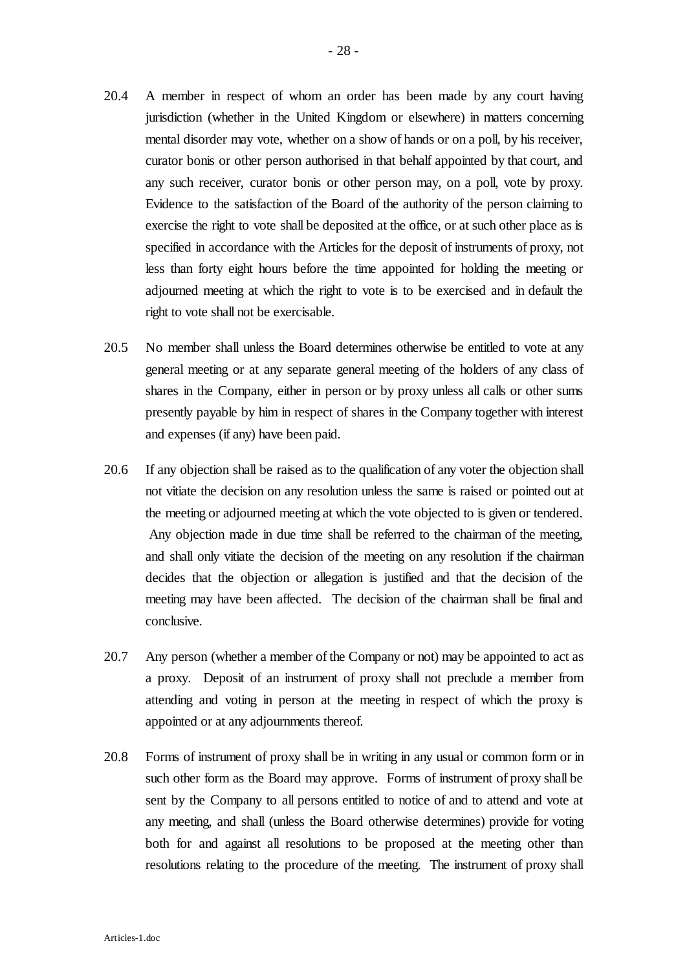- 20.4 A member in respect of whom an order has been made by any court having jurisdiction (whether in the United Kingdom or elsewhere) in matters concerning mental disorder may vote, whether on a show of hands or on a poll, by his receiver, curator bonis or other person authorised in that behalf appointed by that court, and any such receiver, curator bonis or other person may, on a poll, vote by proxy. Evidence to the satisfaction of the Board of the authority of the person claiming to exercise the right to vote shall be deposited at the office, or at such other place as is specified in accordance with the Articles for the deposit of instruments of proxy, not less than forty eight hours before the time appointed for holding the meeting or adjourned meeting at which the right to vote is to be exercised and in default the right to vote shall not be exercisable.
- 20.5 No member shall unless the Board determines otherwise be entitled to vote at any general meeting or at any separate general meeting of the holders of any class of shares in the Company, either in person or by proxy unless all calls or other sums presently payable by him in respect of shares in the Company together with interest and expenses (if any) have been paid.
- 20.6 If any objection shall be raised as to the qualification of any voter the objection shall not vitiate the decision on any resolution unless the same is raised or pointed out at the meeting or adjourned meeting at which the vote objected to is given or tendered. Any objection made in due time shall be referred to the chairman of the meeting, and shall only vitiate the decision of the meeting on any resolution if the chairman decides that the objection or allegation is justified and that the decision of the meeting may have been affected. The decision of the chairman shall be final and conclusive.
- 20.7 Any person (whether a member of the Company or not) may be appointed to act as a proxy. Deposit of an instrument of proxy shall not preclude a member from attending and voting in person at the meeting in respect of which the proxy is appointed or at any adjournments thereof.
- 20.8 Forms of instrument of proxy shall be in writing in any usual or common form or in such other form as the Board may approve. Forms of instrument of proxy shall be sent by the Company to all persons entitled to notice of and to attend and vote at any meeting, and shall (unless the Board otherwise determines) provide for voting both for and against all resolutions to be proposed at the meeting other than resolutions relating to the procedure of the meeting. The instrument of proxy shall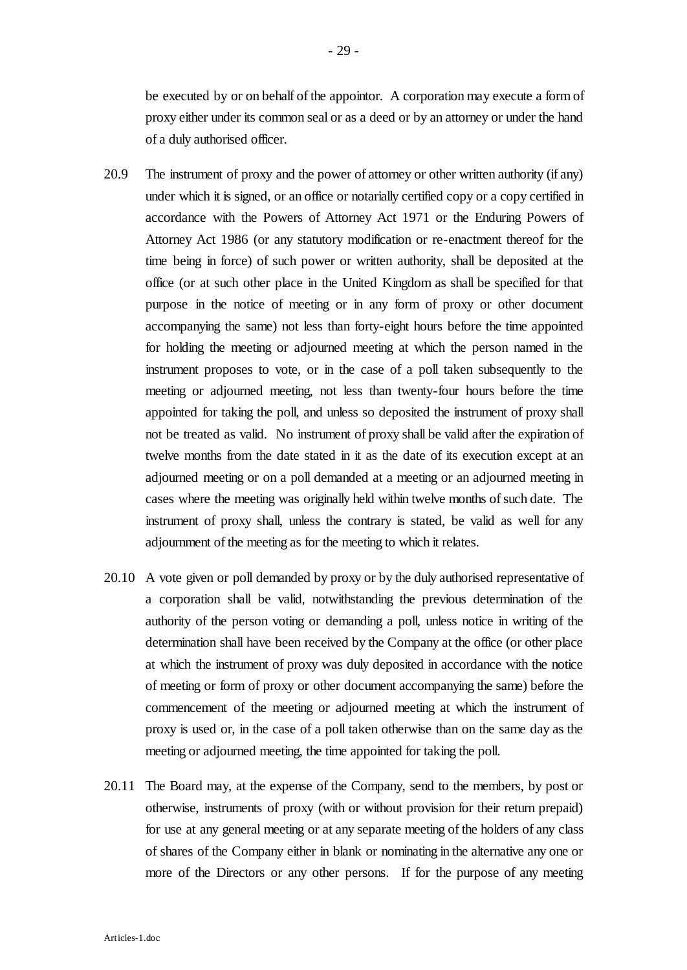be executed by or on behalf of the appointor. A corporation may execute a form of proxy either under its common seal or as a deed or by an attorney or under the hand of a duly authorised officer.

- 20.9 The instrument of proxy and the power of attorney or other written authority (if any) under which it is signed, or an office or notarially certified copy or a copy certified in accordance with the Powers of Attorney Act 1971 or the Enduring Powers of Attorney Act 1986 (or any statutory modification or re-enactment thereof for the time being in force) of such power or written authority, shall be deposited at the office (or at such other place in the United Kingdom as shall be specified for that purpose in the notice of meeting or in any form of proxy or other document accompanying the same) not less than forty-eight hours before the time appointed for holding the meeting or adjourned meeting at which the person named in the instrument proposes to vote, or in the case of a poll taken subsequently to the meeting or adjourned meeting, not less than twenty-four hours before the time appointed for taking the poll, and unless so deposited the instrument of proxy shall not be treated as valid. No instrument of proxy shall be valid after the expiration of twelve months from the date stated in it as the date of its execution except at an adjourned meeting or on a poll demanded at a meeting or an adjourned meeting in cases where the meeting was originally held within twelve months of such date. The instrument of proxy shall, unless the contrary is stated, be valid as well for any adjournment of the meeting as for the meeting to which it relates.
- 20.10 A vote given or poll demanded by proxy or by the duly authorised representative of a corporation shall be valid, notwithstanding the previous determination of the authority of the person voting or demanding a poll, unless notice in writing of the determination shall have been received by the Company at the office (or other place at which the instrument of proxy was duly deposited in accordance with the notice of meeting or form of proxy or other document accompanying the same) before the commencement of the meeting or adjourned meeting at which the instrument of proxy is used or, in the case of a poll taken otherwise than on the same day as the meeting or adjourned meeting, the time appointed for taking the poll.
- 20.11 The Board may, at the expense of the Company, send to the members, by post or otherwise, instruments of proxy (with or without provision for their return prepaid) for use at any general meeting or at any separate meeting of the holders of any class of shares of the Company either in blank or nominating in the alternative any one or more of the Directors or any other persons. If for the purpose of any meeting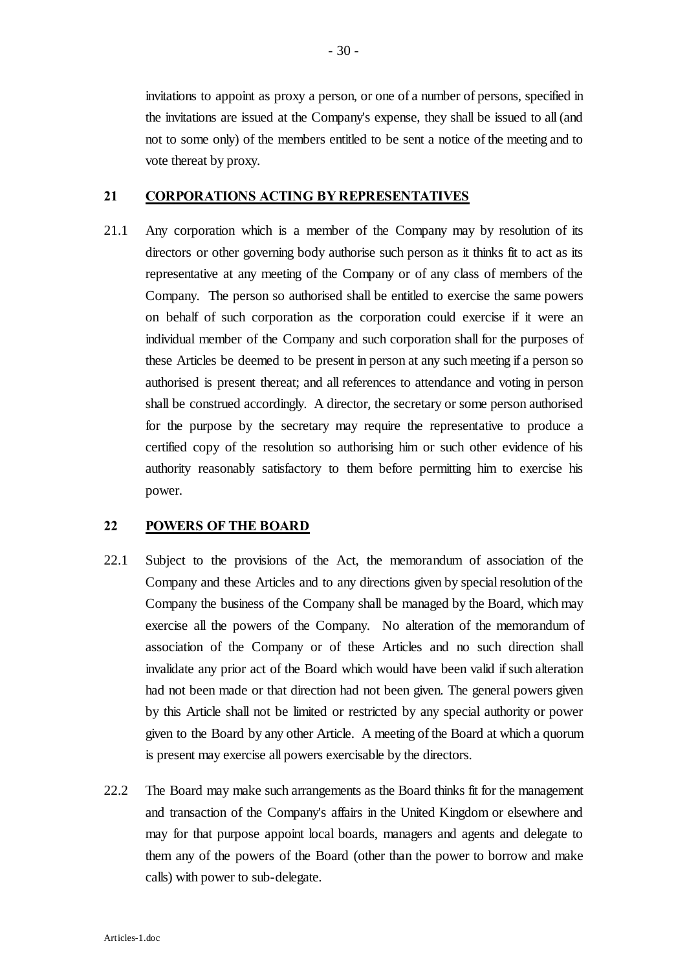invitations to appoint as proxy a person, or one of a number of persons, specified in the invitations are issued at the Company's expense, they shall be issued to all (and not to some only) of the members entitled to be sent a notice of the meeting and to vote thereat by proxy.

#### **21 CORPORATIONS ACTING BY REPRESENTATIVES**

21.1 Any corporation which is a member of the Company may by resolution of its directors or other governing body authorise such person as it thinks fit to act as its representative at any meeting of the Company or of any class of members of the Company. The person so authorised shall be entitled to exercise the same powers on behalf of such corporation as the corporation could exercise if it were an individual member of the Company and such corporation shall for the purposes of these Articles be deemed to be present in person at any such meeting if a person so authorised is present thereat; and all references to attendance and voting in person shall be construed accordingly. A director, the secretary or some person authorised for the purpose by the secretary may require the representative to produce a certified copy of the resolution so authorising him or such other evidence of his authority reasonably satisfactory to them before permitting him to exercise his power.

#### **22 POWERS OF THE BOARD**

- 22.1 Subject to the provisions of the Act, the memorandum of association of the Company and these Articles and to any directions given by special resolution of the Company the business of the Company shall be managed by the Board, which may exercise all the powers of the Company. No alteration of the memorandum of association of the Company or of these Articles and no such direction shall invalidate any prior act of the Board which would have been valid if such alteration had not been made or that direction had not been given. The general powers given by this Article shall not be limited or restricted by any special authority or power given to the Board by any other Article. A meeting of the Board at which a quorum is present may exercise all powers exercisable by the directors.
- 22.2 The Board may make such arrangements as the Board thinks fit for the management and transaction of the Company's affairs in the United Kingdom or elsewhere and may for that purpose appoint local boards, managers and agents and delegate to them any of the powers of the Board (other than the power to borrow and make calls) with power to sub-delegate.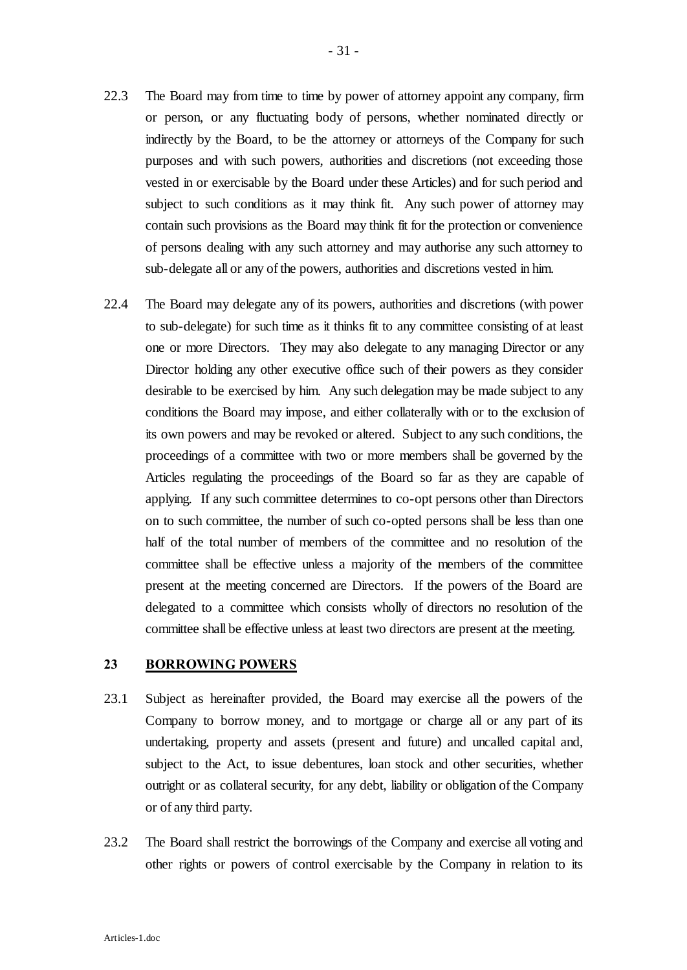- 22.3 The Board may from time to time by power of attorney appoint any company, firm or person, or any fluctuating body of persons, whether nominated directly or indirectly by the Board, to be the attorney or attorneys of the Company for such purposes and with such powers, authorities and discretions (not exceeding those vested in or exercisable by the Board under these Articles) and for such period and subject to such conditions as it may think fit. Any such power of attorney may contain such provisions as the Board may think fit for the protection or convenience of persons dealing with any such attorney and may authorise any such attorney to sub-delegate all or any of the powers, authorities and discretions vested in him.
- 22.4 The Board may delegate any of its powers, authorities and discretions (with power to sub-delegate) for such time as it thinks fit to any committee consisting of at least one or more Directors. They may also delegate to any managing Director or any Director holding any other executive office such of their powers as they consider desirable to be exercised by him. Any such delegation may be made subject to any conditions the Board may impose, and either collaterally with or to the exclusion of its own powers and may be revoked or altered. Subject to any such conditions, the proceedings of a committee with two or more members shall be governed by the Articles regulating the proceedings of the Board so far as they are capable of applying. If any such committee determines to co-opt persons other than Directors on to such committee, the number of such co-opted persons shall be less than one half of the total number of members of the committee and no resolution of the committee shall be effective unless a majority of the members of the committee present at the meeting concerned are Directors. If the powers of the Board are delegated to a committee which consists wholly of directors no resolution of the committee shall be effective unless at least two directors are present at the meeting.

#### **23 BORROWING POWERS**

- 23.1 Subject as hereinafter provided, the Board may exercise all the powers of the Company to borrow money, and to mortgage or charge all or any part of its undertaking, property and assets (present and future) and uncalled capital and, subject to the Act, to issue debentures, loan stock and other securities, whether outright or as collateral security, for any debt, liability or obligation of the Company or of any third party.
- 23.2 The Board shall restrict the borrowings of the Company and exercise all voting and other rights or powers of control exercisable by the Company in relation to its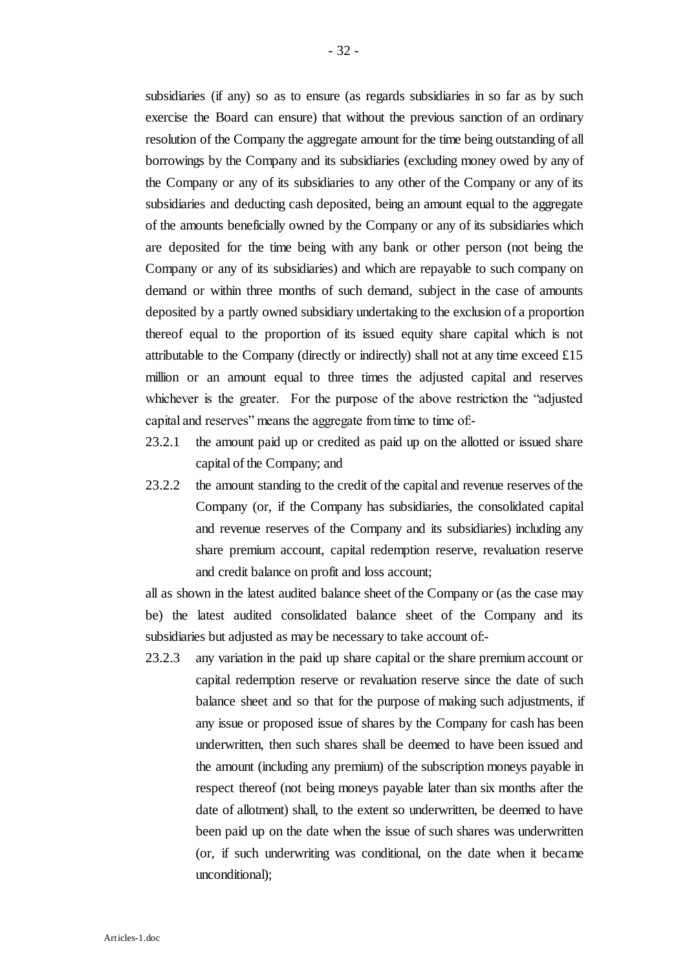subsidiaries (if any) so as to ensure (as regards subsidiaries in so far as by such exercise the Board can ensure) that without the previous sanction of an ordinary resolution of the Company the aggregate amount for the time being outstanding of all borrowings by the Company and its subsidiaries (excluding money owed by any of the Company or any of its subsidiaries to any other of the Company or any of its subsidiaries and deducting cash deposited, being an amount equal to the aggregate of the amounts beneficially owned by the Company or any of its subsidiaries which are deposited for the time being with any bank or other person (not being the Company or any of its subsidiaries) and which are repayable to such company on demand or within three months of such demand, subject in the case of amounts deposited by a partly owned subsidiary undertaking to the exclusion of a proportion thereof equal to the proportion of its issued equity share capital which is not attributable to the Company (directly or indirectly) shall not at any time exceed  $£15$ million or an amount equal to three times the adjusted capital and reserves whichever is the greater. For the purpose of the above restriction the "adjusted capital and reserves" means the aggregate from time to time of:-

- 23.2.1 the amount paid up or credited as paid up on the allotted or issued share capital of the Company; and
- 23.2.2 the amount standing to the credit of the capital and revenue reserves of the Company (or, if the Company has subsidiaries, the consolidated capital and revenue reserves of the Company and its subsidiaries) including any share premium account, capital redemption reserve, revaluation reserve and credit balance on profit and loss account;

all as shown in the latest audited balance sheet of the Company or (as the case may be) the latest audited consolidated balance sheet of the Company and its subsidiaries but adjusted as may be necessary to take account of:-

23.2.3 any variation in the paid up share capital or the share premium account or capital redemption reserve or revaluation reserve since the date of such balance sheet and so that for the purpose of making such adjustments, if any issue or proposed issue of shares by the Company for cash has been underwritten, then such shares shall be deemed to have been issued and the amount (including any premium) of the subscription moneys payable in respect thereof (not being moneys payable later than six months after the date of allotment) shall, to the extent so underwritten, be deemed to have been paid up on the date when the issue of such shares was underwritten (or, if such underwriting was conditional, on the date when it became unconditional);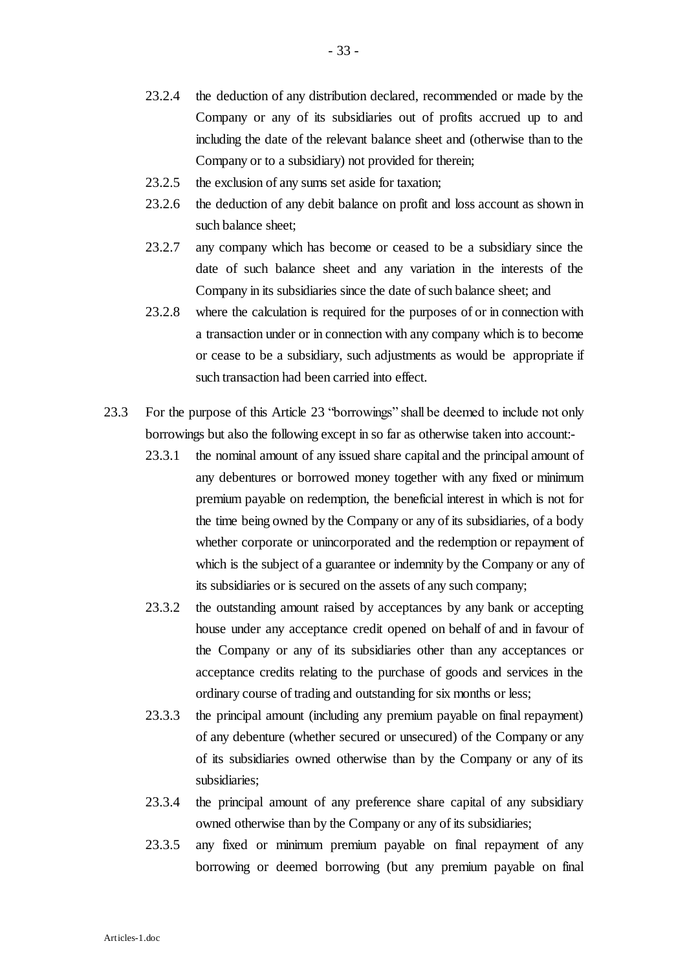- 23.2.4 the deduction of any distribution declared, recommended or made by the Company or any of its subsidiaries out of profits accrued up to and including the date of the relevant balance sheet and (otherwise than to the Company or to a subsidiary) not provided for therein;
- 23.2.5 the exclusion of any sums set aside for taxation;
- 23.2.6 the deduction of any debit balance on profit and loss account as shown in such balance sheet;
- 23.2.7 any company which has become or ceased to be a subsidiary since the date of such balance sheet and any variation in the interests of the Company in its subsidiaries since the date of such balance sheet; and
- 23.2.8 where the calculation is required for the purposes of or in connection with a transaction under or in connection with any company which is to become or cease to be a subsidiary, such adjustments as would be appropriate if such transaction had been carried into effect.
- 23.3 For the purpose of this Article 23 "borrowings" shall be deemed to include not only borrowings but also the following except in so far as otherwise taken into account:-
	- 23.3.1 the nominal amount of any issued share capital and the principal amount of any debentures or borrowed money together with any fixed or minimum premium payable on redemption, the beneficial interest in which is not for the time being owned by the Company or any of its subsidiaries, of a body whether corporate or unincorporated and the redemption or repayment of which is the subject of a guarantee or indemnity by the Company or any of its subsidiaries or is secured on the assets of any such company;
	- 23.3.2 the outstanding amount raised by acceptances by any bank or accepting house under any acceptance credit opened on behalf of and in favour of the Company or any of its subsidiaries other than any acceptances or acceptance credits relating to the purchase of goods and services in the ordinary course of trading and outstanding for six months or less;
	- 23.3.3 the principal amount (including any premium payable on final repayment) of any debenture (whether secured or unsecured) of the Company or any of its subsidiaries owned otherwise than by the Company or any of its subsidiaries;
	- 23.3.4 the principal amount of any preference share capital of any subsidiary owned otherwise than by the Company or any of its subsidiaries;
	- 23.3.5 any fixed or minimum premium payable on final repayment of any borrowing or deemed borrowing (but any premium payable on final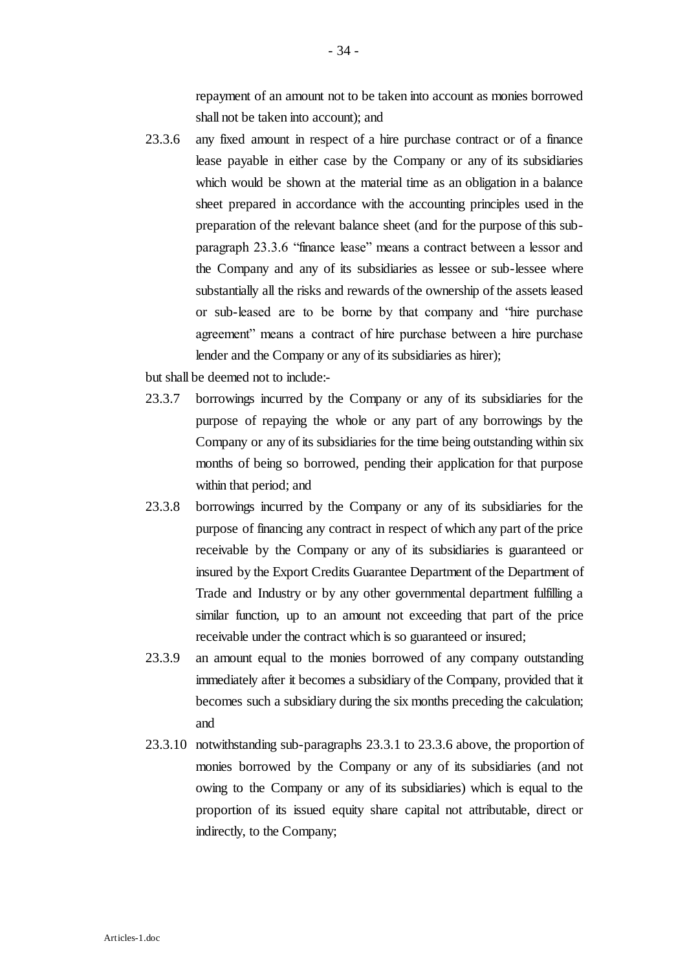repayment of an amount not to be taken into account as monies borrowed shall not be taken into account); and

23.3.6 any fixed amount in respect of a hire purchase contract or of a finance lease payable in either case by the Company or any of its subsidiaries which would be shown at the material time as an obligation in a balance sheet prepared in accordance with the accounting principles used in the preparation of the relevant balance sheet (and for the purpose of this subparagraph 23.3.6 "finance lease" means a contract between a lessor and the Company and any of its subsidiaries as lessee or sub-lessee where substantially all the risks and rewards of the ownership of the assets leased or sub-leased are to be borne by that company and "hire purchase agreement" means a contract of hire purchase between a hire purchase lender and the Company or any of its subsidiaries as hirer);

but shall be deemed not to include:-

- 23.3.7 borrowings incurred by the Company or any of its subsidiaries for the purpose of repaying the whole or any part of any borrowings by the Company or any of its subsidiaries for the time being outstanding within six months of being so borrowed, pending their application for that purpose within that period; and
- 23.3.8 borrowings incurred by the Company or any of its subsidiaries for the purpose of financing any contract in respect of which any part of the price receivable by the Company or any of its subsidiaries is guaranteed or insured by the Export Credits Guarantee Department of the Department of Trade and Industry or by any other governmental department fulfilling a similar function, up to an amount not exceeding that part of the price receivable under the contract which is so guaranteed or insured;
- 23.3.9 an amount equal to the monies borrowed of any company outstanding immediately after it becomes a subsidiary of the Company, provided that it becomes such a subsidiary during the six months preceding the calculation; and
- 23.3.10 notwithstanding sub-paragraphs 23.3.1 to 23.3.6 above, the proportion of monies borrowed by the Company or any of its subsidiaries (and not owing to the Company or any of its subsidiaries) which is equal to the proportion of its issued equity share capital not attributable, direct or indirectly, to the Company;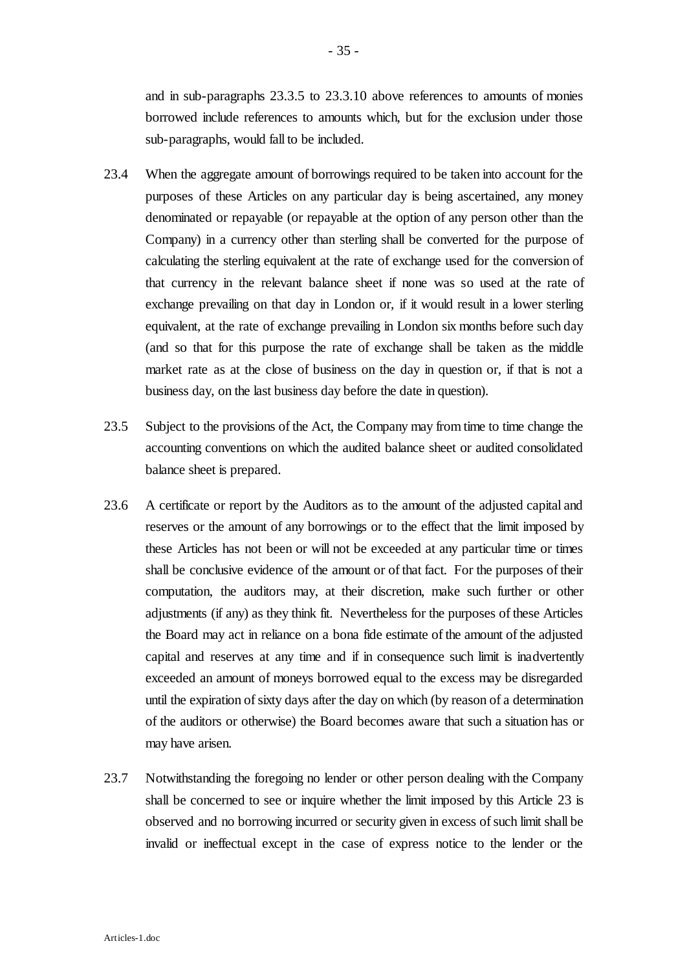and in sub-paragraphs 23.3.5 to 23.3.10 above references to amounts of monies borrowed include references to amounts which, but for the exclusion under those sub-paragraphs, would fall to be included.

- 23.4 When the aggregate amount of borrowings required to be taken into account for the purposes of these Articles on any particular day is being ascertained, any money denominated or repayable (or repayable at the option of any person other than the Company) in a currency other than sterling shall be converted for the purpose of calculating the sterling equivalent at the rate of exchange used for the conversion of that currency in the relevant balance sheet if none was so used at the rate of exchange prevailing on that day in London or, if it would result in a lower sterling equivalent, at the rate of exchange prevailing in London six months before such day (and so that for this purpose the rate of exchange shall be taken as the middle market rate as at the close of business on the day in question or, if that is not a business day, on the last business day before the date in question).
- 23.5 Subject to the provisions of the Act, the Company may from time to time change the accounting conventions on which the audited balance sheet or audited consolidated balance sheet is prepared.
- 23.6 A certificate or report by the Auditors as to the amount of the adjusted capital and reserves or the amount of any borrowings or to the effect that the limit imposed by these Articles has not been or will not be exceeded at any particular time or times shall be conclusive evidence of the amount or of that fact. For the purposes of their computation, the auditors may, at their discretion, make such further or other adjustments (if any) as they think fit. Nevertheless for the purposes of these Articles the Board may act in reliance on a bona fide estimate of the amount of the adjusted capital and reserves at any time and if in consequence such limit is inadvertently exceeded an amount of moneys borrowed equal to the excess may be disregarded until the expiration of sixty days after the day on which (by reason of a determination of the auditors or otherwise) the Board becomes aware that such a situation has or may have arisen.
- 23.7 Notwithstanding the foregoing no lender or other person dealing with the Company shall be concerned to see or inquire whether the limit imposed by this Article 23 is observed and no borrowing incurred or security given in excess of such limit shall be invalid or ineffectual except in the case of express notice to the lender or the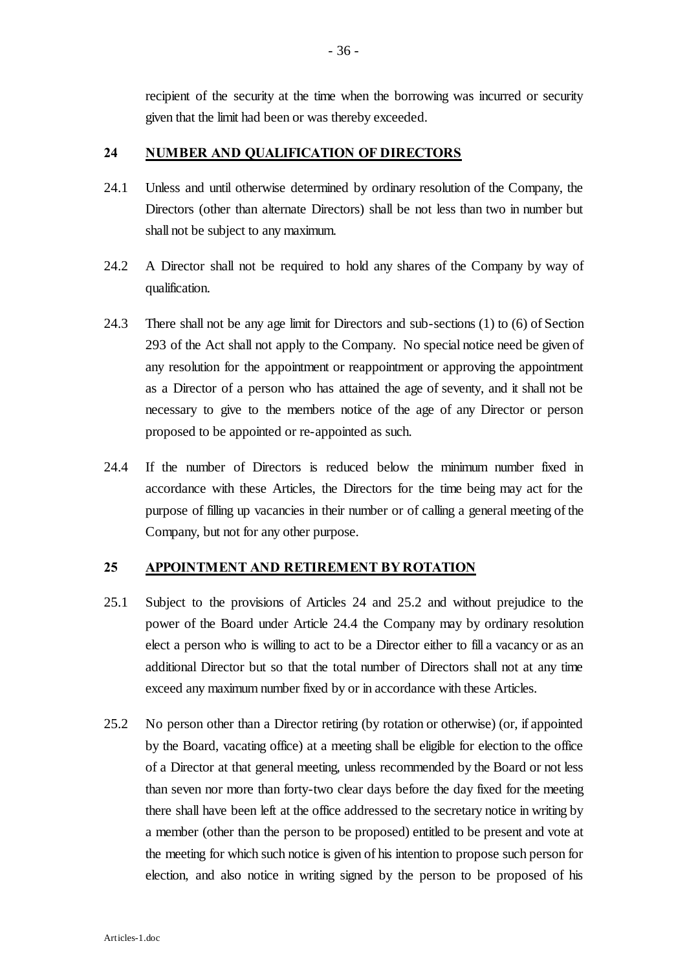recipient of the security at the time when the borrowing was incurred or security given that the limit had been or was thereby exceeded.

## **24 NUMBER AND QUALIFICATION OF DIRECTORS**

- 24.1 Unless and until otherwise determined by ordinary resolution of the Company, the Directors (other than alternate Directors) shall be not less than two in number but shall not be subject to any maximum.
- 24.2 A Director shall not be required to hold any shares of the Company by way of qualification.
- 24.3 There shall not be any age limit for Directors and sub-sections (1) to (6) of Section 293 of the Act shall not apply to the Company. No special notice need be given of any resolution for the appointment or reappointment or approving the appointment as a Director of a person who has attained the age of seventy, and it shall not be necessary to give to the members notice of the age of any Director or person proposed to be appointed or re-appointed as such.
- 24.4 If the number of Directors is reduced below the minimum number fixed in accordance with these Articles, the Directors for the time being may act for the purpose of filling up vacancies in their number or of calling a general meeting of the Company, but not for any other purpose.

## **25 APPOINTMENT AND RETIREMENT BY ROTATION**

- 25.1 Subject to the provisions of Articles 24 and 25.2 and without prejudice to the power of the Board under Article 24.4 the Company may by ordinary resolution elect a person who is willing to act to be a Director either to fill a vacancy or as an additional Director but so that the total number of Directors shall not at any time exceed any maximum number fixed by or in accordance with these Articles.
- 25.2 No person other than a Director retiring (by rotation or otherwise) (or, if appointed by the Board, vacating office) at a meeting shall be eligible for election to the office of a Director at that general meeting, unless recommended by the Board or not less than seven nor more than forty-two clear days before the day fixed for the meeting there shall have been left at the office addressed to the secretary notice in writing by a member (other than the person to be proposed) entitled to be present and vote at the meeting for which such notice is given of his intention to propose such person for election, and also notice in writing signed by the person to be proposed of his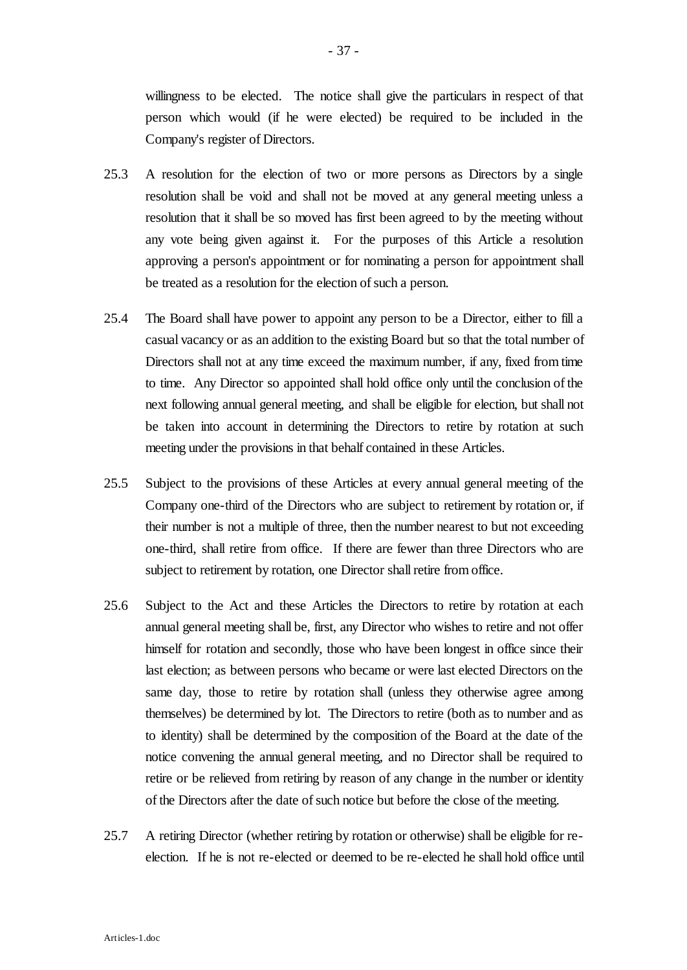willingness to be elected. The notice shall give the particulars in respect of that person which would (if he were elected) be required to be included in the Company's register of Directors.

- 25.3 A resolution for the election of two or more persons as Directors by a single resolution shall be void and shall not be moved at any general meeting unless a resolution that it shall be so moved has first been agreed to by the meeting without any vote being given against it. For the purposes of this Article a resolution approving a person's appointment or for nominating a person for appointment shall be treated as a resolution for the election of such a person.
- 25.4 The Board shall have power to appoint any person to be a Director, either to fill a casual vacancy or as an addition to the existing Board but so that the total number of Directors shall not at any time exceed the maximum number, if any, fixed from time to time. Any Director so appointed shall hold office only until the conclusion of the next following annual general meeting, and shall be eligible for election, but shall not be taken into account in determining the Directors to retire by rotation at such meeting under the provisions in that behalf contained in these Articles.
- 25.5 Subject to the provisions of these Articles at every annual general meeting of the Company one-third of the Directors who are subject to retirement by rotation or, if their number is not a multiple of three, then the number nearest to but not exceeding one-third, shall retire from office. If there are fewer than three Directors who are subject to retirement by rotation, one Director shall retire from office.
- 25.6 Subject to the Act and these Articles the Directors to retire by rotation at each annual general meeting shall be, first, any Director who wishes to retire and not offer himself for rotation and secondly, those who have been longest in office since their last election; as between persons who became or were last elected Directors on the same day, those to retire by rotation shall (unless they otherwise agree among themselves) be determined by lot. The Directors to retire (both as to number and as to identity) shall be determined by the composition of the Board at the date of the notice convening the annual general meeting, and no Director shall be required to retire or be relieved from retiring by reason of any change in the number or identity of the Directors after the date of such notice but before the close of the meeting.
- 25.7 A retiring Director (whether retiring by rotation or otherwise) shall be eligible for reelection. If he is not re-elected or deemed to be re-elected he shall hold office until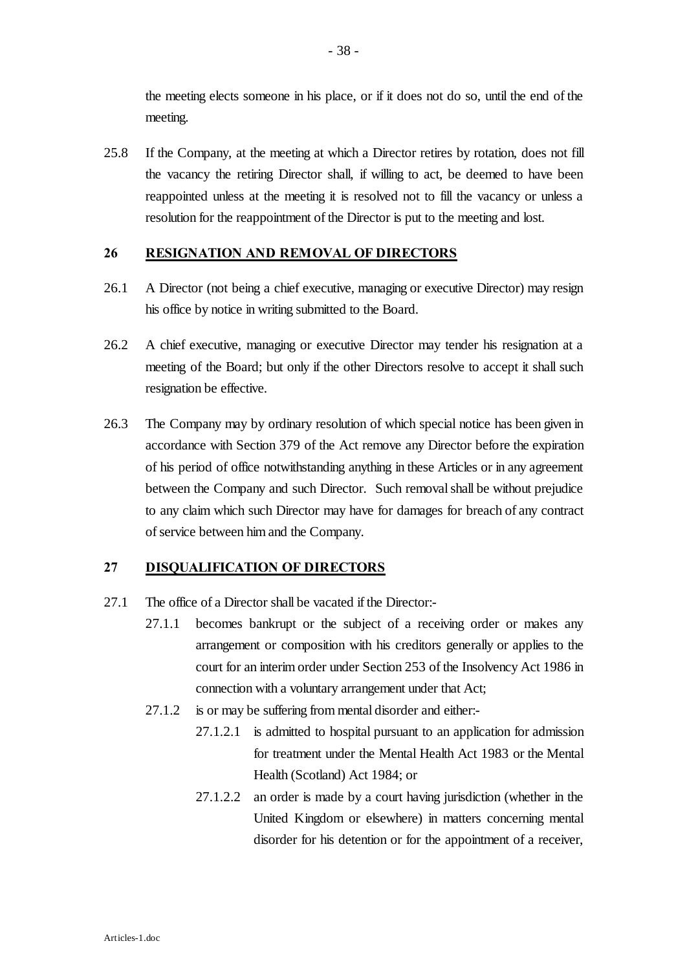the meeting elects someone in his place, or if it does not do so, until the end of the meeting.

25.8 If the Company, at the meeting at which a Director retires by rotation, does not fill the vacancy the retiring Director shall, if willing to act, be deemed to have been reappointed unless at the meeting it is resolved not to fill the vacancy or unless a resolution for the reappointment of the Director is put to the meeting and lost.

## **26 RESIGNATION AND REMOVAL OF DIRECTORS**

- 26.1 A Director (not being a chief executive, managing or executive Director) may resign his office by notice in writing submitted to the Board.
- 26.2 A chief executive, managing or executive Director may tender his resignation at a meeting of the Board; but only if the other Directors resolve to accept it shall such resignation be effective.
- 26.3 The Company may by ordinary resolution of which special notice has been given in accordance with Section 379 of the Act remove any Director before the expiration of his period of office notwithstanding anything in these Articles or in any agreement between the Company and such Director. Such removal shall be without prejudice to any claim which such Director may have for damages for breach of any contract of service between him and the Company.

## **27 DISQUALIFICATION OF DIRECTORS**

- 27.1 The office of a Director shall be vacated if the Director:-
	- 27.1.1 becomes bankrupt or the subject of a receiving order or makes any arrangement or composition with his creditors generally or applies to the court for an interim order under Section 253 of the Insolvency Act 1986 in connection with a voluntary arrangement under that Act;
	- 27.1.2 is or may be suffering from mental disorder and either:-
		- 27.1.2.1 is admitted to hospital pursuant to an application for admission for treatment under the Mental Health Act 1983 or the Mental Health (Scotland) Act 1984; or
		- 27.1.2.2 an order is made by a court having jurisdiction (whether in the United Kingdom or elsewhere) in matters concerning mental disorder for his detention or for the appointment of a receiver,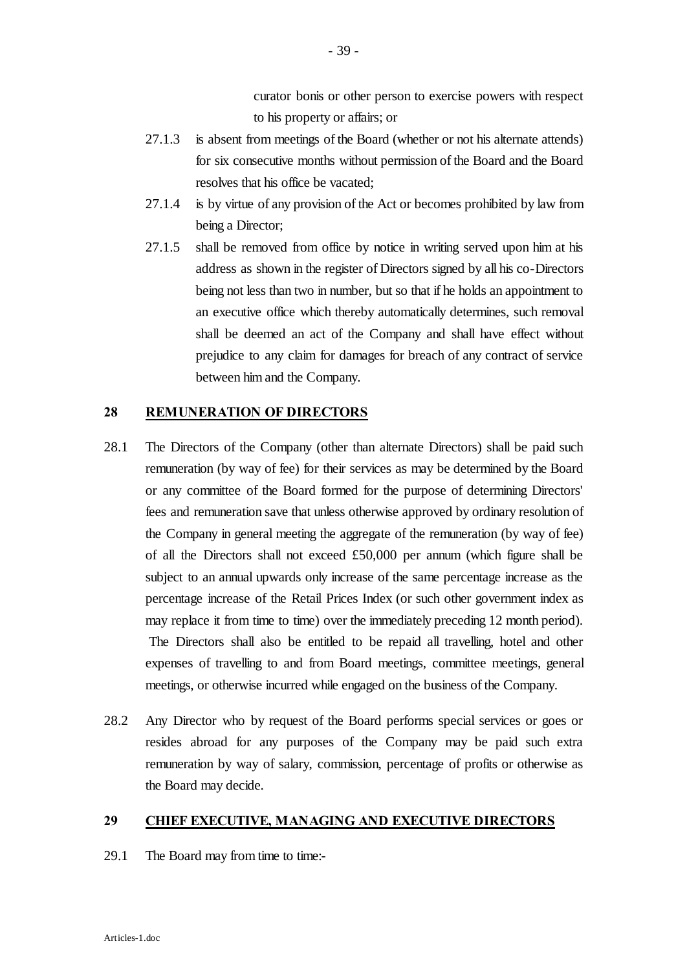curator bonis or other person to exercise powers with respect to his property or affairs; or

- 27.1.3 is absent from meetings of the Board (whether or not his alternate attends) for six consecutive months without permission of the Board and the Board resolves that his office be vacated;
- 27.1.4 is by virtue of any provision of the Act or becomes prohibited by law from being a Director;
- 27.1.5 shall be removed from office by notice in writing served upon him at his address as shown in the register of Directors signed by all his co-Directors being not less than two in number, but so that if he holds an appointment to an executive office which thereby automatically determines, such removal shall be deemed an act of the Company and shall have effect without prejudice to any claim for damages for breach of any contract of service between him and the Company.

#### **28 REMUNERATION OF DIRECTORS**

- 28.1 The Directors of the Company (other than alternate Directors) shall be paid such remuneration (by way of fee) for their services as may be determined by the Board or any committee of the Board formed for the purpose of determining Directors' fees and remuneration save that unless otherwise approved by ordinary resolution of the Company in general meeting the aggregate of the remuneration (by way of fee) of all the Directors shall not exceed £50,000 per annum (which figure shall be subject to an annual upwards only increase of the same percentage increase as the percentage increase of the Retail Prices Index (or such other government index as may replace it from time to time) over the immediately preceding 12 month period). The Directors shall also be entitled to be repaid all travelling, hotel and other expenses of travelling to and from Board meetings, committee meetings, general meetings, or otherwise incurred while engaged on the business of the Company.
- 28.2 Any Director who by request of the Board performs special services or goes or resides abroad for any purposes of the Company may be paid such extra remuneration by way of salary, commission, percentage of profits or otherwise as the Board may decide.

### **29 CHIEF EXECUTIVE, MANAGING AND EXECUTIVE DIRECTORS**

29.1 The Board may from time to time:-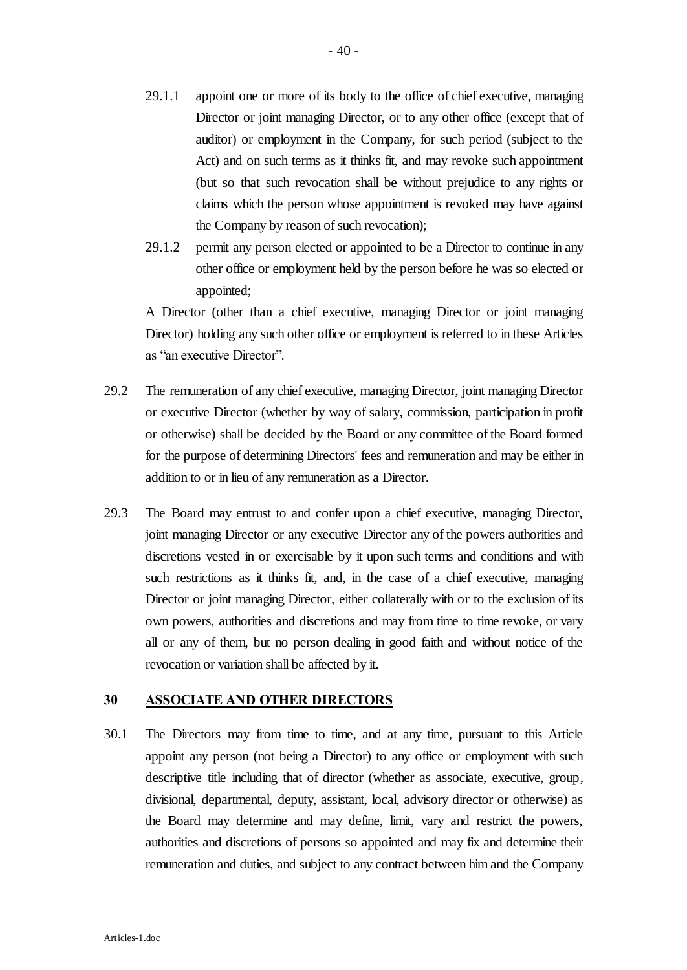- 29.1.1 appoint one or more of its body to the office of chief executive, managing Director or joint managing Director, or to any other office (except that of auditor) or employment in the Company, for such period (subject to the Act) and on such terms as it thinks fit, and may revoke such appointment (but so that such revocation shall be without prejudice to any rights or claims which the person whose appointment is revoked may have against the Company by reason of such revocation);
- 29.1.2 permit any person elected or appointed to be a Director to continue in any other office or employment held by the person before he was so elected or appointed;

A Director (other than a chief executive, managing Director or joint managing Director) holding any such other office or employment is referred to in these Articles as "an executive Director".

- 29.2 The remuneration of any chief executive, managing Director, joint managing Director or executive Director (whether by way of salary, commission, participation in profit or otherwise) shall be decided by the Board or any committee of the Board formed for the purpose of determining Directors' fees and remuneration and may be either in addition to or in lieu of any remuneration as a Director.
- 29.3 The Board may entrust to and confer upon a chief executive, managing Director, joint managing Director or any executive Director any of the powers authorities and discretions vested in or exercisable by it upon such terms and conditions and with such restrictions as it thinks fit, and, in the case of a chief executive, managing Director or joint managing Director, either collaterally with or to the exclusion of its own powers, authorities and discretions and may from time to time revoke, or vary all or any of them, but no person dealing in good faith and without notice of the revocation or variation shall be affected by it.

#### **30 ASSOCIATE AND OTHER DIRECTORS**

30.1 The Directors may from time to time, and at any time, pursuant to this Article appoint any person (not being a Director) to any office or employment with such descriptive title including that of director (whether as associate, executive, group, divisional, departmental, deputy, assistant, local, advisory director or otherwise) as the Board may determine and may define, limit, vary and restrict the powers, authorities and discretions of persons so appointed and may fix and determine their remuneration and duties, and subject to any contract between him and the Company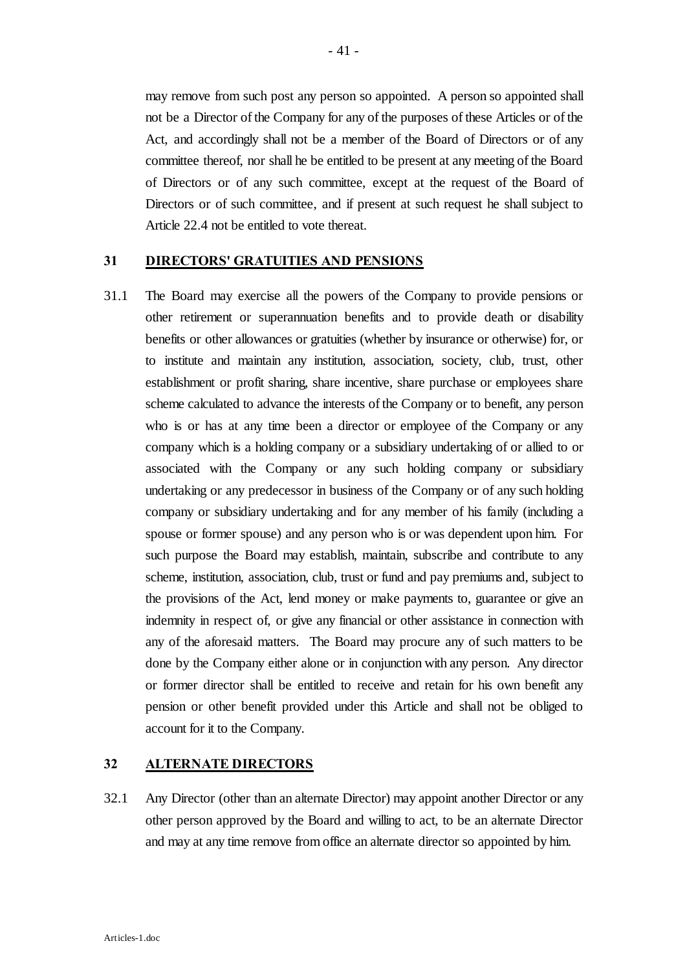may remove from such post any person so appointed. A person so appointed shall not be a Director of the Company for any of the purposes of these Articles or of the Act, and accordingly shall not be a member of the Board of Directors or of any committee thereof, nor shall he be entitled to be present at any meeting of the Board of Directors or of any such committee, except at the request of the Board of Directors or of such committee, and if present at such request he shall subject to Article 22.4 not be entitled to vote thereat.

#### **31 DIRECTORS' GRATUITIES AND PENSIONS**

31.1 The Board may exercise all the powers of the Company to provide pensions or other retirement or superannuation benefits and to provide death or disability benefits or other allowances or gratuities (whether by insurance or otherwise) for, or to institute and maintain any institution, association, society, club, trust, other establishment or profit sharing, share incentive, share purchase or employees share scheme calculated to advance the interests of the Company or to benefit, any person who is or has at any time been a director or employee of the Company or any company which is a holding company or a subsidiary undertaking of or allied to or associated with the Company or any such holding company or subsidiary undertaking or any predecessor in business of the Company or of any such holding company or subsidiary undertaking and for any member of his family (including a spouse or former spouse) and any person who is or was dependent upon him. For such purpose the Board may establish, maintain, subscribe and contribute to any scheme, institution, association, club, trust or fund and pay premiums and, subject to the provisions of the Act, lend money or make payments to, guarantee or give an indemnity in respect of, or give any financial or other assistance in connection with any of the aforesaid matters. The Board may procure any of such matters to be done by the Company either alone or in conjunction with any person. Any director or former director shall be entitled to receive and retain for his own benefit any pension or other benefit provided under this Article and shall not be obliged to account for it to the Company.

#### **32 ALTERNATE DIRECTORS**

32.1 Any Director (other than an alternate Director) may appoint another Director or any other person approved by the Board and willing to act, to be an alternate Director and may at any time remove from office an alternate director so appointed by him.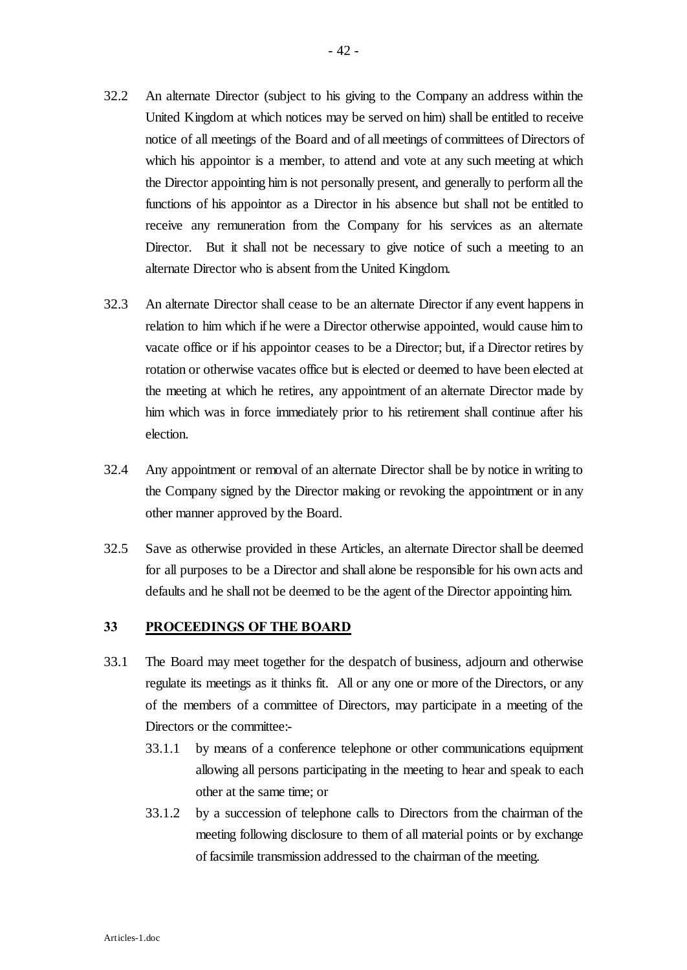- 32.2 An alternate Director (subject to his giving to the Company an address within the United Kingdom at which notices may be served on him) shall be entitled to receive notice of all meetings of the Board and of all meetings of committees of Directors of which his appointor is a member, to attend and vote at any such meeting at which the Director appointing him is not personally present, and generally to perform all the functions of his appointor as a Director in his absence but shall not be entitled to receive any remuneration from the Company for his services as an alternate Director. But it shall not be necessary to give notice of such a meeting to an alternate Director who is absent from the United Kingdom.
- 32.3 An alternate Director shall cease to be an alternate Director if any event happens in relation to him which if he were a Director otherwise appointed, would cause him to vacate office or if his appointor ceases to be a Director; but, if a Director retires by rotation or otherwise vacates office but is elected or deemed to have been elected at the meeting at which he retires, any appointment of an alternate Director made by him which was in force immediately prior to his retirement shall continue after his election.
- 32.4 Any appointment or removal of an alternate Director shall be by notice in writing to the Company signed by the Director making or revoking the appointment or in any other manner approved by the Board.
- 32.5 Save as otherwise provided in these Articles, an alternate Director shall be deemed for all purposes to be a Director and shall alone be responsible for his own acts and defaults and he shall not be deemed to be the agent of the Director appointing him.

#### **33 PROCEEDINGS OF THE BOARD**

- 33.1 The Board may meet together for the despatch of business, adjourn and otherwise regulate its meetings as it thinks fit. All or any one or more of the Directors, or any of the members of a committee of Directors, may participate in a meeting of the Directors or the committee:-
	- 33.1.1 by means of a conference telephone or other communications equipment allowing all persons participating in the meeting to hear and speak to each other at the same time; or
	- 33.1.2 by a succession of telephone calls to Directors from the chairman of the meeting following disclosure to them of all material points or by exchange of facsimile transmission addressed to the chairman of the meeting.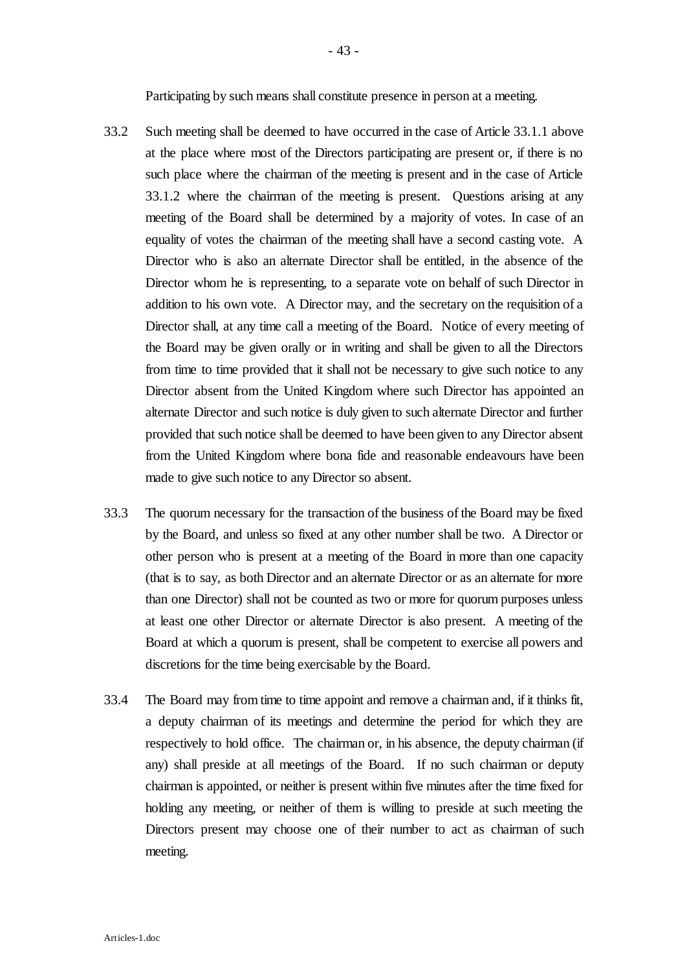Participating by such means shall constitute presence in person at a meeting.

- 33.2 Such meeting shall be deemed to have occurred in the case of Article 33.1.1 above at the place where most of the Directors participating are present or, if there is no such place where the chairman of the meeting is present and in the case of Article 33.1.2 where the chairman of the meeting is present. Questions arising at any meeting of the Board shall be determined by a majority of votes. In case of an equality of votes the chairman of the meeting shall have a second casting vote. A Director who is also an alternate Director shall be entitled, in the absence of the Director whom he is representing, to a separate vote on behalf of such Director in addition to his own vote. A Director may, and the secretary on the requisition of a Director shall, at any time call a meeting of the Board. Notice of every meeting of the Board may be given orally or in writing and shall be given to all the Directors from time to time provided that it shall not be necessary to give such notice to any Director absent from the United Kingdom where such Director has appointed an alternate Director and such notice is duly given to such alternate Director and further provided that such notice shall be deemed to have been given to any Director absent from the United Kingdom where bona fide and reasonable endeavours have been made to give such notice to any Director so absent.
- 33.3 The quorum necessary for the transaction of the business of the Board may be fixed by the Board, and unless so fixed at any other number shall be two. A Director or other person who is present at a meeting of the Board in more than one capacity (that is to say, as both Director and an alternate Director or as an alternate for more than one Director) shall not be counted as two or more for quorum purposes unless at least one other Director or alternate Director is also present. A meeting of the Board at which a quorum is present, shall be competent to exercise all powers and discretions for the time being exercisable by the Board.
- 33.4 The Board may from time to time appoint and remove a chairman and, if it thinks fit, a deputy chairman of its meetings and determine the period for which they are respectively to hold office. The chairman or, in his absence, the deputy chairman (if any) shall preside at all meetings of the Board. If no such chairman or deputy chairman is appointed, or neither is present within five minutes after the time fixed for holding any meeting, or neither of them is willing to preside at such meeting the Directors present may choose one of their number to act as chairman of such meeting.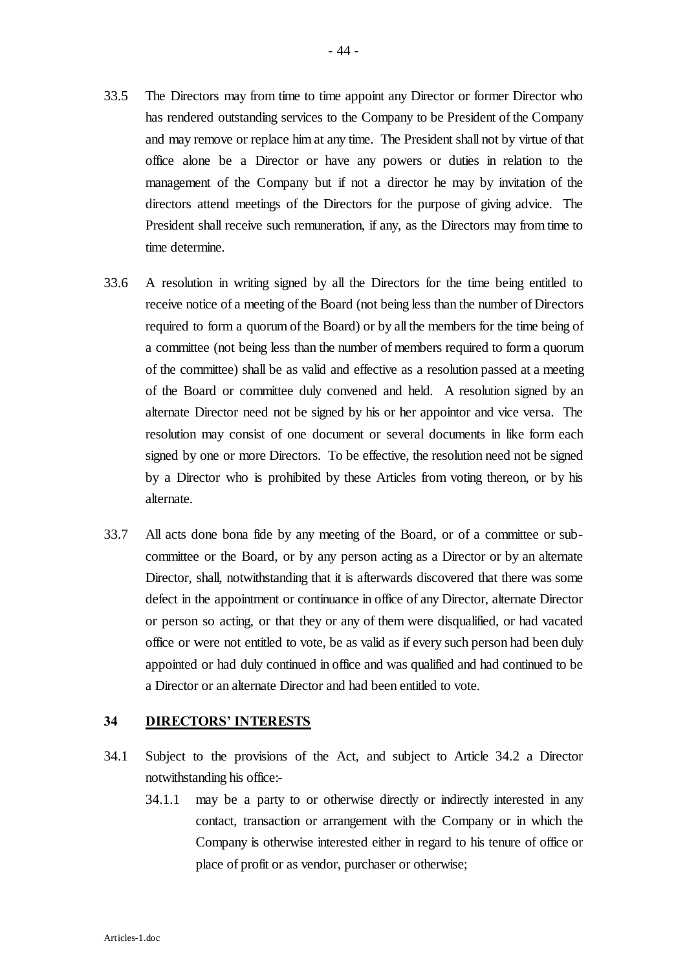- 33.5 The Directors may from time to time appoint any Director or former Director who has rendered outstanding services to the Company to be President of the Company and may remove or replace him at any time. The President shall not by virtue of that office alone be a Director or have any powers or duties in relation to the management of the Company but if not a director he may by invitation of the directors attend meetings of the Directors for the purpose of giving advice. The President shall receive such remuneration, if any, as the Directors may from time to time determine.
- 33.6 A resolution in writing signed by all the Directors for the time being entitled to receive notice of a meeting of the Board (not being less than the number of Directors required to form a quorum of the Board) or by all the members for the time being of a committee (not being less than the number of members required to form a quorum of the committee) shall be as valid and effective as a resolution passed at a meeting of the Board or committee duly convened and held. A resolution signed by an alternate Director need not be signed by his or her appointor and vice versa. The resolution may consist of one document or several documents in like form each signed by one or more Directors. To be effective, the resolution need not be signed by a Director who is prohibited by these Articles from voting thereon, or by his alternate.
- 33.7 All acts done bona fide by any meeting of the Board, or of a committee or subcommittee or the Board, or by any person acting as a Director or by an alternate Director, shall, notwithstanding that it is afterwards discovered that there was some defect in the appointment or continuance in office of any Director, alternate Director or person so acting, or that they or any of them were disqualified, or had vacated office or were not entitled to vote, be as valid as if every such person had been duly appointed or had duly continued in office and was qualified and had continued to be a Director or an alternate Director and had been entitled to vote.

#### **34 DIRECTORS' INTERESTS**

- 34.1 Subject to the provisions of the Act, and subject to Article 34.2 a Director notwithstanding his office:-
	- 34.1.1 may be a party to or otherwise directly or indirectly interested in any contact, transaction or arrangement with the Company or in which the Company is otherwise interested either in regard to his tenure of office or place of profit or as vendor, purchaser or otherwise;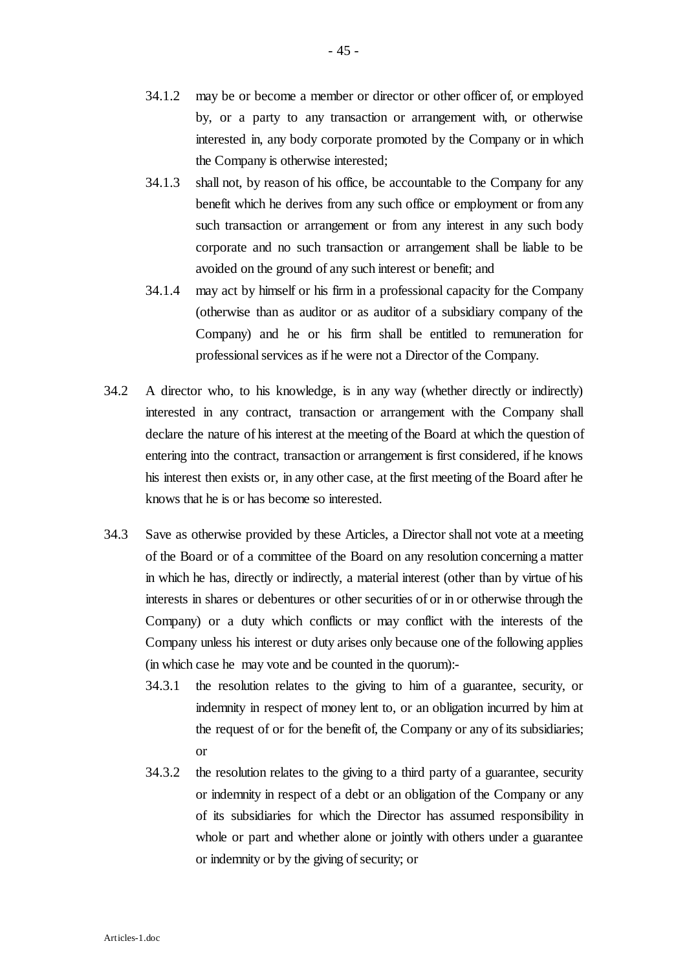- 34.1.2 may be or become a member or director or other officer of, or employed by, or a party to any transaction or arrangement with, or otherwise interested in, any body corporate promoted by the Company or in which the Company is otherwise interested;
- 34.1.3 shall not, by reason of his office, be accountable to the Company for any benefit which he derives from any such office or employment or from any such transaction or arrangement or from any interest in any such body corporate and no such transaction or arrangement shall be liable to be avoided on the ground of any such interest or benefit; and
- 34.1.4 may act by himself or his firm in a professional capacity for the Company (otherwise than as auditor or as auditor of a subsidiary company of the Company) and he or his firm shall be entitled to remuneration for professional services as if he were not a Director of the Company.
- 34.2 A director who, to his knowledge, is in any way (whether directly or indirectly) interested in any contract, transaction or arrangement with the Company shall declare the nature of his interest at the meeting of the Board at which the question of entering into the contract, transaction or arrangement is first considered, if he knows his interest then exists or, in any other case, at the first meeting of the Board after he knows that he is or has become so interested.
- 34.3 Save as otherwise provided by these Articles, a Director shall not vote at a meeting of the Board or of a committee of the Board on any resolution concerning a matter in which he has, directly or indirectly, a material interest (other than by virtue of his interests in shares or debentures or other securities of or in or otherwise through the Company) or a duty which conflicts or may conflict with the interests of the Company unless his interest or duty arises only because one of the following applies (in which case he may vote and be counted in the quorum):-
	- 34.3.1 the resolution relates to the giving to him of a guarantee, security, or indemnity in respect of money lent to, or an obligation incurred by him at the request of or for the benefit of, the Company or any of its subsidiaries; or
	- 34.3.2 the resolution relates to the giving to a third party of a guarantee, security or indemnity in respect of a debt or an obligation of the Company or any of its subsidiaries for which the Director has assumed responsibility in whole or part and whether alone or jointly with others under a guarantee or indemnity or by the giving of security; or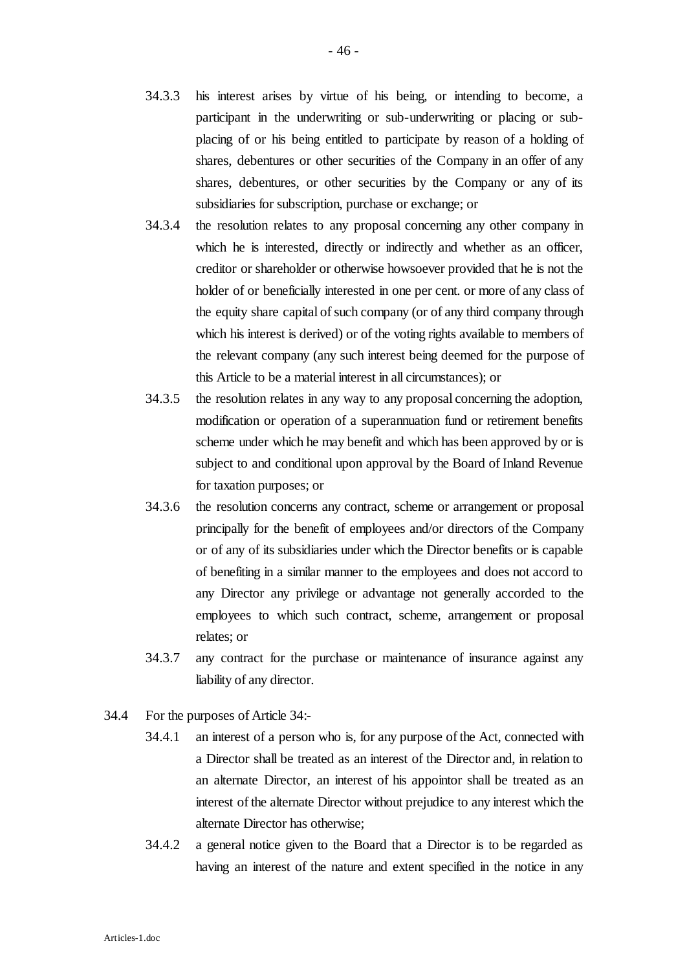- 34.3.3 his interest arises by virtue of his being, or intending to become, a participant in the underwriting or sub-underwriting or placing or subplacing of or his being entitled to participate by reason of a holding of shares, debentures or other securities of the Company in an offer of any shares, debentures, or other securities by the Company or any of its subsidiaries for subscription, purchase or exchange; or
- 34.3.4 the resolution relates to any proposal concerning any other company in which he is interested, directly or indirectly and whether as an officer, creditor or shareholder or otherwise howsoever provided that he is not the holder of or beneficially interested in one per cent. or more of any class of the equity share capital of such company (or of any third company through which his interest is derived) or of the voting rights available to members of the relevant company (any such interest being deemed for the purpose of this Article to be a material interest in all circumstances); or
- 34.3.5 the resolution relates in any way to any proposal concerning the adoption, modification or operation of a superannuation fund or retirement benefits scheme under which he may benefit and which has been approved by or is subject to and conditional upon approval by the Board of Inland Revenue for taxation purposes; or
- 34.3.6 the resolution concerns any contract, scheme or arrangement or proposal principally for the benefit of employees and/or directors of the Company or of any of its subsidiaries under which the Director benefits or is capable of benefiting in a similar manner to the employees and does not accord to any Director any privilege or advantage not generally accorded to the employees to which such contract, scheme, arrangement or proposal relates; or
- 34.3.7 any contract for the purchase or maintenance of insurance against any liability of any director.
- 34.4 For the purposes of Article 34:-
	- 34.4.1 an interest of a person who is, for any purpose of the Act, connected with a Director shall be treated as an interest of the Director and, in relation to an alternate Director, an interest of his appointor shall be treated as an interest of the alternate Director without prejudice to any interest which the alternate Director has otherwise;
	- 34.4.2 a general notice given to the Board that a Director is to be regarded as having an interest of the nature and extent specified in the notice in any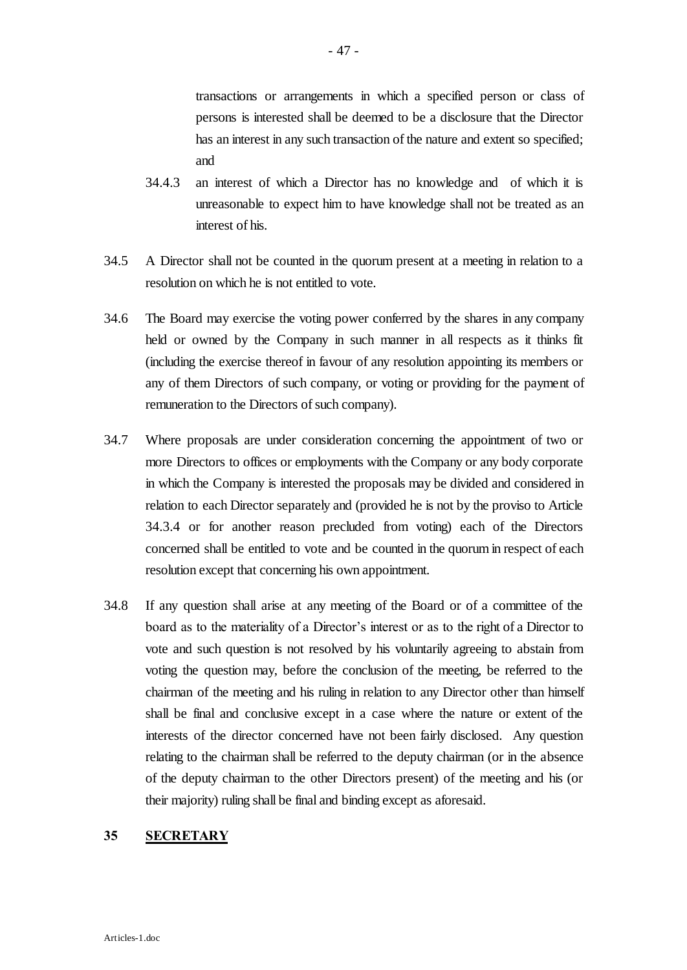transactions or arrangements in which a specified person or class of persons is interested shall be deemed to be a disclosure that the Director has an interest in any such transaction of the nature and extent so specified; and

- 34.4.3 an interest of which a Director has no knowledge and of which it is unreasonable to expect him to have knowledge shall not be treated as an interest of his.
- 34.5 A Director shall not be counted in the quorum present at a meeting in relation to a resolution on which he is not entitled to vote.
- 34.6 The Board may exercise the voting power conferred by the shares in any company held or owned by the Company in such manner in all respects as it thinks fit (including the exercise thereof in favour of any resolution appointing its members or any of them Directors of such company, or voting or providing for the payment of remuneration to the Directors of such company).
- 34.7 Where proposals are under consideration concerning the appointment of two or more Directors to offices or employments with the Company or any body corporate in which the Company is interested the proposals may be divided and considered in relation to each Director separately and (provided he is not by the proviso to Article 34.3.4 or for another reason precluded from voting) each of the Directors concerned shall be entitled to vote and be counted in the quorum in respect of each resolution except that concerning his own appointment.
- 34.8 If any question shall arise at any meeting of the Board or of a committee of the board as to the materiality of a Director's interest or as to the right of a Director to vote and such question is not resolved by his voluntarily agreeing to abstain from voting the question may, before the conclusion of the meeting, be referred to the chairman of the meeting and his ruling in relation to any Director other than himself shall be final and conclusive except in a case where the nature or extent of the interests of the director concerned have not been fairly disclosed. Any question relating to the chairman shall be referred to the deputy chairman (or in the absence of the deputy chairman to the other Directors present) of the meeting and his (or their majority) ruling shall be final and binding except as aforesaid.

#### **35 SECRETARY**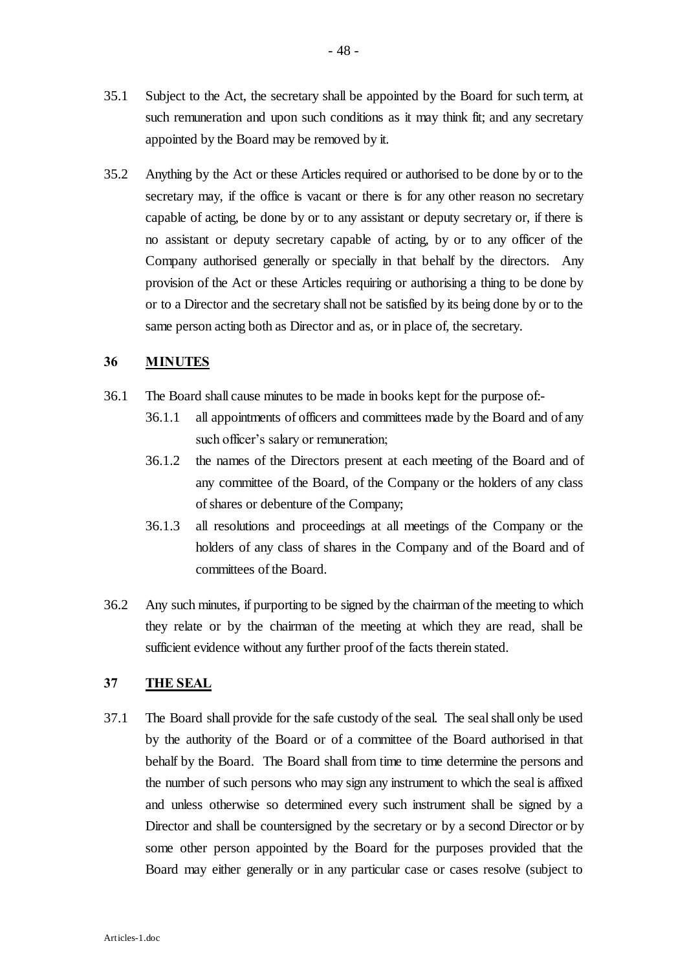appointed by the Board may be removed by it.

35.2 Anything by the Act or these Articles required or authorised to be done by or to the secretary may, if the office is vacant or there is for any other reason no secretary capable of acting, be done by or to any assistant or deputy secretary or, if there is no assistant or deputy secretary capable of acting, by or to any officer of the Company authorised generally or specially in that behalf by the directors. Any provision of the Act or these Articles requiring or authorising a thing to be done by or to a Director and the secretary shall not be satisfied by its being done by or to the same person acting both as Director and as, or in place of, the secretary.

## **36 MINUTES**

- 36.1 The Board shall cause minutes to be made in books kept for the purpose of:-
	- 36.1.1 all appointments of officers and committees made by the Board and of any such officer's salary or remuneration;
	- 36.1.2 the names of the Directors present at each meeting of the Board and of any committee of the Board, of the Company or the holders of any class of shares or debenture of the Company;
	- 36.1.3 all resolutions and proceedings at all meetings of the Company or the holders of any class of shares in the Company and of the Board and of committees of the Board.
- 36.2 Any such minutes, if purporting to be signed by the chairman of the meeting to which they relate or by the chairman of the meeting at which they are read, shall be sufficient evidence without any further proof of the facts therein stated.

# **37 THE SEAL**

37.1 The Board shall provide for the safe custody of the seal. The seal shall only be used by the authority of the Board or of a committee of the Board authorised in that behalf by the Board. The Board shall from time to time determine the persons and the number of such persons who may sign any instrument to which the seal is affixed and unless otherwise so determined every such instrument shall be signed by a Director and shall be countersigned by the secretary or by a second Director or by some other person appointed by the Board for the purposes provided that the Board may either generally or in any particular case or cases resolve (subject to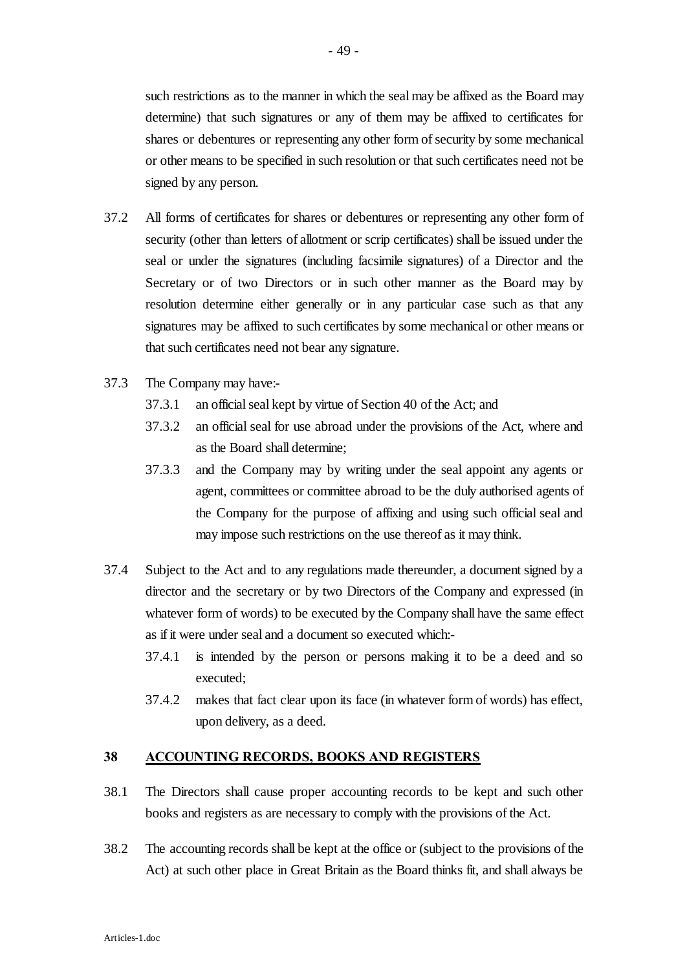such restrictions as to the manner in which the seal may be affixed as the Board may determine) that such signatures or any of them may be affixed to certificates for shares or debentures or representing any other form of security by some mechanical or other means to be specified in such resolution or that such certificates need not be

- 37.2 All forms of certificates for shares or debentures or representing any other form of security (other than letters of allotment or scrip certificates) shall be issued under the seal or under the signatures (including facsimile signatures) of a Director and the Secretary or of two Directors or in such other manner as the Board may by resolution determine either generally or in any particular case such as that any signatures may be affixed to such certificates by some mechanical or other means or that such certificates need not bear any signature.
- 37.3 The Company may have:-

signed by any person.

- 37.3.1 an official seal kept by virtue of Section 40 of the Act; and
- 37.3.2 an official seal for use abroad under the provisions of the Act, where and as the Board shall determine;
- 37.3.3 and the Company may by writing under the seal appoint any agents or agent, committees or committee abroad to be the duly authorised agents of the Company for the purpose of affixing and using such official seal and may impose such restrictions on the use thereof as it may think.
- 37.4 Subject to the Act and to any regulations made thereunder, a document signed by a director and the secretary or by two Directors of the Company and expressed (in whatever form of words) to be executed by the Company shall have the same effect as if it were under seal and a document so executed which:-
	- 37.4.1 is intended by the person or persons making it to be a deed and so executed;
	- 37.4.2 makes that fact clear upon its face (in whatever form of words) has effect, upon delivery, as a deed.

#### **38 ACCOUNTING RECORDS, BOOKS AND REGISTERS**

- 38.1 The Directors shall cause proper accounting records to be kept and such other books and registers as are necessary to comply with the provisions of the Act.
- 38.2 The accounting records shall be kept at the office or (subject to the provisions of the Act) at such other place in Great Britain as the Board thinks fit, and shall always be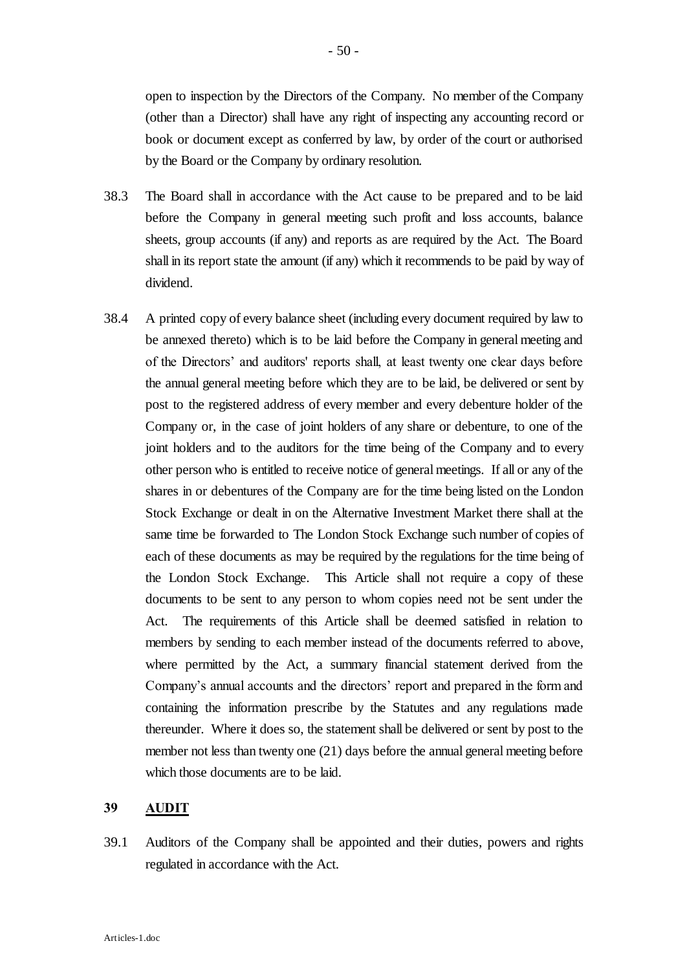open to inspection by the Directors of the Company. No member of the Company (other than a Director) shall have any right of inspecting any accounting record or book or document except as conferred by law, by order of the court or authorised by the Board or the Company by ordinary resolution.

- 38.3 The Board shall in accordance with the Act cause to be prepared and to be laid before the Company in general meeting such profit and loss accounts, balance sheets, group accounts (if any) and reports as are required by the Act. The Board shall in its report state the amount (if any) which it recommends to be paid by way of dividend.
- 38.4 A printed copy of every balance sheet (including every document required by law to be annexed thereto) which is to be laid before the Company in general meeting and of the Directors' and auditors' reports shall, at least twenty one clear days before the annual general meeting before which they are to be laid, be delivered or sent by post to the registered address of every member and every debenture holder of the Company or, in the case of joint holders of any share or debenture, to one of the joint holders and to the auditors for the time being of the Company and to every other person who is entitled to receive notice of general meetings. If all or any of the shares in or debentures of the Company are for the time being listed on the London Stock Exchange or dealt in on the Alternative Investment Market there shall at the same time be forwarded to The London Stock Exchange such number of copies of each of these documents as may be required by the regulations for the time being of the London Stock Exchange. This Article shall not require a copy of these documents to be sent to any person to whom copies need not be sent under the Act. The requirements of this Article shall be deemed satisfied in relation to members by sending to each member instead of the documents referred to above, where permitted by the Act, a summary financial statement derived from the Company's annual accounts and the directors' report and prepared in the form and containing the information prescribe by the Statutes and any regulations made thereunder. Where it does so, the statement shall be delivered or sent by post to the member not less than twenty one (21) days before the annual general meeting before which those documents are to be laid.

#### **39 AUDIT**

39.1 Auditors of the Company shall be appointed and their duties, powers and rights regulated in accordance with the Act.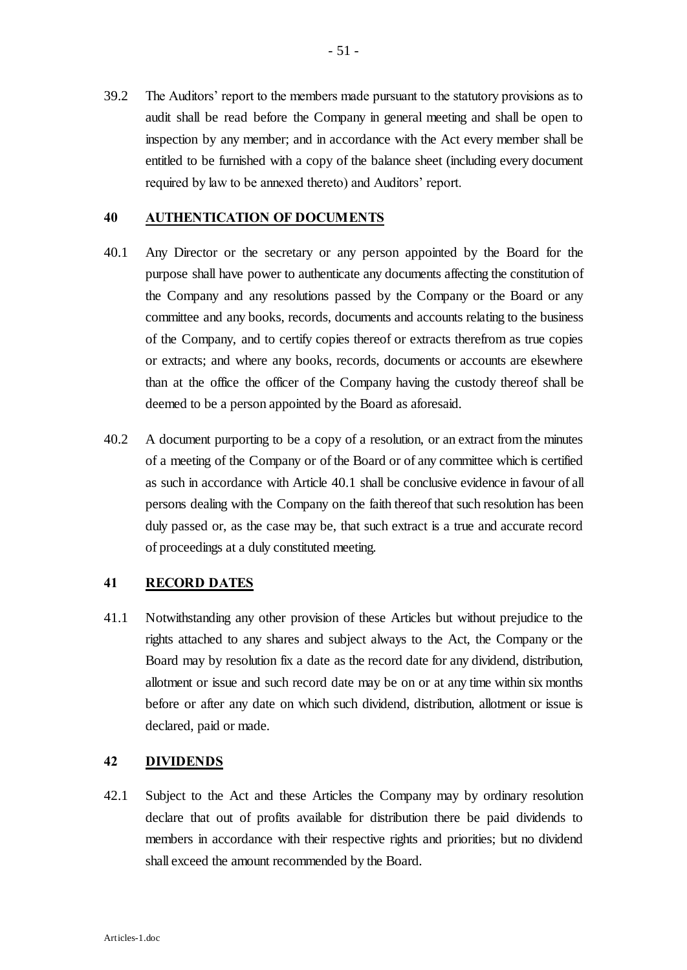39.2 The Auditors' report to the members made pursuant to the statutory provisions as to audit shall be read before the Company in general meeting and shall be open to inspection by any member; and in accordance with the Act every member shall be entitled to be furnished with a copy of the balance sheet (including every document required by law to be annexed thereto) and Auditors' report.

### **40 AUTHENTICATION OF DOCUMENTS**

- 40.1 Any Director or the secretary or any person appointed by the Board for the purpose shall have power to authenticate any documents affecting the constitution of the Company and any resolutions passed by the Company or the Board or any committee and any books, records, documents and accounts relating to the business of the Company, and to certify copies thereof or extracts therefrom as true copies or extracts; and where any books, records, documents or accounts are elsewhere than at the office the officer of the Company having the custody thereof shall be deemed to be a person appointed by the Board as aforesaid.
- 40.2 A document purporting to be a copy of a resolution, or an extract from the minutes of a meeting of the Company or of the Board or of any committee which is certified as such in accordance with Article 40.1 shall be conclusive evidence in favour of all persons dealing with the Company on the faith thereof that such resolution has been duly passed or, as the case may be, that such extract is a true and accurate record of proceedings at a duly constituted meeting.

### **41 RECORD DATES**

41.1 Notwithstanding any other provision of these Articles but without prejudice to the rights attached to any shares and subject always to the Act, the Company or the Board may by resolution fix a date as the record date for any dividend, distribution, allotment or issue and such record date may be on or at any time within six months before or after any date on which such dividend, distribution, allotment or issue is declared, paid or made.

## **42 DIVIDENDS**

42.1 Subject to the Act and these Articles the Company may by ordinary resolution declare that out of profits available for distribution there be paid dividends to members in accordance with their respective rights and priorities; but no dividend shall exceed the amount recommended by the Board.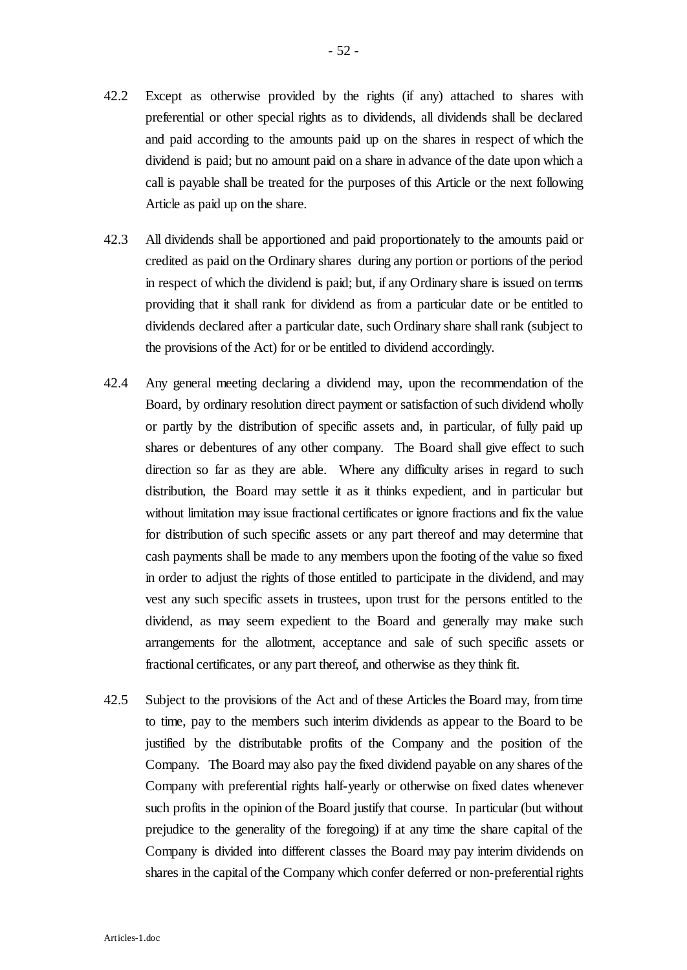- 42.2 Except as otherwise provided by the rights (if any) attached to shares with preferential or other special rights as to dividends, all dividends shall be declared and paid according to the amounts paid up on the shares in respect of which the dividend is paid; but no amount paid on a share in advance of the date upon which a call is payable shall be treated for the purposes of this Article or the next following Article as paid up on the share.
- 42.3 All dividends shall be apportioned and paid proportionately to the amounts paid or credited as paid on the Ordinary shares during any portion or portions of the period in respect of which the dividend is paid; but, if any Ordinary share is issued on terms providing that it shall rank for dividend as from a particular date or be entitled to dividends declared after a particular date, such Ordinary share shall rank (subject to the provisions of the Act) for or be entitled to dividend accordingly.
- 42.4 Any general meeting declaring a dividend may, upon the recommendation of the Board, by ordinary resolution direct payment or satisfaction of such dividend wholly or partly by the distribution of specific assets and, in particular, of fully paid up shares or debentures of any other company. The Board shall give effect to such direction so far as they are able. Where any difficulty arises in regard to such distribution, the Board may settle it as it thinks expedient, and in particular but without limitation may issue fractional certificates or ignore fractions and fix the value for distribution of such specific assets or any part thereof and may determine that cash payments shall be made to any members upon the footing of the value so fixed in order to adjust the rights of those entitled to participate in the dividend, and may vest any such specific assets in trustees, upon trust for the persons entitled to the dividend, as may seem expedient to the Board and generally may make such arrangements for the allotment, acceptance and sale of such specific assets or fractional certificates, or any part thereof, and otherwise as they think fit.
- 42.5 Subject to the provisions of the Act and of these Articles the Board may, from time to time, pay to the members such interim dividends as appear to the Board to be justified by the distributable profits of the Company and the position of the Company. The Board may also pay the fixed dividend payable on any shares of the Company with preferential rights half-yearly or otherwise on fixed dates whenever such profits in the opinion of the Board justify that course. In particular (but without prejudice to the generality of the foregoing) if at any time the share capital of the Company is divided into different classes the Board may pay interim dividends on shares in the capital of the Company which confer deferred or non-preferential rights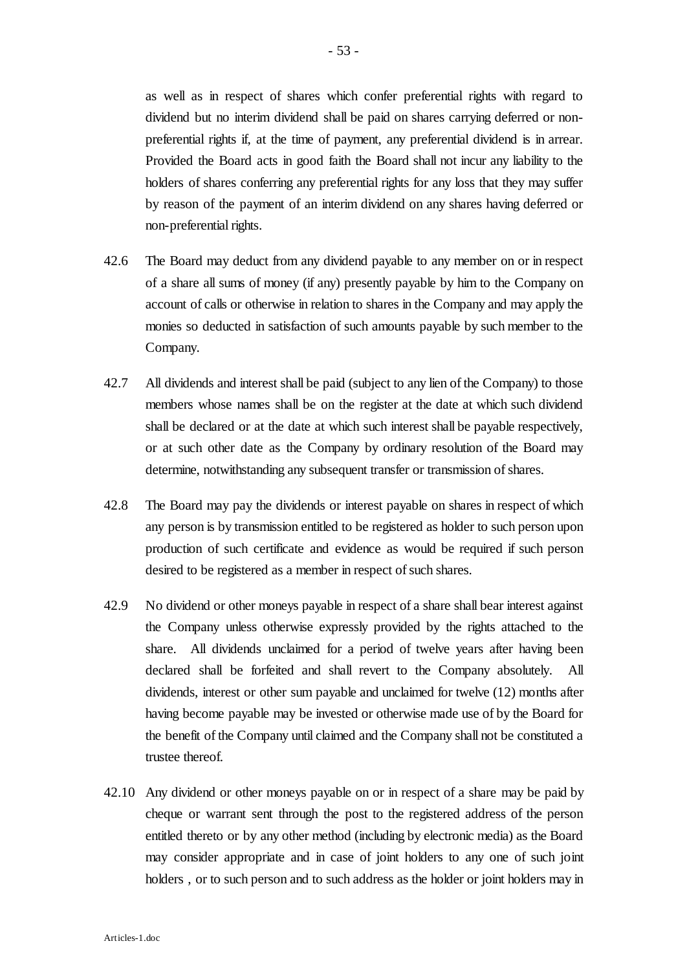as well as in respect of shares which confer preferential rights with regard to dividend but no interim dividend shall be paid on shares carrying deferred or nonpreferential rights if, at the time of payment, any preferential dividend is in arrear. Provided the Board acts in good faith the Board shall not incur any liability to the holders of shares conferring any preferential rights for any loss that they may suffer by reason of the payment of an interim dividend on any shares having deferred or non-preferential rights.

- 42.6 The Board may deduct from any dividend payable to any member on or in respect of a share all sums of money (if any) presently payable by him to the Company on account of calls or otherwise in relation to shares in the Company and may apply the monies so deducted in satisfaction of such amounts payable by such member to the Company.
- 42.7 All dividends and interest shall be paid (subject to any lien of the Company) to those members whose names shall be on the register at the date at which such dividend shall be declared or at the date at which such interest shall be payable respectively, or at such other date as the Company by ordinary resolution of the Board may determine, notwithstanding any subsequent transfer or transmission of shares.
- 42.8 The Board may pay the dividends or interest payable on shares in respect of which any person is by transmission entitled to be registered as holder to such person upon production of such certificate and evidence as would be required if such person desired to be registered as a member in respect of such shares.
- 42.9 No dividend or other moneys payable in respect of a share shall bear interest against the Company unless otherwise expressly provided by the rights attached to the share. All dividends unclaimed for a period of twelve years after having been declared shall be forfeited and shall revert to the Company absolutely. All dividends, interest or other sum payable and unclaimed for twelve (12) months after having become payable may be invested or otherwise made use of by the Board for the benefit of the Company until claimed and the Company shall not be constituted a trustee thereof.
- 42.10 Any dividend or other moneys payable on or in respect of a share may be paid by cheque or warrant sent through the post to the registered address of the person entitled thereto or by any other method (including by electronic media) as the Board may consider appropriate and in case of joint holders to any one of such joint holders , or to such person and to such address as the holder or joint holders may in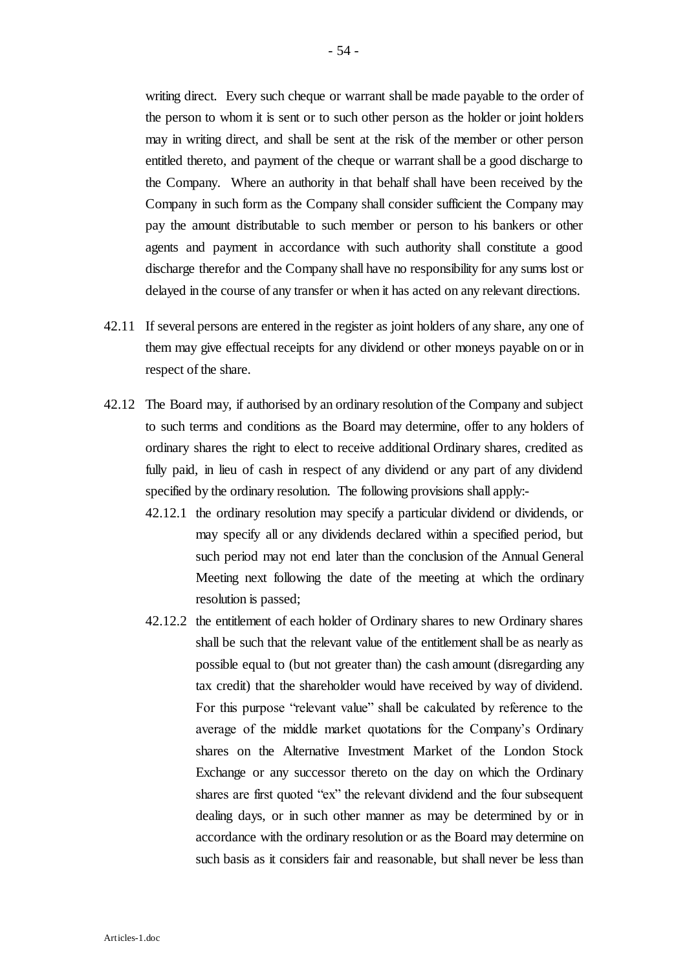writing direct. Every such cheque or warrant shall be made payable to the order of the person to whom it is sent or to such other person as the holder or joint holders may in writing direct, and shall be sent at the risk of the member or other person entitled thereto, and payment of the cheque or warrant shall be a good discharge to the Company. Where an authority in that behalf shall have been received by the Company in such form as the Company shall consider sufficient the Company may pay the amount distributable to such member or person to his bankers or other agents and payment in accordance with such authority shall constitute a good discharge therefor and the Company shall have no responsibility for any sums lost or delayed in the course of any transfer or when it has acted on any relevant directions.

- 42.11 If several persons are entered in the register as joint holders of any share, any one of them may give effectual receipts for any dividend or other moneys payable on or in respect of the share.
- 42.12 The Board may, if authorised by an ordinary resolution of the Company and subject to such terms and conditions as the Board may determine, offer to any holders of ordinary shares the right to elect to receive additional Ordinary shares, credited as fully paid, in lieu of cash in respect of any dividend or any part of any dividend specified by the ordinary resolution. The following provisions shall apply:-
	- 42.12.1 the ordinary resolution may specify a particular dividend or dividends, or may specify all or any dividends declared within a specified period, but such period may not end later than the conclusion of the Annual General Meeting next following the date of the meeting at which the ordinary resolution is passed;
	- 42.12.2 the entitlement of each holder of Ordinary shares to new Ordinary shares shall be such that the relevant value of the entitlement shall be as nearly as possible equal to (but not greater than) the cash amount (disregarding any tax credit) that the shareholder would have received by way of dividend. For this purpose "relevant value" shall be calculated by reference to the average of the middle market quotations for the Company's Ordinary shares on the Alternative Investment Market of the London Stock Exchange or any successor thereto on the day on which the Ordinary shares are first quoted "ex" the relevant dividend and the four subsequent dealing days, or in such other manner as may be determined by or in accordance with the ordinary resolution or as the Board may determine on such basis as it considers fair and reasonable, but shall never be less than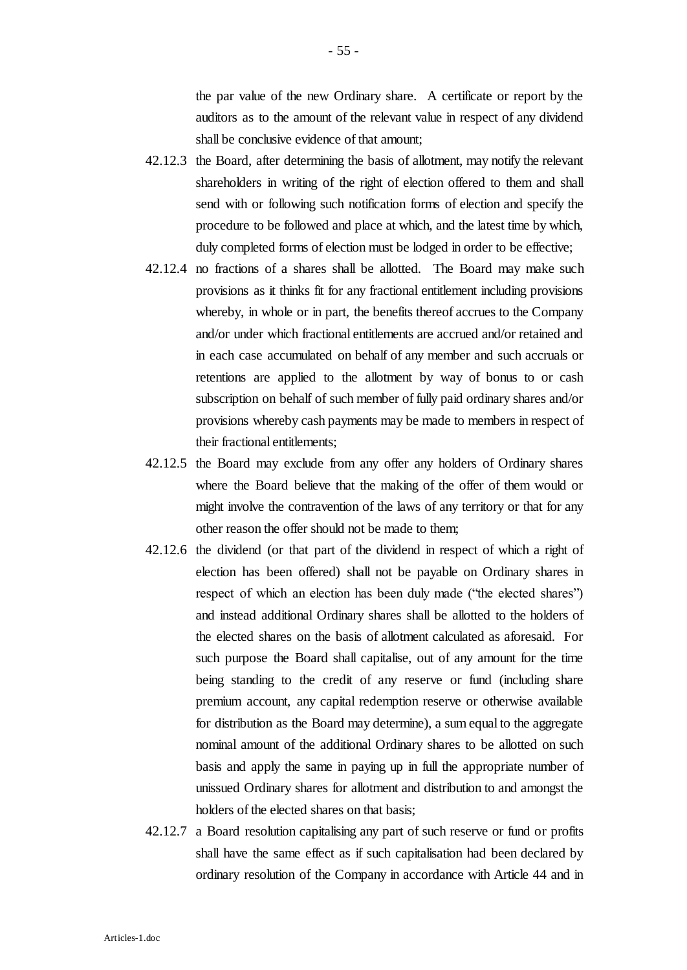the par value of the new Ordinary share. A certificate or report by the auditors as to the amount of the relevant value in respect of any dividend shall be conclusive evidence of that amount;

- 42.12.3 the Board, after determining the basis of allotment, may notify the relevant shareholders in writing of the right of election offered to them and shall send with or following such notification forms of election and specify the procedure to be followed and place at which, and the latest time by which, duly completed forms of election must be lodged in order to be effective;
- 42.12.4 no fractions of a shares shall be allotted. The Board may make such provisions as it thinks fit for any fractional entitlement including provisions whereby, in whole or in part, the benefits thereof accrues to the Company and/or under which fractional entitlements are accrued and/or retained and in each case accumulated on behalf of any member and such accruals or retentions are applied to the allotment by way of bonus to or cash subscription on behalf of such member of fully paid ordinary shares and/or provisions whereby cash payments may be made to members in respect of their fractional entitlements;
- 42.12.5 the Board may exclude from any offer any holders of Ordinary shares where the Board believe that the making of the offer of them would or might involve the contravention of the laws of any territory or that for any other reason the offer should not be made to them;
- 42.12.6 the dividend (or that part of the dividend in respect of which a right of election has been offered) shall not be payable on Ordinary shares in respect of which an election has been duly made ("the elected shares") and instead additional Ordinary shares shall be allotted to the holders of the elected shares on the basis of allotment calculated as aforesaid. For such purpose the Board shall capitalise, out of any amount for the time being standing to the credit of any reserve or fund (including share premium account, any capital redemption reserve or otherwise available for distribution as the Board may determine), a sum equal to the aggregate nominal amount of the additional Ordinary shares to be allotted on such basis and apply the same in paying up in full the appropriate number of unissued Ordinary shares for allotment and distribution to and amongst the holders of the elected shares on that basis;
- 42.12.7 a Board resolution capitalising any part of such reserve or fund or profits shall have the same effect as if such capitalisation had been declared by ordinary resolution of the Company in accordance with Article 44 and in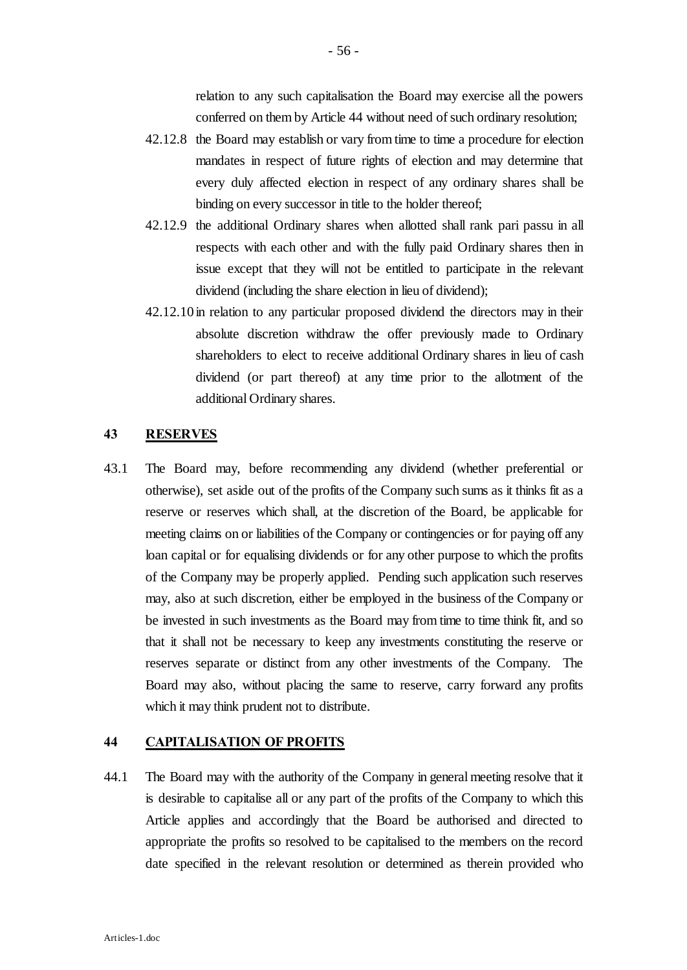relation to any such capitalisation the Board may exercise all the powers conferred on them by Article 44 without need of such ordinary resolution;

- 42.12.8 the Board may establish or vary from time to time a procedure for election mandates in respect of future rights of election and may determine that every duly affected election in respect of any ordinary shares shall be binding on every successor in title to the holder thereof;
- 42.12.9 the additional Ordinary shares when allotted shall rank pari passu in all respects with each other and with the fully paid Ordinary shares then in issue except that they will not be entitled to participate in the relevant dividend (including the share election in lieu of dividend);
- 42.12.10 in relation to any particular proposed dividend the directors may in their absolute discretion withdraw the offer previously made to Ordinary shareholders to elect to receive additional Ordinary shares in lieu of cash dividend (or part thereof) at any time prior to the allotment of the additional Ordinary shares.

### **43 RESERVES**

43.1 The Board may, before recommending any dividend (whether preferential or otherwise), set aside out of the profits of the Company such sums as it thinks fit as a reserve or reserves which shall, at the discretion of the Board, be applicable for meeting claims on or liabilities of the Company or contingencies or for paying off any loan capital or for equalising dividends or for any other purpose to which the profits of the Company may be properly applied. Pending such application such reserves may, also at such discretion, either be employed in the business of the Company or be invested in such investments as the Board may from time to time think fit, and so that it shall not be necessary to keep any investments constituting the reserve or reserves separate or distinct from any other investments of the Company. The Board may also, without placing the same to reserve, carry forward any profits which it may think prudent not to distribute.

### **44 CAPITALISATION OF PROFITS**

44.1 The Board may with the authority of the Company in general meeting resolve that it is desirable to capitalise all or any part of the profits of the Company to which this Article applies and accordingly that the Board be authorised and directed to appropriate the profits so resolved to be capitalised to the members on the record date specified in the relevant resolution or determined as therein provided who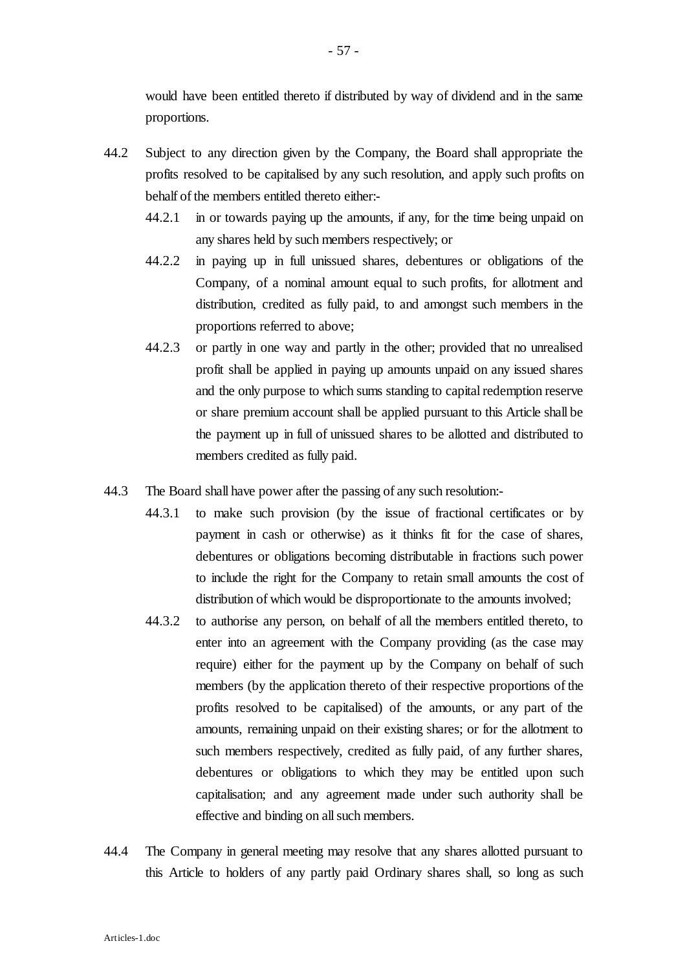would have been entitled thereto if distributed by way of dividend and in the same proportions.

- 44.2 Subject to any direction given by the Company, the Board shall appropriate the profits resolved to be capitalised by any such resolution, and apply such profits on behalf of the members entitled thereto either:-
	- 44.2.1 in or towards paying up the amounts, if any, for the time being unpaid on any shares held by such members respectively; or
	- 44.2.2 in paying up in full unissued shares, debentures or obligations of the Company, of a nominal amount equal to such profits, for allotment and distribution, credited as fully paid, to and amongst such members in the proportions referred to above;
	- 44.2.3 or partly in one way and partly in the other; provided that no unrealised profit shall be applied in paying up amounts unpaid on any issued shares and the only purpose to which sums standing to capital redemption reserve or share premium account shall be applied pursuant to this Article shall be the payment up in full of unissued shares to be allotted and distributed to members credited as fully paid.
- 44.3 The Board shall have power after the passing of any such resolution:-
	- 44.3.1 to make such provision (by the issue of fractional certificates or by payment in cash or otherwise) as it thinks fit for the case of shares, debentures or obligations becoming distributable in fractions such power to include the right for the Company to retain small amounts the cost of distribution of which would be disproportionate to the amounts involved;
	- 44.3.2 to authorise any person, on behalf of all the members entitled thereto, to enter into an agreement with the Company providing (as the case may require) either for the payment up by the Company on behalf of such members (by the application thereto of their respective proportions of the profits resolved to be capitalised) of the amounts, or any part of the amounts, remaining unpaid on their existing shares; or for the allotment to such members respectively, credited as fully paid, of any further shares, debentures or obligations to which they may be entitled upon such capitalisation; and any agreement made under such authority shall be effective and binding on all such members.
- 44.4 The Company in general meeting may resolve that any shares allotted pursuant to this Article to holders of any partly paid Ordinary shares shall, so long as such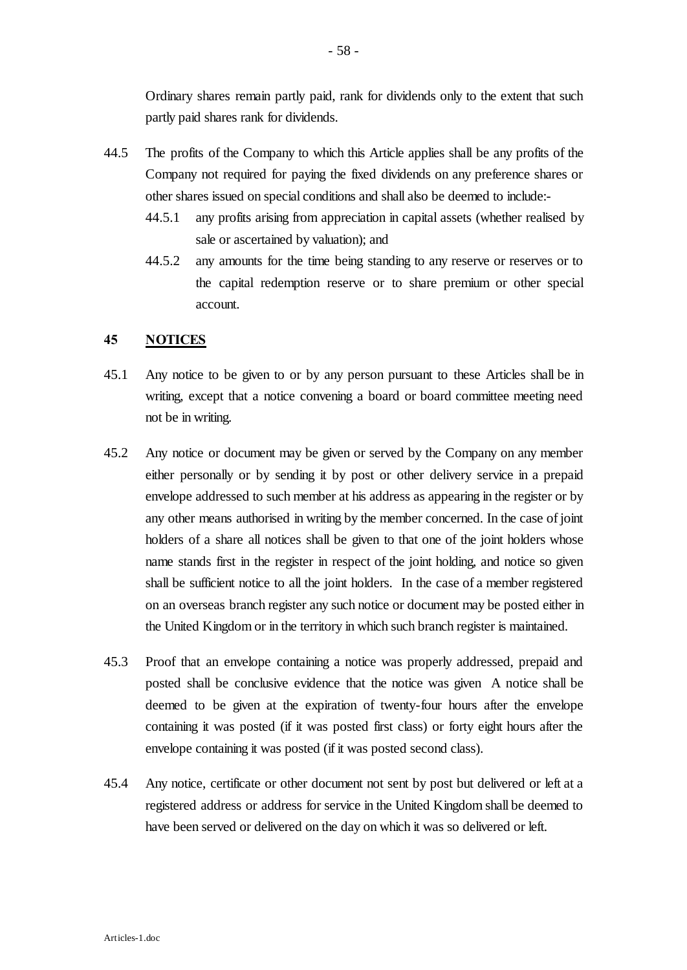Ordinary shares remain partly paid, rank for dividends only to the extent that such partly paid shares rank for dividends.

- 44.5 The profits of the Company to which this Article applies shall be any profits of the Company not required for paying the fixed dividends on any preference shares or other shares issued on special conditions and shall also be deemed to include:-
	- 44.5.1 any profits arising from appreciation in capital assets (whether realised by sale or ascertained by valuation); and
	- 44.5.2 any amounts for the time being standing to any reserve or reserves or to the capital redemption reserve or to share premium or other special account.

#### **45 NOTICES**

- 45.1 Any notice to be given to or by any person pursuant to these Articles shall be in writing, except that a notice convening a board or board committee meeting need not be in writing.
- 45.2 Any notice or document may be given or served by the Company on any member either personally or by sending it by post or other delivery service in a prepaid envelope addressed to such member at his address as appearing in the register or by any other means authorised in writing by the member concerned. In the case of joint holders of a share all notices shall be given to that one of the joint holders whose name stands first in the register in respect of the joint holding, and notice so given shall be sufficient notice to all the joint holders. In the case of a member registered on an overseas branch register any such notice or document may be posted either in the United Kingdom or in the territory in which such branch register is maintained.
- 45.3 Proof that an envelope containing a notice was properly addressed, prepaid and posted shall be conclusive evidence that the notice was given A notice shall be deemed to be given at the expiration of twenty-four hours after the envelope containing it was posted (if it was posted first class) or forty eight hours after the envelope containing it was posted (if it was posted second class).
- 45.4 Any notice, certificate or other document not sent by post but delivered or left at a registered address or address for service in the United Kingdom shall be deemed to have been served or delivered on the day on which it was so delivered or left.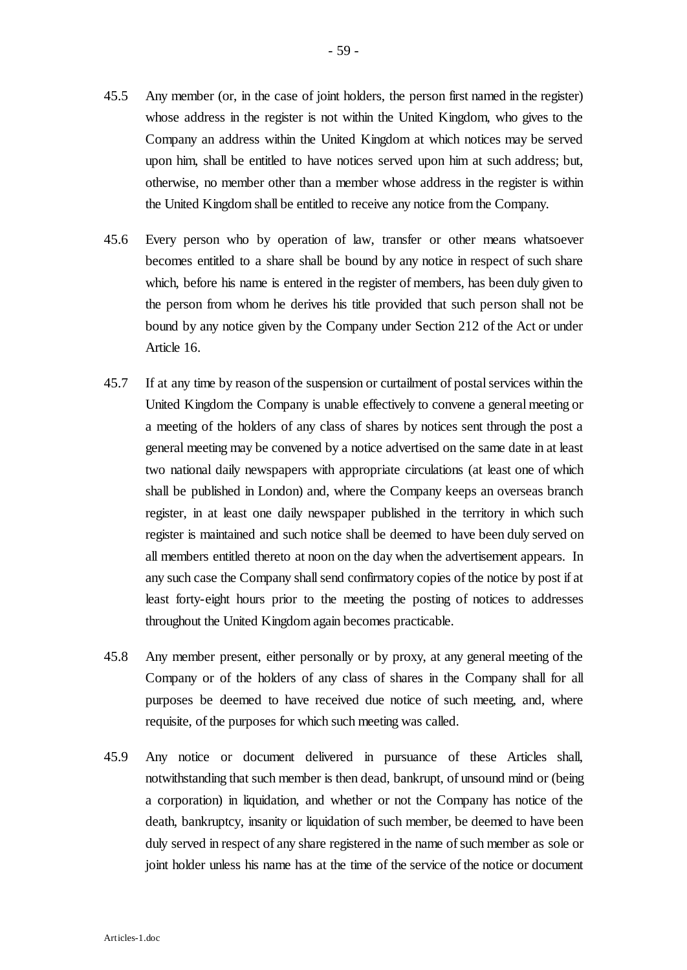- 45.5 Any member (or, in the case of joint holders, the person first named in the register) whose address in the register is not within the United Kingdom, who gives to the Company an address within the United Kingdom at which notices may be served upon him, shall be entitled to have notices served upon him at such address; but, otherwise, no member other than a member whose address in the register is within the United Kingdom shall be entitled to receive any notice from the Company.
- 45.6 Every person who by operation of law, transfer or other means whatsoever becomes entitled to a share shall be bound by any notice in respect of such share which, before his name is entered in the register of members, has been duly given to the person from whom he derives his title provided that such person shall not be bound by any notice given by the Company under Section 212 of the Act or under Article 16.
- 45.7 If at any time by reason of the suspension or curtailment of postal services within the United Kingdom the Company is unable effectively to convene a general meeting or a meeting of the holders of any class of shares by notices sent through the post a general meeting may be convened by a notice advertised on the same date in at least two national daily newspapers with appropriate circulations (at least one of which shall be published in London) and, where the Company keeps an overseas branch register, in at least one daily newspaper published in the territory in which such register is maintained and such notice shall be deemed to have been duly served on all members entitled thereto at noon on the day when the advertisement appears. In any such case the Company shall send confirmatory copies of the notice by post if at least forty-eight hours prior to the meeting the posting of notices to addresses throughout the United Kingdom again becomes practicable.
- 45.8 Any member present, either personally or by proxy, at any general meeting of the Company or of the holders of any class of shares in the Company shall for all purposes be deemed to have received due notice of such meeting, and, where requisite, of the purposes for which such meeting was called.
- 45.9 Any notice or document delivered in pursuance of these Articles shall, notwithstanding that such member is then dead, bankrupt, of unsound mind or (being a corporation) in liquidation, and whether or not the Company has notice of the death, bankruptcy, insanity or liquidation of such member, be deemed to have been duly served in respect of any share registered in the name of such member as sole or joint holder unless his name has at the time of the service of the notice or document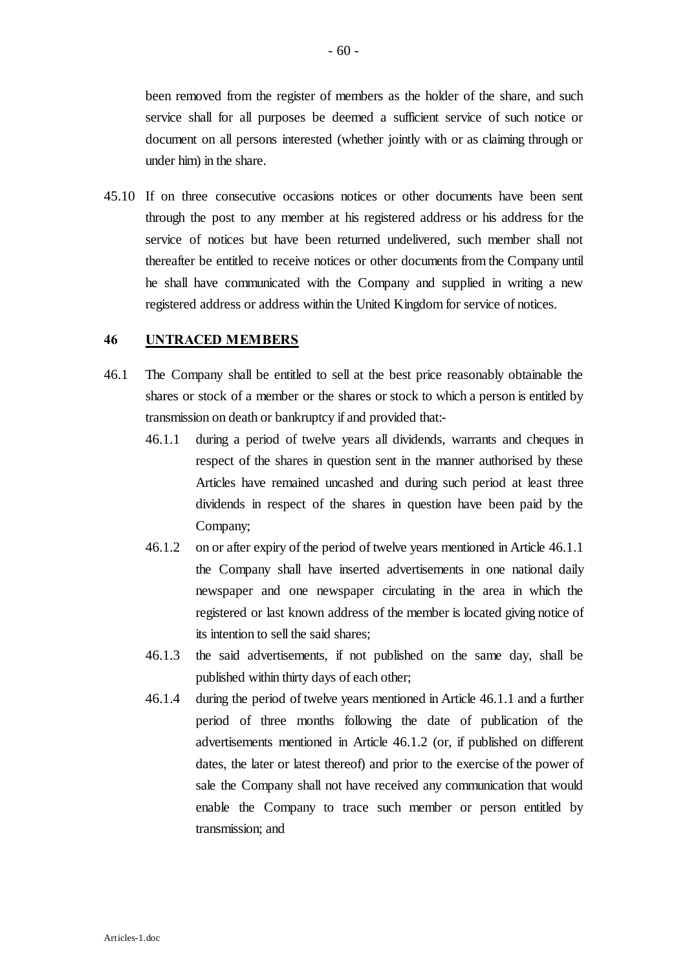been removed from the register of members as the holder of the share, and such service shall for all purposes be deemed a sufficient service of such notice or document on all persons interested (whether jointly with or as claiming through or under him) in the share.

45.10 If on three consecutive occasions notices or other documents have been sent through the post to any member at his registered address or his address for the service of notices but have been returned undelivered, such member shall not thereafter be entitled to receive notices or other documents from the Company until he shall have communicated with the Company and supplied in writing a new registered address or address within the United Kingdom for service of notices.

#### **46 UNTRACED MEMBERS**

- 46.1 The Company shall be entitled to sell at the best price reasonably obtainable the shares or stock of a member or the shares or stock to which a person is entitled by transmission on death or bankruptcy if and provided that:-
	- 46.1.1 during a period of twelve years all dividends, warrants and cheques in respect of the shares in question sent in the manner authorised by these Articles have remained uncashed and during such period at least three dividends in respect of the shares in question have been paid by the Company;
	- 46.1.2 on or after expiry of the period of twelve years mentioned in Article 46.1.1 the Company shall have inserted advertisements in one national daily newspaper and one newspaper circulating in the area in which the registered or last known address of the member is located giving notice of its intention to sell the said shares;
	- 46.1.3 the said advertisements, if not published on the same day, shall be published within thirty days of each other;
	- 46.1.4 during the period of twelve years mentioned in Article 46.1.1 and a further period of three months following the date of publication of the advertisements mentioned in Article 46.1.2 (or, if published on different dates, the later or latest thereof) and prior to the exercise of the power of sale the Company shall not have received any communication that would enable the Company to trace such member or person entitled by transmission; and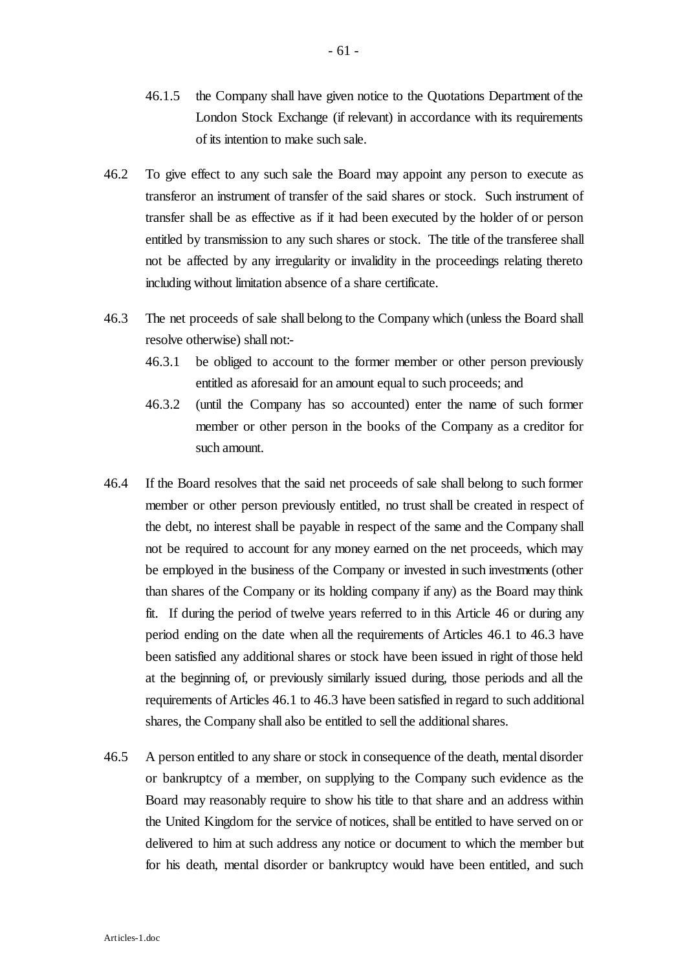- 46.1.5 the Company shall have given notice to the Quotations Department of the London Stock Exchange (if relevant) in accordance with its requirements of its intention to make such sale.
- 46.2 To give effect to any such sale the Board may appoint any person to execute as transferor an instrument of transfer of the said shares or stock. Such instrument of transfer shall be as effective as if it had been executed by the holder of or person entitled by transmission to any such shares or stock. The title of the transferee shall not be affected by any irregularity or invalidity in the proceedings relating thereto including without limitation absence of a share certificate.
- 46.3 The net proceeds of sale shall belong to the Company which (unless the Board shall resolve otherwise) shall not:-
	- 46.3.1 be obliged to account to the former member or other person previously entitled as aforesaid for an amount equal to such proceeds; and
	- 46.3.2 (until the Company has so accounted) enter the name of such former member or other person in the books of the Company as a creditor for such amount.
- 46.4 If the Board resolves that the said net proceeds of sale shall belong to such former member or other person previously entitled, no trust shall be created in respect of the debt, no interest shall be payable in respect of the same and the Company shall not be required to account for any money earned on the net proceeds, which may be employed in the business of the Company or invested in such investments (other than shares of the Company or its holding company if any) as the Board may think fit. If during the period of twelve years referred to in this Article 46 or during any period ending on the date when all the requirements of Articles 46.1 to 46.3 have been satisfied any additional shares or stock have been issued in right of those held at the beginning of, or previously similarly issued during, those periods and all the requirements of Articles 46.1 to 46.3 have been satisfied in regard to such additional shares, the Company shall also be entitled to sell the additional shares.
- 46.5 A person entitled to any share or stock in consequence of the death, mental disorder or bankruptcy of a member, on supplying to the Company such evidence as the Board may reasonably require to show his title to that share and an address within the United Kingdom for the service of notices, shall be entitled to have served on or delivered to him at such address any notice or document to which the member but for his death, mental disorder or bankruptcy would have been entitled, and such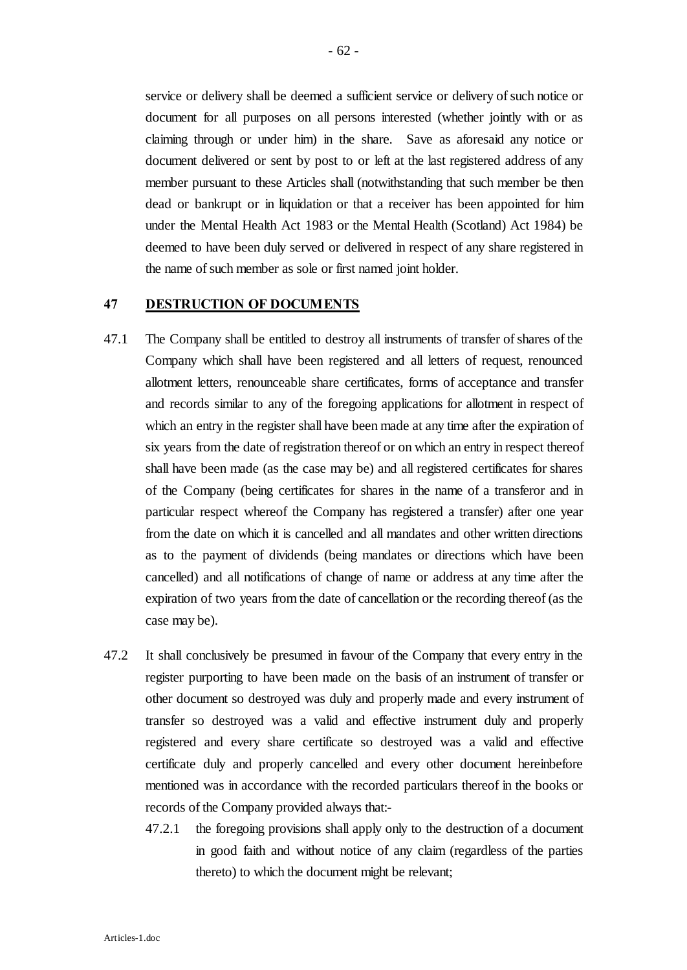service or delivery shall be deemed a sufficient service or delivery of such notice or document for all purposes on all persons interested (whether jointly with or as claiming through or under him) in the share. Save as aforesaid any notice or document delivered or sent by post to or left at the last registered address of any member pursuant to these Articles shall (notwithstanding that such member be then dead or bankrupt or in liquidation or that a receiver has been appointed for him under the Mental Health Act 1983 or the Mental Health (Scotland) Act 1984) be deemed to have been duly served or delivered in respect of any share registered in the name of such member as sole or first named joint holder.

#### **47 DESTRUCTION OF DOCUMENTS**

- 47.1 The Company shall be entitled to destroy all instruments of transfer of shares of the Company which shall have been registered and all letters of request, renounced allotment letters, renounceable share certificates, forms of acceptance and transfer and records similar to any of the foregoing applications for allotment in respect of which an entry in the register shall have been made at any time after the expiration of six years from the date of registration thereof or on which an entry in respect thereof shall have been made (as the case may be) and all registered certificates for shares of the Company (being certificates for shares in the name of a transferor and in particular respect whereof the Company has registered a transfer) after one year from the date on which it is cancelled and all mandates and other written directions as to the payment of dividends (being mandates or directions which have been cancelled) and all notifications of change of name or address at any time after the expiration of two years from the date of cancellation or the recording thereof (as the case may be).
- 47.2 It shall conclusively be presumed in favour of the Company that every entry in the register purporting to have been made on the basis of an instrument of transfer or other document so destroyed was duly and properly made and every instrument of transfer so destroyed was a valid and effective instrument duly and properly registered and every share certificate so destroyed was a valid and effective certificate duly and properly cancelled and every other document hereinbefore mentioned was in accordance with the recorded particulars thereof in the books or records of the Company provided always that:-
	- 47.2.1 the foregoing provisions shall apply only to the destruction of a document in good faith and without notice of any claim (regardless of the parties thereto) to which the document might be relevant;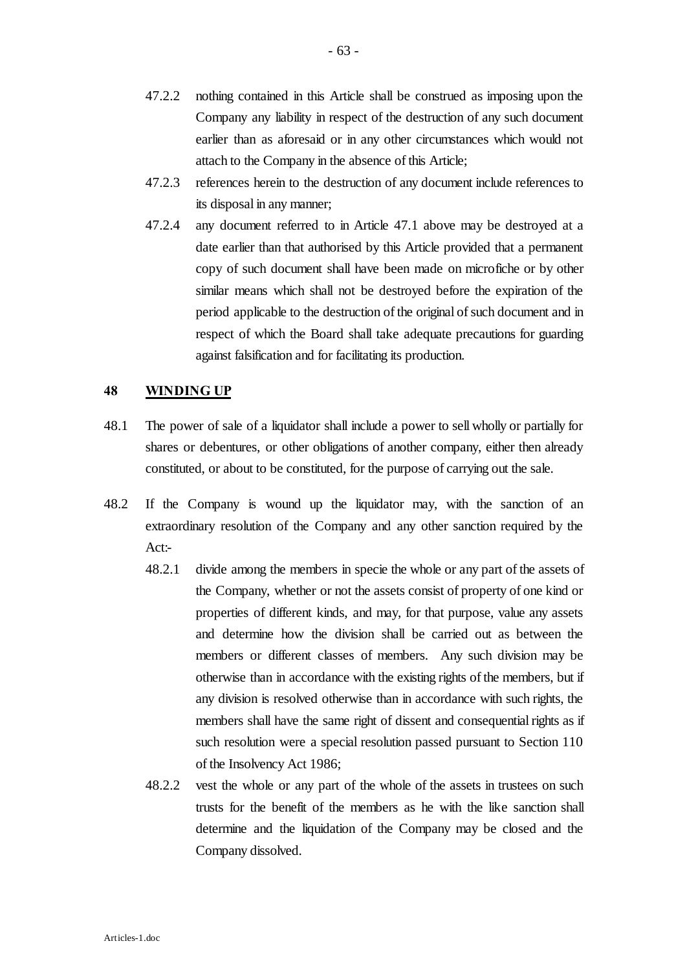- 47.2.2 nothing contained in this Article shall be construed as imposing upon the Company any liability in respect of the destruction of any such document earlier than as aforesaid or in any other circumstances which would not attach to the Company in the absence of this Article;
- 47.2.3 references herein to the destruction of any document include references to its disposal in any manner;
- 47.2.4 any document referred to in Article 47.1 above may be destroyed at a date earlier than that authorised by this Article provided that a permanent copy of such document shall have been made on microfiche or by other similar means which shall not be destroyed before the expiration of the period applicable to the destruction of the original of such document and in respect of which the Board shall take adequate precautions for guarding against falsification and for facilitating its production.

## **48 WINDING UP**

- 48.1 The power of sale of a liquidator shall include a power to sell wholly or partially for shares or debentures, or other obligations of another company, either then already constituted, or about to be constituted, for the purpose of carrying out the sale.
- 48.2 If the Company is wound up the liquidator may, with the sanction of an extraordinary resolution of the Company and any other sanction required by the Act:-
	- 48.2.1 divide among the members in specie the whole or any part of the assets of the Company, whether or not the assets consist of property of one kind or properties of different kinds, and may, for that purpose, value any assets and determine how the division shall be carried out as between the members or different classes of members. Any such division may be otherwise than in accordance with the existing rights of the members, but if any division is resolved otherwise than in accordance with such rights, the members shall have the same right of dissent and consequential rights as if such resolution were a special resolution passed pursuant to Section 110 of the Insolvency Act 1986;
	- 48.2.2 vest the whole or any part of the whole of the assets in trustees on such trusts for the benefit of the members as he with the like sanction shall determine and the liquidation of the Company may be closed and the Company dissolved.